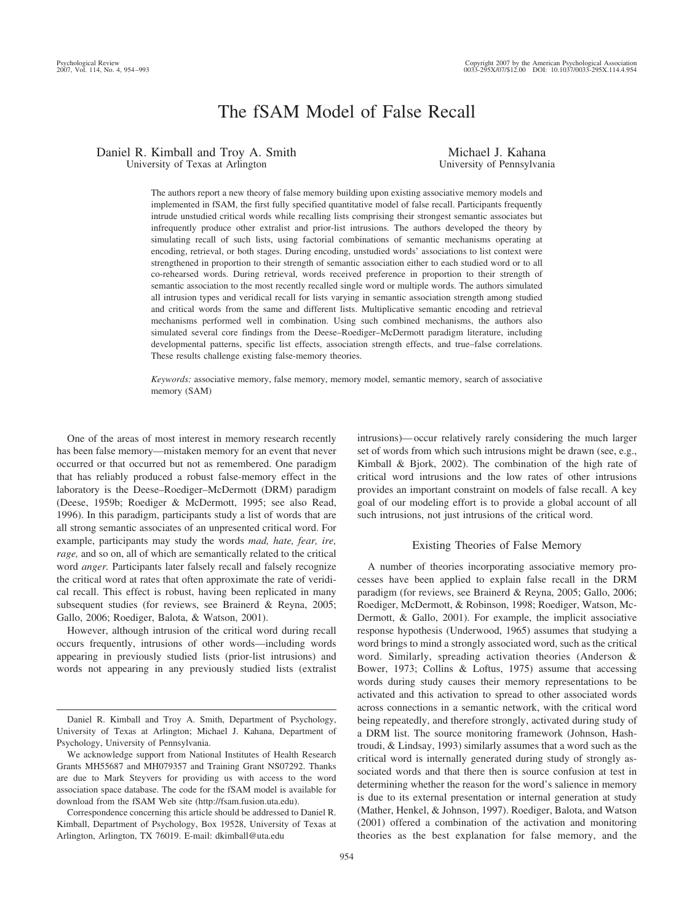# The fSAM Model of False Recall

Daniel R. Kimball and Troy A. Smith University of Texas at Arlington

Michael J. Kahana University of Pennsylvania

The authors report a new theory of false memory building upon existing associative memory models and implemented in fSAM, the first fully specified quantitative model of false recall. Participants frequently intrude unstudied critical words while recalling lists comprising their strongest semantic associates but infrequently produce other extralist and prior-list intrusions. The authors developed the theory by simulating recall of such lists, using factorial combinations of semantic mechanisms operating at encoding, retrieval, or both stages. During encoding, unstudied words' associations to list context were strengthened in proportion to their strength of semantic association either to each studied word or to all co-rehearsed words. During retrieval, words received preference in proportion to their strength of semantic association to the most recently recalled single word or multiple words. The authors simulated all intrusion types and veridical recall for lists varying in semantic association strength among studied and critical words from the same and different lists. Multiplicative semantic encoding and retrieval mechanisms performed well in combination. Using such combined mechanisms, the authors also simulated several core findings from the Deese–Roediger–McDermott paradigm literature, including developmental patterns, specific list effects, association strength effects, and true–false correlations. These results challenge existing false-memory theories.

*Keywords:* associative memory, false memory, memory model, semantic memory, search of associative memory (SAM)

One of the areas of most interest in memory research recently has been false memory—mistaken memory for an event that never occurred or that occurred but not as remembered. One paradigm that has reliably produced a robust false-memory effect in the laboratory is the Deese–Roediger–McDermott (DRM) paradigm (Deese, 1959b; Roediger & McDermott, 1995; see also Read, 1996). In this paradigm, participants study a list of words that are all strong semantic associates of an unpresented critical word. For example, participants may study the words *mad, hate, fear, ire, rage,* and so on, all of which are semantically related to the critical word *anger.* Participants later falsely recall and falsely recognize the critical word at rates that often approximate the rate of veridical recall. This effect is robust, having been replicated in many subsequent studies (for reviews, see Brainerd & Reyna, 2005; Gallo, 2006; Roediger, Balota, & Watson, 2001).

However, although intrusion of the critical word during recall occurs frequently, intrusions of other words—including words appearing in previously studied lists (prior-list intrusions) and words not appearing in any previously studied lists (extralist

Correspondence concerning this article should be addressed to Daniel R. Kimball, Department of Psychology, Box 19528, University of Texas at Arlington, Arlington, TX 76019. E-mail: dkimball@uta.edu

954

intrusions)— occur relatively rarely considering the much larger set of words from which such intrusions might be drawn (see, e.g., Kimball & Bjork, 2002). The combination of the high rate of critical word intrusions and the low rates of other intrusions provides an important constraint on models of false recall. A key goal of our modeling effort is to provide a global account of all such intrusions, not just intrusions of the critical word.

## Existing Theories of False Memory

A number of theories incorporating associative memory processes have been applied to explain false recall in the DRM paradigm (for reviews, see Brainerd & Reyna, 2005; Gallo, 2006; Roediger, McDermott, & Robinson, 1998; Roediger, Watson, Mc-Dermott, & Gallo, 2001). For example, the implicit associative response hypothesis (Underwood, 1965) assumes that studying a word brings to mind a strongly associated word, such as the critical word. Similarly, spreading activation theories (Anderson & Bower, 1973; Collins & Loftus, 1975) assume that accessing words during study causes their memory representations to be activated and this activation to spread to other associated words across connections in a semantic network, with the critical word being repeatedly, and therefore strongly, activated during study of a DRM list. The source monitoring framework (Johnson, Hashtroudi, & Lindsay, 1993) similarly assumes that a word such as the critical word is internally generated during study of strongly associated words and that there then is source confusion at test in determining whether the reason for the word's salience in memory is due to its external presentation or internal generation at study (Mather, Henkel, & Johnson, 1997). Roediger, Balota, and Watson (2001) offered a combination of the activation and monitoring theories as the best explanation for false memory, and the

Daniel R. Kimball and Troy A. Smith, Department of Psychology, University of Texas at Arlington; Michael J. Kahana, Department of Psychology, University of Pennsylvania.

We acknowledge support from National Institutes of Health Research Grants MH55687 and MH079357 and Training Grant NS07292. Thanks are due to Mark Steyvers for providing us with access to the word association space database. The code for the fSAM model is available for download from the fSAM Web site (http://fsam.fusion.uta.edu).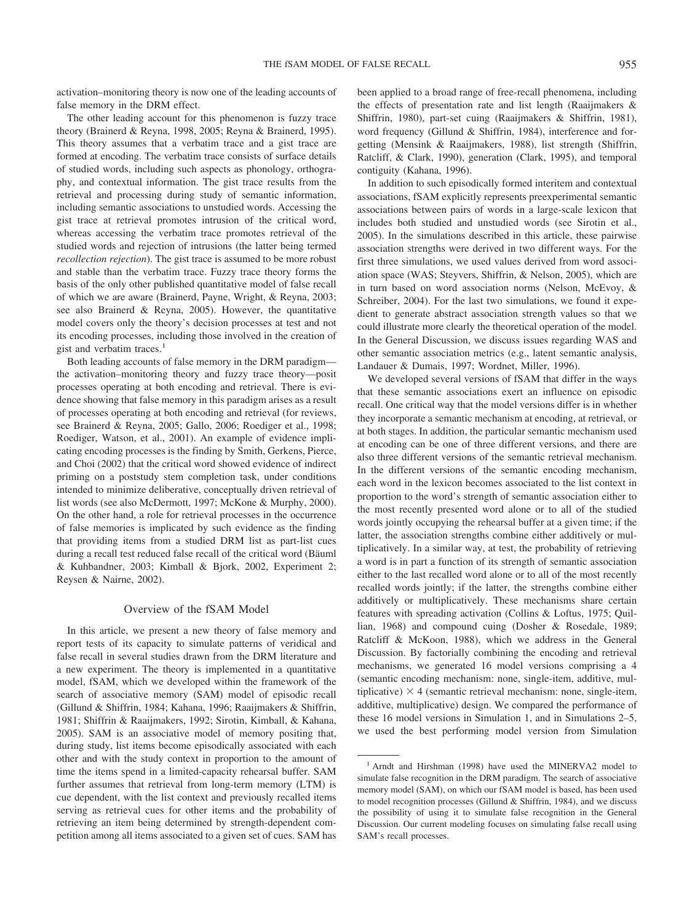activation–monitoring theory is now one of the leading accounts of false memory in the DRM effect.

The other leading account for this phenomenon is fuzzy trace theory (Brainerd & Reyna, 1998, 2005; Reyna & Brainerd, 1995). This theory assumes that a verbatim trace and a gist trace are formed at encoding. The verbatim trace consists of surface details of studied words, including such aspects as phonology, orthography, and contextual information. The gist trace results from the retrieval and processing during study of semantic information, including semantic associations to unstudied words. Accessing the gist trace at retrieval promotes intrusion of the critical word, whereas accessing the verbatim trace promotes retrieval of the studied words and rejection of intrusions (the latter being termed *recollection rejection*). The gist trace is assumed to be more robust and stable than the verbatim trace. Fuzzy trace theory forms the basis of the only other published quantitative model of false recall of which we are aware (Brainerd, Payne, Wright, & Reyna, 2003; see also Brainerd & Reyna, 2005). However, the quantitative model covers only the theory's decision processes at test and not its encoding processes, including those involved in the creation of gist and verbatim traces. $<sup>1</sup>$ </sup>

Both leading accounts of false memory in the DRM paradigm the activation–monitoring theory and fuzzy trace theory—posit processes operating at both encoding and retrieval. There is evidence showing that false memory in this paradigm arises as a result of processes operating at both encoding and retrieval (for reviews, see Brainerd & Reyna, 2005; Gallo, 2006; Roediger et al., 1998; Roediger, Watson, et al., 2001). An example of evidence implicating encoding processes is the finding by Smith, Gerkens, Pierce, and Choi (2002) that the critical word showed evidence of indirect priming on a poststudy stem completion task, under conditions intended to minimize deliberative, conceptually driven retrieval of list words (see also McDermott, 1997; McKone & Murphy, 2000). On the other hand, a role for retrieval processes in the occurrence of false memories is implicated by such evidence as the finding that providing items from a studied DRM list as part-list cues during a recall test reduced false recall of the critical word (Bäuml & Kuhbandner, 2003; Kimball & Bjork, 2002, Experiment 2; Reysen & Nairne, 2002).

### Overview of the fSAM Model

In this article, we present a new theory of false memory and report tests of its capacity to simulate patterns of veridical and false recall in several studies drawn from the DRM literature and a new experiment. The theory is implemented in a quantitative model, fSAM, which we developed within the framework of the search of associative memory (SAM) model of episodic recall (Gillund & Shiffrin, 1984; Kahana, 1996; Raaijmakers & Shiffrin, 1981; Shiffrin & Raaijmakers, 1992; Sirotin, Kimball, & Kahana, 2005). SAM is an associative model of memory positing that, during study, list items become episodically associated with each other and with the study context in proportion to the amount of time the items spend in a limited-capacity rehearsal buffer. SAM further assumes that retrieval from long-term memory (LTM) is cue dependent, with the list context and previously recalled items serving as retrieval cues for other items and the probability of retrieving an item being determined by strength-dependent competition among all items associated to a given set of cues. SAM has

been applied to a broad range of free-recall phenomena, including the effects of presentation rate and list length (Raaijmakers & Shiffrin, 1980), part-set cuing (Raaijmakers & Shiffrin, 1981), word frequency (Gillund & Shiffrin, 1984), interference and forgetting (Mensink & Raaijmakers, 1988), list strength (Shiffrin, Ratcliff, & Clark, 1990), generation (Clark, 1995), and temporal contiguity (Kahana, 1996).

In addition to such episodically formed interitem and contextual associations, fSAM explicitly represents preexperimental semantic associations between pairs of words in a large-scale lexicon that includes both studied and unstudied words (see Sirotin et al., 2005). In the simulations described in this article, these pairwise association strengths were derived in two different ways. For the first three simulations, we used values derived from word association space (WAS; Steyvers, Shiffrin, & Nelson, 2005), which are in turn based on word association norms (Nelson, McEvoy, & Schreiber, 2004). For the last two simulations, we found it expedient to generate abstract association strength values so that we could illustrate more clearly the theoretical operation of the model. In the General Discussion, we discuss issues regarding WAS and other semantic association metrics (e.g., latent semantic analysis, Landauer & Dumais, 1997; Wordnet, Miller, 1996).

We developed several versions of fSAM that differ in the ways that these semantic associations exert an influence on episodic recall. One critical way that the model versions differ is in whether they incorporate a semantic mechanism at encoding, at retrieval, or at both stages. In addition, the particular semantic mechanism used at encoding can be one of three different versions, and there are also three different versions of the semantic retrieval mechanism. In the different versions of the semantic encoding mechanism, each word in the lexicon becomes associated to the list context in proportion to the word's strength of semantic association either to the most recently presented word alone or to all of the studied words jointly occupying the rehearsal buffer at a given time; if the latter, the association strengths combine either additively or multiplicatively. In a similar way, at test, the probability of retrieving a word is in part a function of its strength of semantic association either to the last recalled word alone or to all of the most recently recalled words jointly; if the latter, the strengths combine either additively or multiplicatively. These mechanisms share certain features with spreading activation (Collins & Loftus, 1975; Quillian, 1968) and compound cuing (Dosher & Rosedale, 1989; Ratcliff & McKoon, 1988), which we address in the General Discussion. By factorially combining the encoding and retrieval mechanisms, we generated 16 model versions comprising a 4 (semantic encoding mechanism: none, single-item, additive, multiplicative)  $\times$  4 (semantic retrieval mechanism: none, single-item, additive, multiplicative) design. We compared the performance of these 16 model versions in Simulation 1, and in Simulations 2–5, we used the best performing model version from Simulation

<sup>&</sup>lt;sup>1</sup> Arndt and Hirshman (1998) have used the MINERVA2 model to simulate false recognition in the DRM paradigm. The search of associative memory model (SAM), on which our fSAM model is based, has been used to model recognition processes (Gillund & Shiffrin, 1984), and we discuss the possibility of using it to simulate false recognition in the General Discussion. Our current modeling focuses on simulating false recall using SAM's recall processes.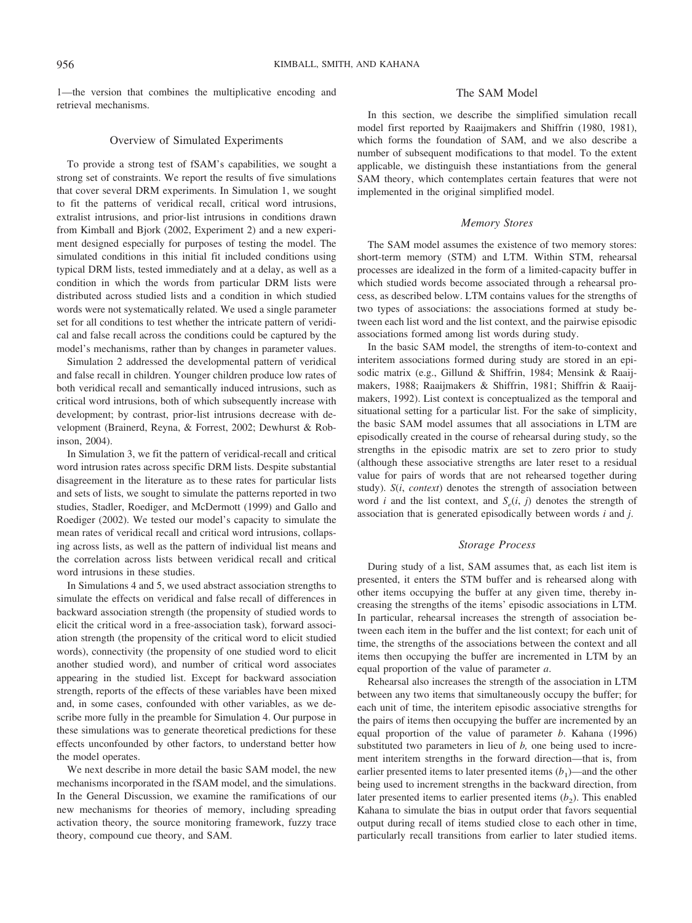1—the version that combines the multiplicative encoding and retrieval mechanisms.

### Overview of Simulated Experiments

To provide a strong test of fSAM's capabilities, we sought a strong set of constraints. We report the results of five simulations that cover several DRM experiments. In Simulation 1, we sought to fit the patterns of veridical recall, critical word intrusions, extralist intrusions, and prior-list intrusions in conditions drawn from Kimball and Bjork (2002, Experiment 2) and a new experiment designed especially for purposes of testing the model. The simulated conditions in this initial fit included conditions using typical DRM lists, tested immediately and at a delay, as well as a condition in which the words from particular DRM lists were distributed across studied lists and a condition in which studied words were not systematically related. We used a single parameter set for all conditions to test whether the intricate pattern of veridical and false recall across the conditions could be captured by the model's mechanisms, rather than by changes in parameter values.

Simulation 2 addressed the developmental pattern of veridical and false recall in children. Younger children produce low rates of both veridical recall and semantically induced intrusions, such as critical word intrusions, both of which subsequently increase with development; by contrast, prior-list intrusions decrease with development (Brainerd, Reyna, & Forrest, 2002; Dewhurst & Robinson, 2004).

In Simulation 3, we fit the pattern of veridical-recall and critical word intrusion rates across specific DRM lists. Despite substantial disagreement in the literature as to these rates for particular lists and sets of lists, we sought to simulate the patterns reported in two studies, Stadler, Roediger, and McDermott (1999) and Gallo and Roediger (2002). We tested our model's capacity to simulate the mean rates of veridical recall and critical word intrusions, collapsing across lists, as well as the pattern of individual list means and the correlation across lists between veridical recall and critical word intrusions in these studies.

In Simulations 4 and 5, we used abstract association strengths to simulate the effects on veridical and false recall of differences in backward association strength (the propensity of studied words to elicit the critical word in a free-association task), forward association strength (the propensity of the critical word to elicit studied words), connectivity (the propensity of one studied word to elicit another studied word), and number of critical word associates appearing in the studied list. Except for backward association strength, reports of the effects of these variables have been mixed and, in some cases, confounded with other variables, as we describe more fully in the preamble for Simulation 4. Our purpose in these simulations was to generate theoretical predictions for these effects unconfounded by other factors, to understand better how the model operates.

We next describe in more detail the basic SAM model, the new mechanisms incorporated in the fSAM model, and the simulations. In the General Discussion, we examine the ramifications of our new mechanisms for theories of memory, including spreading activation theory, the source monitoring framework, fuzzy trace theory, compound cue theory, and SAM.

## The SAM Model

In this section, we describe the simplified simulation recall model first reported by Raaijmakers and Shiffrin (1980, 1981), which forms the foundation of SAM, and we also describe a number of subsequent modifications to that model. To the extent applicable, we distinguish these instantiations from the general SAM theory, which contemplates certain features that were not implemented in the original simplified model.

## *Memory Stores*

The SAM model assumes the existence of two memory stores: short-term memory (STM) and LTM. Within STM, rehearsal processes are idealized in the form of a limited-capacity buffer in which studied words become associated through a rehearsal process, as described below. LTM contains values for the strengths of two types of associations: the associations formed at study between each list word and the list context, and the pairwise episodic associations formed among list words during study.

In the basic SAM model, the strengths of item-to-context and interitem associations formed during study are stored in an episodic matrix (e.g., Gillund & Shiffrin, 1984; Mensink & Raaijmakers, 1988; Raaijmakers & Shiffrin, 1981; Shiffrin & Raaijmakers, 1992). List context is conceptualized as the temporal and situational setting for a particular list. For the sake of simplicity, the basic SAM model assumes that all associations in LTM are episodically created in the course of rehearsal during study, so the strengths in the episodic matrix are set to zero prior to study (although these associative strengths are later reset to a residual value for pairs of words that are not rehearsed together during study). *S*(*i*, *context*) denotes the strength of association between word *i* and the list context, and  $S_e(i, j)$  denotes the strength of association that is generated episodically between words *i* and *j*.

### *Storage Process*

During study of a list, SAM assumes that, as each list item is presented, it enters the STM buffer and is rehearsed along with other items occupying the buffer at any given time, thereby increasing the strengths of the items' episodic associations in LTM. In particular, rehearsal increases the strength of association between each item in the buffer and the list context; for each unit of time, the strengths of the associations between the context and all items then occupying the buffer are incremented in LTM by an equal proportion of the value of parameter *a*.

Rehearsal also increases the strength of the association in LTM between any two items that simultaneously occupy the buffer; for each unit of time, the interitem episodic associative strengths for the pairs of items then occupying the buffer are incremented by an equal proportion of the value of parameter *b*. Kahana (1996) substituted two parameters in lieu of *b,* one being used to increment interitem strengths in the forward direction—that is, from earlier presented items to later presented items  $(b_1)$ —and the other being used to increment strengths in the backward direction, from later presented items to earlier presented items  $(b_2)$ . This enabled Kahana to simulate the bias in output order that favors sequential output during recall of items studied close to each other in time, particularly recall transitions from earlier to later studied items.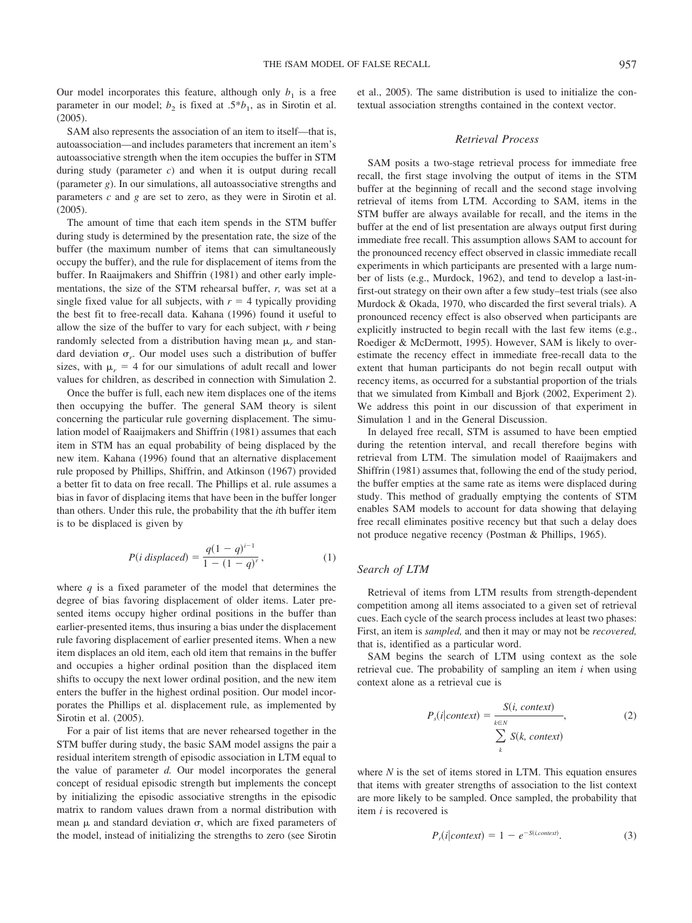Our model incorporates this feature, although only  $b_1$  is a free parameter in our model;  $b_2$  is fixed at .5\* $b_1$ , as in Sirotin et al. (2005).

SAM also represents the association of an item to itself—that is, autoassociation—and includes parameters that increment an item's autoassociative strength when the item occupies the buffer in STM during study (parameter *c*) and when it is output during recall (parameter *g*). In our simulations, all autoassociative strengths and parameters *c* and *g* are set to zero, as they were in Sirotin et al. (2005).

The amount of time that each item spends in the STM buffer during study is determined by the presentation rate, the size of the buffer (the maximum number of items that can simultaneously occupy the buffer), and the rule for displacement of items from the buffer. In Raaijmakers and Shiffrin (1981) and other early implementations, the size of the STM rehearsal buffer, *r,* was set at a single fixed value for all subjects, with  $r = 4$  typically providing the best fit to free-recall data. Kahana (1996) found it useful to allow the size of the buffer to vary for each subject, with *r* being randomly selected from a distribution having mean  $\mu_r$  and standard deviation  $\sigma_r$ . Our model uses such a distribution of buffer sizes, with  $\mu_r = 4$  for our simulations of adult recall and lower values for children, as described in connection with Simulation 2.

Once the buffer is full, each new item displaces one of the items then occupying the buffer. The general SAM theory is silent concerning the particular rule governing displacement. The simulation model of Raaijmakers and Shiffrin (1981) assumes that each item in STM has an equal probability of being displaced by the new item. Kahana (1996) found that an alternative displacement rule proposed by Phillips, Shiffrin, and Atkinson (1967) provided a better fit to data on free recall. The Phillips et al. rule assumes a bias in favor of displacing items that have been in the buffer longer than others. Under this rule, the probability that the *i*th buffer item is to be displaced is given by

$$
P(i\,\,displaced) = \frac{q(1-q)^{i-1}}{1-(1-q)^r},\tag{1}
$$

where  $q$  is a fixed parameter of the model that determines the degree of bias favoring displacement of older items. Later presented items occupy higher ordinal positions in the buffer than earlier-presented items, thus insuring a bias under the displacement rule favoring displacement of earlier presented items. When a new item displaces an old item, each old item that remains in the buffer and occupies a higher ordinal position than the displaced item shifts to occupy the next lower ordinal position, and the new item enters the buffer in the highest ordinal position. Our model incorporates the Phillips et al. displacement rule, as implemented by Sirotin et al. (2005).

For a pair of list items that are never rehearsed together in the STM buffer during study, the basic SAM model assigns the pair a residual interitem strength of episodic association in LTM equal to the value of parameter *d.* Our model incorporates the general concept of residual episodic strength but implements the concept by initializing the episodic associative strengths in the episodic matrix to random values drawn from a normal distribution with mean  $\mu$  and standard deviation  $\sigma$ , which are fixed parameters of the model, instead of initializing the strengths to zero (see Sirotin et al., 2005). The same distribution is used to initialize the contextual association strengths contained in the context vector.

#### *Retrieval Process*

SAM posits a two-stage retrieval process for immediate free recall, the first stage involving the output of items in the STM buffer at the beginning of recall and the second stage involving retrieval of items from LTM. According to SAM, items in the STM buffer are always available for recall, and the items in the buffer at the end of list presentation are always output first during immediate free recall. This assumption allows SAM to account for the pronounced recency effect observed in classic immediate recall experiments in which participants are presented with a large number of lists (e.g., Murdock, 1962), and tend to develop a last-infirst-out strategy on their own after a few study–test trials (see also Murdock & Okada, 1970, who discarded the first several trials). A pronounced recency effect is also observed when participants are explicitly instructed to begin recall with the last few items (e.g., Roediger & McDermott, 1995). However, SAM is likely to overestimate the recency effect in immediate free-recall data to the extent that human participants do not begin recall output with recency items, as occurred for a substantial proportion of the trials that we simulated from Kimball and Bjork (2002, Experiment 2). We address this point in our discussion of that experiment in Simulation 1 and in the General Discussion.

In delayed free recall, STM is assumed to have been emptied during the retention interval, and recall therefore begins with retrieval from LTM. The simulation model of Raaijmakers and Shiffrin (1981) assumes that, following the end of the study period, the buffer empties at the same rate as items were displaced during study. This method of gradually emptying the contents of STM enables SAM models to account for data showing that delaying free recall eliminates positive recency but that such a delay does not produce negative recency (Postman & Phillips, 1965).

## *Search of LTM*

Retrieval of items from LTM results from strength-dependent competition among all items associated to a given set of retrieval cues. Each cycle of the search process includes at least two phases: First, an item is *sampled,* and then it may or may not be *recovered,* that is, identified as a particular word.

SAM begins the search of LTM using context as the sole retrieval cue. The probability of sampling an item *i* when using context alone as a retrieval cue is

$$
P_s(i|context) = \frac{S(i, context)}{\sum_{k \in N} S(k, context)},
$$
\n(2)

where *N* is the set of items stored in LTM. This equation ensures that items with greater strengths of association to the list context are more likely to be sampled. Once sampled, the probability that item *i* is recovered is

$$
P_r(i|context) = 1 - e^{-S(i, context)}.
$$
 (3)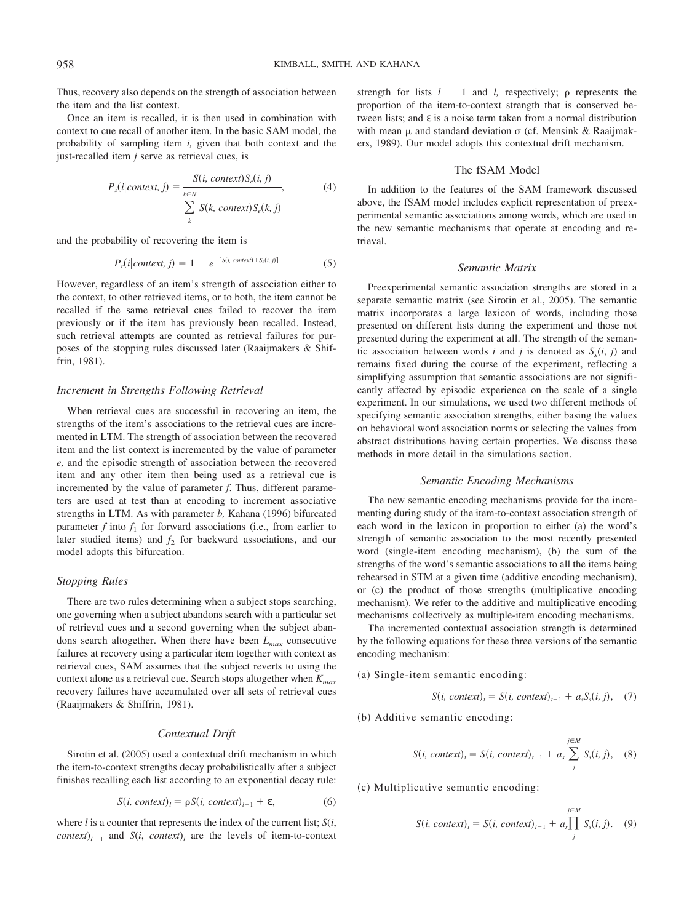Thus, recovery also depends on the strength of association between the item and the list context.

Once an item is recalled, it is then used in combination with context to cue recall of another item. In the basic SAM model, the probability of sampling item *i,* given that both context and the just-recalled item *j* serve as retrieval cues, is

$$
P_s(i|context, j) = \frac{S(i, context)S_e(i, j)}{\sum_{k \in N} S(k, context)S_e(k, j)},
$$
\n(4)

and the probability of recovering the item is

$$
P_r(i|context, j) = 1 - e^{-[S(i, context) + S_e(i, j)]}
$$
(5)

However, regardless of an item's strength of association either to the context, to other retrieved items, or to both, the item cannot be recalled if the same retrieval cues failed to recover the item previously or if the item has previously been recalled. Instead, such retrieval attempts are counted as retrieval failures for purposes of the stopping rules discussed later (Raaijmakers & Shiffrin, 1981).

### *Increment in Strengths Following Retrieval*

When retrieval cues are successful in recovering an item, the strengths of the item's associations to the retrieval cues are incremented in LTM. The strength of association between the recovered item and the list context is incremented by the value of parameter *e,* and the episodic strength of association between the recovered item and any other item then being used as a retrieval cue is incremented by the value of parameter *f*. Thus, different parameters are used at test than at encoding to increment associative strengths in LTM. As with parameter *b,* Kahana (1996) bifurcated parameter  $f$  into  $f_1$  for forward associations (i.e., from earlier to later studied items) and  $f_2$  for backward associations, and our model adopts this bifurcation.

#### *Stopping Rules*

There are two rules determining when a subject stops searching, one governing when a subject abandons search with a particular set of retrieval cues and a second governing when the subject abandons search altogether. When there have been *Lmax* consecutive failures at recovery using a particular item together with context as retrieval cues, SAM assumes that the subject reverts to using the context alone as a retrieval cue. Search stops altogether when  $K_{max}$ recovery failures have accumulated over all sets of retrieval cues (Raaijmakers & Shiffrin, 1981).

#### *Contextual Drift*

Sirotin et al. (2005) used a contextual drift mechanism in which the item-to-context strengths decay probabilistically after a subject finishes recalling each list according to an exponential decay rule:

$$
S(i, context)_l = \rho S(i, context)_{l-1} + \varepsilon,
$$
 (6)

where *l* is a counter that represents the index of the current list; *S*(*i*, *context*)<sub> $l-1$ </sub> and *S*(*i*, *context*)<sub>*l*</sub> are the levels of item-to-context strength for lists  $l - 1$  and *l*, respectively;  $\rho$  represents the proportion of the item-to-context strength that is conserved between lists; and ε is a noise term taken from a normal distribution with mean  $\mu$  and standard deviation  $\sigma$  (cf. Mensink & Raaijmakers, 1989). Our model adopts this contextual drift mechanism.

### The fSAM Model

In addition to the features of the SAM framework discussed above, the fSAM model includes explicit representation of preexperimental semantic associations among words, which are used in the new semantic mechanisms that operate at encoding and retrieval.

### *Semantic Matrix*

Preexperimental semantic association strengths are stored in a separate semantic matrix (see Sirotin et al., 2005). The semantic matrix incorporates a large lexicon of words, including those presented on different lists during the experiment and those not presented during the experiment at all. The strength of the semantic association between words *i* and *j* is denoted as  $S<sub>s</sub>(i, j)$  and remains fixed during the course of the experiment, reflecting a simplifying assumption that semantic associations are not significantly affected by episodic experience on the scale of a single experiment. In our simulations, we used two different methods of specifying semantic association strengths, either basing the values on behavioral word association norms or selecting the values from abstract distributions having certain properties. We discuss these methods in more detail in the simulations section.

### *Semantic Encoding Mechanisms*

The new semantic encoding mechanisms provide for the incrementing during study of the item-to-context association strength of each word in the lexicon in proportion to either (a) the word's strength of semantic association to the most recently presented word (single-item encoding mechanism), (b) the sum of the strengths of the word's semantic associations to all the items being rehearsed in STM at a given time (additive encoding mechanism), or (c) the product of those strengths (multiplicative encoding mechanism). We refer to the additive and multiplicative encoding mechanisms collectively as multiple-item encoding mechanisms.

The incremented contextual association strength is determined by the following equations for these three versions of the semantic encoding mechanism:

(a) Single-item semantic encoding:

$$
S(i, context)_t = S(i, context)_{t-1} + a_s S_s(i, j), \quad (7)
$$

(b) Additive semantic encoding:

$$
S(i, context)_t = S(i, context)_{t-1} + a_s \sum_{j}^{j \in M} S_s(i, j), \quad (8)
$$

(c) Multiplicative semantic encoding:

$$
S(i, context)_t = S(i, context)_{t-1} + a_s \prod_j^{j \in M} S_s(i, j).
$$
 (9)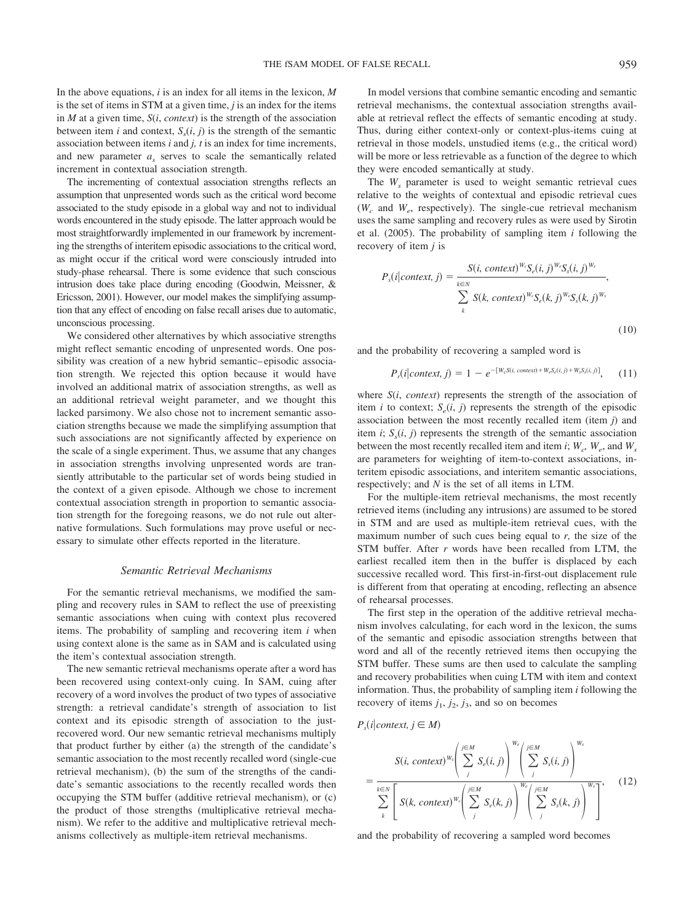In the above equations, *i* is an index for all items in the lexicon, *M* is the set of items in STM at a given time, *j* is an index for the items in  $M$  at a given time,  $S(i, context)$  is the strength of the association between item *i* and context,  $S_s(i, j)$  is the strength of the semantic association between items *i* and *j, t* is an index for time increments, and new parameter *as* serves to scale the semantically related increment in contextual association strength.

The incrementing of contextual association strengths reflects an assumption that unpresented words such as the critical word become associated to the study episode in a global way and not to individual words encountered in the study episode. The latter approach would be most straightforwardly implemented in our framework by incrementing the strengths of interitem episodic associations to the critical word, as might occur if the critical word were consciously intruded into study-phase rehearsal. There is some evidence that such conscious intrusion does take place during encoding (Goodwin, Meissner, & Ericsson, 2001). However, our model makes the simplifying assumption that any effect of encoding on false recall arises due to automatic, unconscious processing.

We considered other alternatives by which associative strengths might reflect semantic encoding of unpresented words. One possibility was creation of a new hybrid semantic– episodic association strength. We rejected this option because it would have involved an additional matrix of association strengths, as well as an additional retrieval weight parameter, and we thought this lacked parsimony. We also chose not to increment semantic association strengths because we made the simplifying assumption that such associations are not significantly affected by experience on the scale of a single experiment. Thus, we assume that any changes in association strengths involving unpresented words are transiently attributable to the particular set of words being studied in the context of a given episode. Although we chose to increment contextual association strength in proportion to semantic association strength for the foregoing reasons, we do not rule out alternative formulations. Such formulations may prove useful or necessary to simulate other effects reported in the literature.

#### *Semantic Retrieval Mechanisms*

For the semantic retrieval mechanisms, we modified the sampling and recovery rules in SAM to reflect the use of preexisting semantic associations when cuing with context plus recovered items. The probability of sampling and recovering item *i* when using context alone is the same as in SAM and is calculated using the item's contextual association strength.

The new semantic retrieval mechanisms operate after a word has been recovered using context-only cuing. In SAM, cuing after recovery of a word involves the product of two types of associative strength: a retrieval candidate's strength of association to list context and its episodic strength of association to the justrecovered word. Our new semantic retrieval mechanisms multiply that product further by either (a) the strength of the candidate's semantic association to the most recently recalled word (single-cue retrieval mechanism), (b) the sum of the strengths of the candidate's semantic associations to the recently recalled words then occupying the STM buffer (additive retrieval mechanism), or (c) the product of those strengths (multiplicative retrieval mechanism). We refer to the additive and multiplicative retrieval mechanisms collectively as multiple-item retrieval mechanisms.

In model versions that combine semantic encoding and semantic retrieval mechanisms, the contextual association strengths available at retrieval reflect the effects of semantic encoding at study. Thus, during either context-only or context-plus-items cuing at retrieval in those models, unstudied items (e.g., the critical word) will be more or less retrievable as a function of the degree to which they were encoded semantically at study.

The *W<sub>s</sub>* parameter is used to weight semantic retrieval cues relative to the weights of contextual and episodic retrieval cues  $(W_c$  and  $W_e$ , respectively). The single-cue retrieval mechanism uses the same sampling and recovery rules as were used by Sirotin et al. (2005). The probability of sampling item *i* following the recovery of item *j* is

$$
P_s(i|context, j) = \frac{S(i, context)^{W_c}S_e(i, j)^{W_c}S_s(i, j)^{W_s}}{\sum_{k} S(k, context)^{W_c}S_e(k, j)^{W_c}S_s(k, j)^{W_s}}
$$
\n(10)

and the probability of recovering a sampled word is

$$
P_r(i|context, j) = 1 - e^{-[W_c S(i, context) + W_c S_c(i, j) + W_s S_s(i, j)]}, \quad (11)
$$

where *S*(*i*, *context*) represents the strength of the association of item *i* to context;  $S_e(i, j)$  represents the strength of the episodic association between the most recently recalled item (item *j*) and item  $i$ ;  $S<sub>s</sub>(i, j)$  represents the strength of the semantic association between the most recently recalled item and item *i*;  $W_c$ ,  $W_e$ , and  $W_s$ are parameters for weighting of item-to-context associations, interitem episodic associations, and interitem semantic associations, respectively; and *N* is the set of all items in LTM.

For the multiple-item retrieval mechanisms, the most recently retrieved items (including any intrusions) are assumed to be stored in STM and are used as multiple-item retrieval cues, with the maximum number of such cues being equal to *r,* the size of the STM buffer. After *r* words have been recalled from LTM, the earliest recalled item then in the buffer is displaced by each successive recalled word. This first-in-first-out displacement rule is different from that operating at encoding, reflecting an absence of rehearsal processes.

The first step in the operation of the additive retrieval mechanism involves calculating, for each word in the lexicon, the sums of the semantic and episodic association strengths between that word and all of the recently retrieved items then occupying the STM buffer. These sums are then used to calculate the sampling and recovery probabilities when cuing LTM with item and context information. Thus, the probability of sampling item *i* following the recovery of items  $j_1$ ,  $j_2$ ,  $j_3$ , and so on becomes

 $P_s(i|context, j \in M)$ 

$$
= \frac{S(i, context)^{w_c} \left( \sum_{j}^{j \in M} S_e(i, j) \right)^{w_c} \left( \sum_{j}^{j \in M} S_s(i, j) \right)^{w_s}}{\sum_{k}^{N} \left[ S(k, context)^{w_c} \left( \sum_{j}^{j \in M} S_e(k, j) \right)^{w_c} \left( \sum_{j}^{j \in M} S_s(k, j) \right)^{w_s} \right]},
$$
(12)

and the probability of recovering a sampled word becomes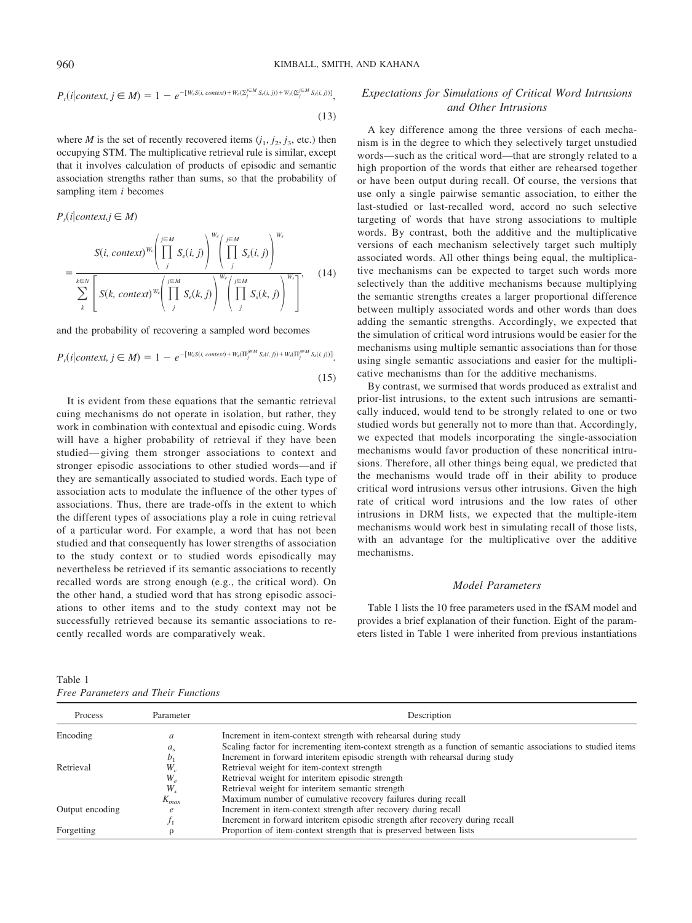$$
P_r(i|context, j \in M) = 1 - e^{-[W_c S(i, context) + W_c(\sum_j^{j \in M} S_c(i,j)) + W_s(\sum_j^{j \in M} S_s(i,j))]},
$$
\n(13)

where *M* is the set of recently recovered items  $(j_1, j_2, j_3, \text{ etc.})$  then occupying STM. The multiplicative retrieval rule is similar, except that it involves calculation of products of episodic and semantic association strengths rather than sums, so that the probability of sampling item *i* becomes

$$
P_s(i|context, j \in M)
$$
  
\n
$$
S(i, context)^{w_c} \left( \prod_{j}^{j \in M} S_c(i, j) \right)^{W_c} \left( \prod_{j}^{j \in M} S_s(i, j) \right)^{W_s}
$$
  
\n
$$
= \frac{1}{\sum_{k \in N} \left[ S(k, context)^{W_c} \left( \prod_{j}^{j \in M} S_c(k, j) \right)^{W_c} \left( \prod_{j}^{j \in M} S_s(k, j) \right)^{W_s} \right]},
$$
\n(14)

and the probability of recovering a sampled word becomes

$$
P_r(i|context, j \in M) = 1 - e^{-[W_s S(i, context) + W_e(\Pi_j^{j \in M} S_e(i,j)) + W_s(\Pi_j^{j \in M} S_s(i,j))]}.
$$
\n(15)

It is evident from these equations that the semantic retrieval cuing mechanisms do not operate in isolation, but rather, they work in combination with contextual and episodic cuing. Words will have a higher probability of retrieval if they have been studied— giving them stronger associations to context and stronger episodic associations to other studied words—and if they are semantically associated to studied words. Each type of association acts to modulate the influence of the other types of associations. Thus, there are trade-offs in the extent to which the different types of associations play a role in cuing retrieval of a particular word. For example, a word that has not been studied and that consequently has lower strengths of association to the study context or to studied words episodically may nevertheless be retrieved if its semantic associations to recently recalled words are strong enough (e.g., the critical word). On the other hand, a studied word that has strong episodic associations to other items and to the study context may not be successfully retrieved because its semantic associations to recently recalled words are comparatively weak.

| Table 1                             |  |  |
|-------------------------------------|--|--|
| Free Parameters and Their Functions |  |  |

## *Expectations for Simulations of Critical Word Intrusions and Other Intrusions*

A key difference among the three versions of each mechanism is in the degree to which they selectively target unstudied words—such as the critical word—that are strongly related to a high proportion of the words that either are rehearsed together or have been output during recall. Of course, the versions that use only a single pairwise semantic association, to either the last-studied or last-recalled word, accord no such selective targeting of words that have strong associations to multiple words. By contrast, both the additive and the multiplicative versions of each mechanism selectively target such multiply associated words. All other things being equal, the multiplicative mechanisms can be expected to target such words more selectively than the additive mechanisms because multiplying the semantic strengths creates a larger proportional difference between multiply associated words and other words than does adding the semantic strengths. Accordingly, we expected that the simulation of critical word intrusions would be easier for the mechanisms using multiple semantic associations than for those using single semantic associations and easier for the multiplicative mechanisms than for the additive mechanisms.

By contrast, we surmised that words produced as extralist and prior-list intrusions, to the extent such intrusions are semantically induced, would tend to be strongly related to one or two studied words but generally not to more than that. Accordingly, we expected that models incorporating the single-association mechanisms would favor production of these noncritical intrusions. Therefore, all other things being equal, we predicted that the mechanisms would trade off in their ability to produce critical word intrusions versus other intrusions. Given the high rate of critical word intrusions and the low rates of other intrusions in DRM lists, we expected that the multiple-item mechanisms would work best in simulating recall of those lists, with an advantage for the multiplicative over the additive mechanisms.

#### *Model Parameters*

Table 1 lists the 10 free parameters used in the fSAM model and provides a brief explanation of their function. Eight of the parameters listed in Table 1 were inherited from previous instantiations

| Process         | Parameter                  | Description                                                                                                   |
|-----------------|----------------------------|---------------------------------------------------------------------------------------------------------------|
| Encoding        | a                          | Increment in item-context strength with rehearsal during study                                                |
|                 | $a_{s}$                    | Scaling factor for incrementing item-context strength as a function of semantic associations to studied items |
|                 | b <sub>1</sub>             | Increment in forward interitem episodic strength with rehearsal during study                                  |
| Retrieval       | $W_c$                      | Retrieval weight for item-context strength                                                                    |
|                 | $W_{\scriptscriptstyle e}$ | Retrieval weight for interitem episodic strength                                                              |
|                 | $W_{s}$                    | Retrieval weight for interitem semantic strength                                                              |
|                 | $K_{max}$                  | Maximum number of cumulative recovery failures during recall                                                  |
| Output encoding | $\ell$                     | Increment in item-context strength after recovery during recall                                               |
|                 |                            | Increment in forward interitem episodic strength after recovery during recall                                 |
| Forgetting      |                            | Proportion of item-context strength that is preserved between lists                                           |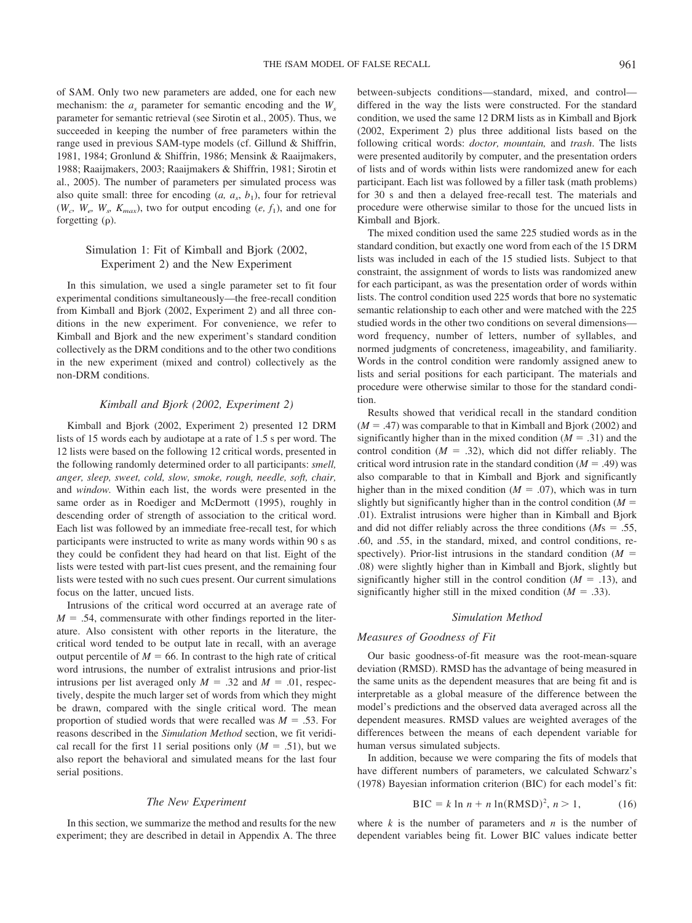of SAM. Only two new parameters are added, one for each new mechanism: the  $a_s$  parameter for semantic encoding and the  $W_s$ parameter for semantic retrieval (see Sirotin et al., 2005). Thus, we succeeded in keeping the number of free parameters within the range used in previous SAM-type models (cf. Gillund & Shiffrin, 1981, 1984; Gronlund & Shiffrin, 1986; Mensink & Raaijmakers, 1988; Raaijmakers, 2003; Raaijmakers & Shiffrin, 1981; Sirotin et al., 2005). The number of parameters per simulated process was also quite small: three for encoding  $(a, a_s, b_1)$ , four for retrieval  $(W_c, W_e, W_s, K_{max})$ , two for output encoding  $(e, f_1)$ , and one for forgetting  $(\rho)$ .

## Simulation 1: Fit of Kimball and Bjork (2002, Experiment 2) and the New Experiment

In this simulation, we used a single parameter set to fit four experimental conditions simultaneously—the free-recall condition from Kimball and Bjork (2002, Experiment 2) and all three conditions in the new experiment. For convenience, we refer to Kimball and Bjork and the new experiment's standard condition collectively as the DRM conditions and to the other two conditions in the new experiment (mixed and control) collectively as the non-DRM conditions.

## *Kimball and Bjork (2002, Experiment 2)*

Kimball and Bjork (2002, Experiment 2) presented 12 DRM lists of 15 words each by audiotape at a rate of 1.5 s per word. The 12 lists were based on the following 12 critical words, presented in the following randomly determined order to all participants: *smell, anger, sleep, sweet, cold, slow, smoke, rough, needle, soft, chair,* and *window.* Within each list, the words were presented in the same order as in Roediger and McDermott (1995), roughly in descending order of strength of association to the critical word. Each list was followed by an immediate free-recall test, for which participants were instructed to write as many words within 90 s as they could be confident they had heard on that list. Eight of the lists were tested with part-list cues present, and the remaining four lists were tested with no such cues present. Our current simulations focus on the latter, uncued lists.

Intrusions of the critical word occurred at an average rate of  $M = .54$ , commensurate with other findings reported in the literature. Also consistent with other reports in the literature, the critical word tended to be output late in recall, with an average output percentile of  $M = 66$ . In contrast to the high rate of critical word intrusions, the number of extralist intrusions and prior-list intrusions per list averaged only  $M = .32$  and  $M = .01$ , respectively, despite the much larger set of words from which they might be drawn, compared with the single critical word. The mean proportion of studied words that were recalled was  $M = .53$ . For reasons described in the *Simulation Method* section, we fit veridical recall for the first 11 serial positions only  $(M = .51)$ , but we also report the behavioral and simulated means for the last four serial positions.

#### *The New Experiment*

In this section, we summarize the method and results for the new experiment; they are described in detail in Appendix A. The three between-subjects conditions—standard, mixed, and control differed in the way the lists were constructed. For the standard condition, we used the same 12 DRM lists as in Kimball and Bjork (2002, Experiment 2) plus three additional lists based on the following critical words: *doctor, mountain,* and *trash*. The lists were presented auditorily by computer, and the presentation orders of lists and of words within lists were randomized anew for each participant. Each list was followed by a filler task (math problems) for 30 s and then a delayed free-recall test. The materials and procedure were otherwise similar to those for the uncued lists in Kimball and Bjork.

The mixed condition used the same 225 studied words as in the standard condition, but exactly one word from each of the 15 DRM lists was included in each of the 15 studied lists. Subject to that constraint, the assignment of words to lists was randomized anew for each participant, as was the presentation order of words within lists. The control condition used 225 words that bore no systematic semantic relationship to each other and were matched with the 225 studied words in the other two conditions on several dimensions word frequency, number of letters, number of syllables, and normed judgments of concreteness, imageability, and familiarity. Words in the control condition were randomly assigned anew to lists and serial positions for each participant. The materials and procedure were otherwise similar to those for the standard condition.

Results showed that veridical recall in the standard condition  $(M = .47)$  was comparable to that in Kimball and Bjork (2002) and significantly higher than in the mixed condition  $(M = .31)$  and the control condition  $(M = .32)$ , which did not differ reliably. The critical word intrusion rate in the standard condition  $(M = .49)$  was also comparable to that in Kimball and Bjork and significantly higher than in the mixed condition  $(M = .07)$ , which was in turn slightly but significantly higher than in the control condition  $(M =$ .01). Extralist intrusions were higher than in Kimball and Bjork and did not differ reliably across the three conditions ( $Ms = .55$ , .60, and .55, in the standard, mixed, and control conditions, respectively). Prior-list intrusions in the standard condition  $(M =$ .08) were slightly higher than in Kimball and Bjork, slightly but significantly higher still in the control condition  $(M = .13)$ , and significantly higher still in the mixed condition  $(M = .33)$ .

### *Simulation Method*

#### *Measures of Goodness of Fit*

Our basic goodness-of-fit measure was the root-mean-square deviation (RMSD). RMSD has the advantage of being measured in the same units as the dependent measures that are being fit and is interpretable as a global measure of the difference between the model's predictions and the observed data averaged across all the dependent measures. RMSD values are weighted averages of the differences between the means of each dependent variable for human versus simulated subjects.

In addition, because we were comparing the fits of models that have different numbers of parameters, we calculated Schwarz's (1978) Bayesian information criterion (BIC) for each model's fit:

$$
BIC = k \ln n + n \ln(RMSD)^2, n > 1,
$$
 (16)

where  $k$  is the number of parameters and  $n$  is the number of dependent variables being fit. Lower BIC values indicate better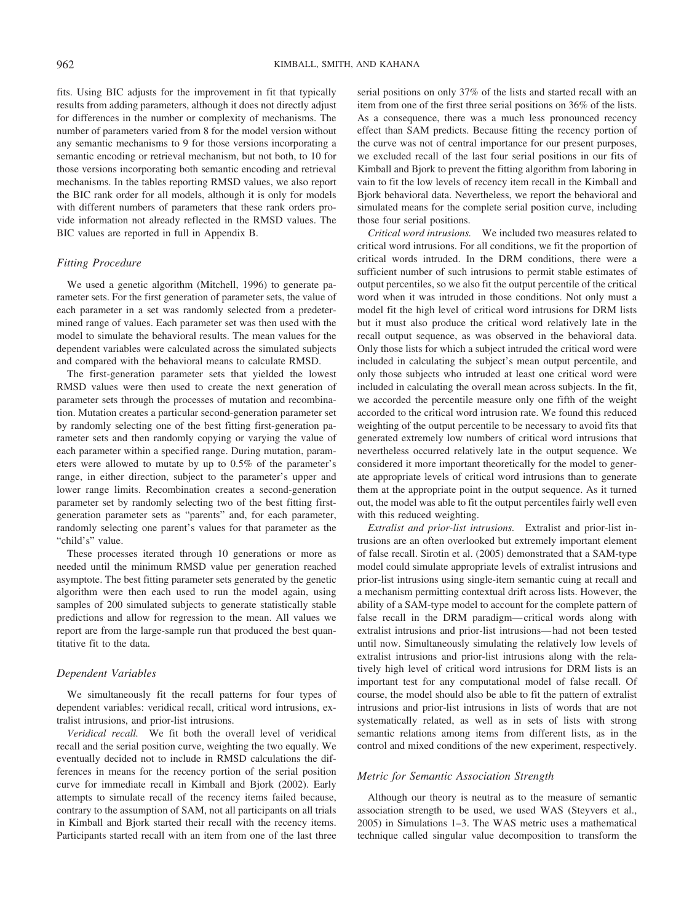fits. Using BIC adjusts for the improvement in fit that typically results from adding parameters, although it does not directly adjust for differences in the number or complexity of mechanisms. The number of parameters varied from 8 for the model version without any semantic mechanisms to 9 for those versions incorporating a semantic encoding or retrieval mechanism, but not both, to 10 for those versions incorporating both semantic encoding and retrieval mechanisms. In the tables reporting RMSD values, we also report the BIC rank order for all models, although it is only for models with different numbers of parameters that these rank orders provide information not already reflected in the RMSD values. The BIC values are reported in full in Appendix B.

## *Fitting Procedure*

We used a genetic algorithm (Mitchell, 1996) to generate parameter sets. For the first generation of parameter sets, the value of each parameter in a set was randomly selected from a predetermined range of values. Each parameter set was then used with the model to simulate the behavioral results. The mean values for the dependent variables were calculated across the simulated subjects and compared with the behavioral means to calculate RMSD.

The first-generation parameter sets that yielded the lowest RMSD values were then used to create the next generation of parameter sets through the processes of mutation and recombination. Mutation creates a particular second-generation parameter set by randomly selecting one of the best fitting first-generation parameter sets and then randomly copying or varying the value of each parameter within a specified range. During mutation, parameters were allowed to mutate by up to 0.5% of the parameter's range, in either direction, subject to the parameter's upper and lower range limits. Recombination creates a second-generation parameter set by randomly selecting two of the best fitting firstgeneration parameter sets as "parents" and, for each parameter, randomly selecting one parent's values for that parameter as the "child's" value.

These processes iterated through 10 generations or more as needed until the minimum RMSD value per generation reached asymptote. The best fitting parameter sets generated by the genetic algorithm were then each used to run the model again, using samples of 200 simulated subjects to generate statistically stable predictions and allow for regression to the mean. All values we report are from the large-sample run that produced the best quantitative fit to the data.

## *Dependent Variables*

We simultaneously fit the recall patterns for four types of dependent variables: veridical recall, critical word intrusions, extralist intrusions, and prior-list intrusions.

*Veridical recall.* We fit both the overall level of veridical recall and the serial position curve, weighting the two equally. We eventually decided not to include in RMSD calculations the differences in means for the recency portion of the serial position curve for immediate recall in Kimball and Bjork (2002). Early attempts to simulate recall of the recency items failed because, contrary to the assumption of SAM, not all participants on all trials in Kimball and Bjork started their recall with the recency items. Participants started recall with an item from one of the last three serial positions on only 37% of the lists and started recall with an item from one of the first three serial positions on 36% of the lists. As a consequence, there was a much less pronounced recency effect than SAM predicts. Because fitting the recency portion of the curve was not of central importance for our present purposes, we excluded recall of the last four serial positions in our fits of Kimball and Bjork to prevent the fitting algorithm from laboring in vain to fit the low levels of recency item recall in the Kimball and Bjork behavioral data. Nevertheless, we report the behavioral and simulated means for the complete serial position curve, including those four serial positions.

*Critical word intrusions.* We included two measures related to critical word intrusions. For all conditions, we fit the proportion of critical words intruded. In the DRM conditions, there were a sufficient number of such intrusions to permit stable estimates of output percentiles, so we also fit the output percentile of the critical word when it was intruded in those conditions. Not only must a model fit the high level of critical word intrusions for DRM lists but it must also produce the critical word relatively late in the recall output sequence, as was observed in the behavioral data. Only those lists for which a subject intruded the critical word were included in calculating the subject's mean output percentile, and only those subjects who intruded at least one critical word were included in calculating the overall mean across subjects. In the fit, we accorded the percentile measure only one fifth of the weight accorded to the critical word intrusion rate. We found this reduced weighting of the output percentile to be necessary to avoid fits that generated extremely low numbers of critical word intrusions that nevertheless occurred relatively late in the output sequence. We considered it more important theoretically for the model to generate appropriate levels of critical word intrusions than to generate them at the appropriate point in the output sequence. As it turned out, the model was able to fit the output percentiles fairly well even with this reduced weighting.

*Extralist and prior-list intrusions.* Extralist and prior-list intrusions are an often overlooked but extremely important element of false recall. Sirotin et al. (2005) demonstrated that a SAM-type model could simulate appropriate levels of extralist intrusions and prior-list intrusions using single-item semantic cuing at recall and a mechanism permitting contextual drift across lists. However, the ability of a SAM-type model to account for the complete pattern of false recall in the DRM paradigm— critical words along with extralist intrusions and prior-list intrusions— had not been tested until now. Simultaneously simulating the relatively low levels of extralist intrusions and prior-list intrusions along with the relatively high level of critical word intrusions for DRM lists is an important test for any computational model of false recall. Of course, the model should also be able to fit the pattern of extralist intrusions and prior-list intrusions in lists of words that are not systematically related, as well as in sets of lists with strong semantic relations among items from different lists, as in the control and mixed conditions of the new experiment, respectively.

### *Metric for Semantic Association Strength*

Although our theory is neutral as to the measure of semantic association strength to be used, we used WAS (Steyvers et al., 2005) in Simulations 1–3. The WAS metric uses a mathematical technique called singular value decomposition to transform the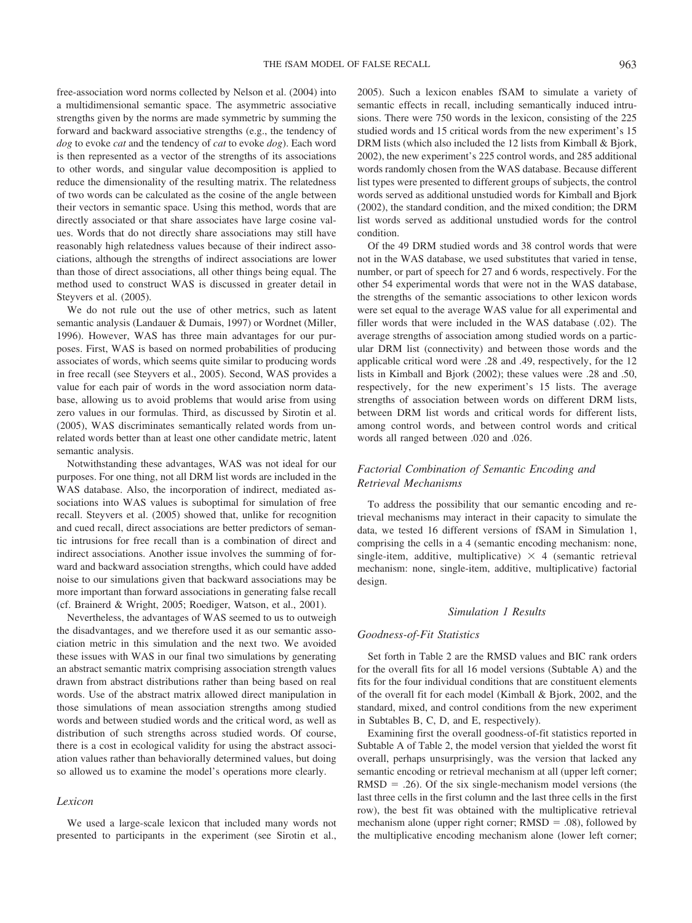free-association word norms collected by Nelson et al. (2004) into a multidimensional semantic space. The asymmetric associative strengths given by the norms are made symmetric by summing the forward and backward associative strengths (e.g., the tendency of *dog* to evoke *cat* and the tendency of *cat* to evoke *dog*). Each word is then represented as a vector of the strengths of its associations to other words, and singular value decomposition is applied to reduce the dimensionality of the resulting matrix. The relatedness of two words can be calculated as the cosine of the angle between their vectors in semantic space. Using this method, words that are directly associated or that share associates have large cosine values. Words that do not directly share associations may still have reasonably high relatedness values because of their indirect associations, although the strengths of indirect associations are lower than those of direct associations, all other things being equal. The method used to construct WAS is discussed in greater detail in Steyvers et al. (2005).

We do not rule out the use of other metrics, such as latent semantic analysis (Landauer & Dumais, 1997) or Wordnet (Miller, 1996). However, WAS has three main advantages for our purposes. First, WAS is based on normed probabilities of producing associates of words, which seems quite similar to producing words in free recall (see Steyvers et al., 2005). Second, WAS provides a value for each pair of words in the word association norm database, allowing us to avoid problems that would arise from using zero values in our formulas. Third, as discussed by Sirotin et al. (2005), WAS discriminates semantically related words from unrelated words better than at least one other candidate metric, latent semantic analysis.

Notwithstanding these advantages, WAS was not ideal for our purposes. For one thing, not all DRM list words are included in the WAS database. Also, the incorporation of indirect, mediated associations into WAS values is suboptimal for simulation of free recall. Steyvers et al. (2005) showed that, unlike for recognition and cued recall, direct associations are better predictors of semantic intrusions for free recall than is a combination of direct and indirect associations. Another issue involves the summing of forward and backward association strengths, which could have added noise to our simulations given that backward associations may be more important than forward associations in generating false recall (cf. Brainerd & Wright, 2005; Roediger, Watson, et al., 2001).

Nevertheless, the advantages of WAS seemed to us to outweigh the disadvantages, and we therefore used it as our semantic association metric in this simulation and the next two. We avoided these issues with WAS in our final two simulations by generating an abstract semantic matrix comprising association strength values drawn from abstract distributions rather than being based on real words. Use of the abstract matrix allowed direct manipulation in those simulations of mean association strengths among studied words and between studied words and the critical word, as well as distribution of such strengths across studied words. Of course, there is a cost in ecological validity for using the abstract association values rather than behaviorally determined values, but doing so allowed us to examine the model's operations more clearly.

## *Lexicon*

We used a large-scale lexicon that included many words not presented to participants in the experiment (see Sirotin et al.,

2005). Such a lexicon enables fSAM to simulate a variety of semantic effects in recall, including semantically induced intrusions. There were 750 words in the lexicon, consisting of the 225 studied words and 15 critical words from the new experiment's 15 DRM lists (which also included the 12 lists from Kimball & Bjork, 2002), the new experiment's 225 control words, and 285 additional words randomly chosen from the WAS database. Because different list types were presented to different groups of subjects, the control words served as additional unstudied words for Kimball and Bjork (2002), the standard condition, and the mixed condition; the DRM list words served as additional unstudied words for the control condition.

Of the 49 DRM studied words and 38 control words that were not in the WAS database, we used substitutes that varied in tense, number, or part of speech for 27 and 6 words, respectively. For the other 54 experimental words that were not in the WAS database, the strengths of the semantic associations to other lexicon words were set equal to the average WAS value for all experimental and filler words that were included in the WAS database (.02). The average strengths of association among studied words on a particular DRM list (connectivity) and between those words and the applicable critical word were .28 and .49, respectively, for the 12 lists in Kimball and Bjork (2002); these values were .28 and .50, respectively, for the new experiment's 15 lists. The average strengths of association between words on different DRM lists, between DRM list words and critical words for different lists, among control words, and between control words and critical words all ranged between .020 and .026.

## *Factorial Combination of Semantic Encoding and Retrieval Mechanisms*

To address the possibility that our semantic encoding and retrieval mechanisms may interact in their capacity to simulate the data, we tested 16 different versions of fSAM in Simulation 1, comprising the cells in a 4 (semantic encoding mechanism: none, single-item, additive, multiplicative)  $\times$  4 (semantic retrieval mechanism: none, single-item, additive, multiplicative) factorial design.

#### *Simulation 1 Results*

## *Goodness-of-Fit Statistics*

Set forth in Table 2 are the RMSD values and BIC rank orders for the overall fits for all 16 model versions (Subtable A) and the fits for the four individual conditions that are constituent elements of the overall fit for each model (Kimball & Bjork, 2002, and the standard, mixed, and control conditions from the new experiment in Subtables B, C, D, and E, respectively).

Examining first the overall goodness-of-fit statistics reported in Subtable A of Table 2, the model version that yielded the worst fit overall, perhaps unsurprisingly, was the version that lacked any semantic encoding or retrieval mechanism at all (upper left corner;  $RMSD = .26$ ). Of the six single-mechanism model versions (the last three cells in the first column and the last three cells in the first row), the best fit was obtained with the multiplicative retrieval mechanism alone (upper right corner;  $RMSD = .08$ ), followed by the multiplicative encoding mechanism alone (lower left corner;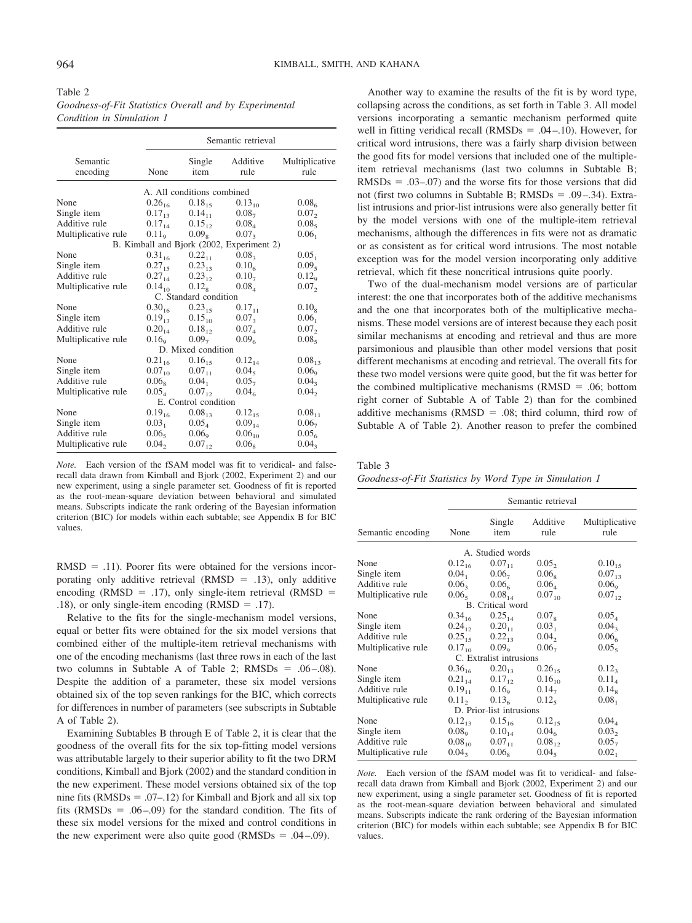| Table 2                                                |
|--------------------------------------------------------|
| Goodness-of-Fit Statistics Overall and by Experimental |
| Condition in Simulation 1                              |

|                      |                   |                            | Semantic retrieval                        |                        |
|----------------------|-------------------|----------------------------|-------------------------------------------|------------------------|
| Semantic<br>encoding | None              | Single<br>item             | Additive<br>rule                          | Multiplicative<br>rule |
|                      |                   | A. All conditions combined |                                           |                        |
| None                 | $0.26_{16}$       | $0.18_{15}$                | $0.13_{10}$                               | 0.08 <sub>6</sub>      |
| Single item          | $0.17_{13}$       | $0.14_{11}$                | 0.08 <sub>7</sub>                         | 0.07,                  |
| Additive rule        | $0.17_{14}$       | $0.15_{12}$                | $0.08_{4}$                                | 0.08 <sub>5</sub>      |
| Multiplicative rule  | 0.11 <sub>o</sub> | 0.09 <sub>8</sub>          | 0.07 <sub>3</sub>                         | 0.06 <sub>1</sub>      |
|                      |                   |                            | B. Kimball and Bjork (2002, Experiment 2) |                        |
| None                 | $0.31_{16}$       | $0.22_{11}$                | $0.08_{3}$                                | 0.05 <sub>1</sub>      |
| Single item          | $0.27_{15}$       | $0.23_{13}$                | 0.10 <sub>6</sub>                         | 0.09 <sub>5</sub>      |
| Additive rule        | $0.27_{14}$       | $0.23_{12}$                | $0.10_{7}$                                | $0.12_{\rm o}$         |
| Multiplicative rule  | $0.14_{10}$       | $0.12_{8}$                 | $0.08_{4}$                                | 0.07,                  |
|                      |                   | C. Standard condition      |                                           |                        |
| None                 |                   | $0.30_{16}$ $0.23_{15}$    | $0.17_{11}$                               | $0.10_{8}$             |
| Single item          | $0.19_{13}$       | $0.15_{10}$                | $0.07_{3}$                                | 0.06 <sub>1</sub>      |
| Additive rule        | $0.20_{14}$       | $0.18_{12}$                | 0.07 <sub>A</sub>                         | 0.07,                  |
| Multiplicative rule  | 0.16 <sub>o</sub> | $0.09_{7}$                 | 0.09 <sub>6</sub>                         | 0.08 <sub>5</sub>      |
|                      |                   | D. Mixed condition         |                                           |                        |
| None                 | $0.21_{16}$       | $0.16_{15}$                | $0.12_{14}$                               | $0.08_{13}$            |
| Single item          | $0.07_{10}$       | $0.07_{11}$                | $0.04_{5}$                                | 0.06 <sub>o</sub>      |
| Additive rule        | $0.06_{\rm s}$    | 0.04 <sub>1</sub>          | $0.05_{7}$                                | $0.04_{3}$             |
| Multiplicative rule  | $0.05_{4}$        | $0.07_{12}$                | 0.04 <sub>6</sub>                         | $0.04$ ,               |
|                      |                   | E. Control condition       |                                           |                        |
| None                 | $0.19_{16}$       | $0.08_{13}$                | $0.12_{15}$                               | $0.08_{11}$            |
| Single item          | 0.03 <sub>1</sub> | $0.05_4$                   | $0.09_{14}$                               | 0.06 <sub>7</sub>      |
| Additive rule        | $0.06_{5}$        | 0.06 <sub>9</sub>          | $0.06_{10}$                               | 0.05 <sub>6</sub>      |
| Multiplicative rule  | $0.04$ ,          | $0.07_{12}$                | 0.06 <sub>8</sub>                         | 0.04 <sub>3</sub>      |

*Note.* Each version of the fSAM model was fit to veridical- and falserecall data drawn from Kimball and Bjork (2002, Experiment 2) and our new experiment, using a single parameter set. Goodness of fit is reported as the root-mean-square deviation between behavioral and simulated means. Subscripts indicate the rank ordering of the Bayesian information criterion (BIC) for models within each subtable; see Appendix B for BIC values.

 $RMSD = .11$ ). Poorer fits were obtained for the versions incorporating only additive retrieval (RMSD =  $.13$ ), only additive encoding (RMSD = .17), only single-item retrieval (RMSD = .18), or only single-item encoding (RMSD  $=$  .17).

Relative to the fits for the single-mechanism model versions, equal or better fits were obtained for the six model versions that combined either of the multiple-item retrieval mechanisms with one of the encoding mechanisms (last three rows in each of the last two columns in Subtable A of Table 2;  $RMSDs = .06 - .08$ ). Despite the addition of a parameter, these six model versions obtained six of the top seven rankings for the BIC, which corrects for differences in number of parameters (see subscripts in Subtable A of Table 2).

Examining Subtables B through E of Table 2, it is clear that the goodness of the overall fits for the six top-fitting model versions was attributable largely to their superior ability to fit the two DRM conditions, Kimball and Bjork (2002) and the standard condition in the new experiment. These model versions obtained six of the top nine fits ( $RMSDs = .07-.12$ ) for Kimball and Bjork and all six top fits (RMSDs  $= .06 - .09$ ) for the standard condition. The fits of these six model versions for the mixed and control conditions in the new experiment were also quite good ( $\text{RMSDs} = .04 - .09$ ).

Another way to examine the results of the fit is by word type, collapsing across the conditions, as set forth in Table 3. All model versions incorporating a semantic mechanism performed quite well in fitting veridical recall  $(RMSDs = .04 - .10)$ . However, for critical word intrusions, there was a fairly sharp division between the good fits for model versions that included one of the multipleitem retrieval mechanisms (last two columns in Subtable B;  $RMSDs = .03-.07$ ) and the worse fits for those versions that did not (first two columns in Subtable B;  $RMSDs = .09 - .34$ ). Extralist intrusions and prior-list intrusions were also generally better fit by the model versions with one of the multiple-item retrieval mechanisms, although the differences in fits were not as dramatic or as consistent as for critical word intrusions. The most notable exception was for the model version incorporating only additive retrieval, which fit these noncritical intrusions quite poorly.

Two of the dual-mechanism model versions are of particular interest: the one that incorporates both of the additive mechanisms and the one that incorporates both of the multiplicative mechanisms. These model versions are of interest because they each posit similar mechanisms at encoding and retrieval and thus are more parsimonious and plausible than other model versions that posit different mechanisms at encoding and retrieval. The overall fits for these two model versions were quite good, but the fit was better for the combined multiplicative mechanisms  $(RMSD = .06;$  bottom right corner of Subtable A of Table 2) than for the combined additive mechanisms ( $RMSD = .08$ ; third column, third row of Subtable A of Table 2). Another reason to prefer the combined

Table 3 *Goodness-of-Fit Statistics by Word Type in Simulation 1*

|                     |                     |                          | Semantic retrieval  |                        |
|---------------------|---------------------|--------------------------|---------------------|------------------------|
| Semantic encoding   | None                | Single<br>item           | Additive<br>rule    | Multiplicative<br>rule |
|                     |                     | A. Studied words         |                     |                        |
| None                | $0.12_{16}$         | $0.07_{11}$              | $0.05_{2}$          | $0.10_{15}$            |
| Single item         | 0.04 <sub>1</sub>   | $0.06_{7}$               | $0.06_{\rm s}$      | $0.07_{13}$            |
| Additive rule       | $0.06$ <sub>3</sub> | 0.06 <sub>6</sub>        | $0.06_{4}$          | 0.06 <sub>o</sub>      |
| Multiplicative rule | 0.06 <sub>5</sub>   | $0.08_{14}$              | $0.07_{10}$         | $0.07_{12}$            |
|                     |                     | B. Critical word         |                     |                        |
| None                | $0.34_{16}$         | $0.25_{14}$              | $0.07_{8}$          | $0.05_{4}$             |
| Single item         | $0.24_{12}$         | $0.20_{11}$              | 0.03 <sub>1</sub>   | $0.04_{3}$             |
| Additive rule       | $0.25_{15}$         | $0.22_{13}$              | $0.04$ <sub>2</sub> | 0.06 <sub>6</sub>      |
| Multiplicative rule | $0.17_{10}$         | 0.09 <sub>o</sub>        | $0.06_{7}$          | 0.05 <sub>5</sub>      |
|                     |                     | C. Extralist intrusions  |                     |                        |
| None                | $0.36_{16}$         | $0.20_{13}$              | $0.26_{15}$         | $0.12_{3}$             |
| Single item         | $0.21_{14}$         | $0.17_{12}$              | $0.16_{10}$         | $0.11_{4}$             |
| Additive rule       | $0.19_{11}$         | $0.16_{9}$               | $0.14_{7}$          | $0.14_{8}$             |
| Multiplicative rule | $0.11$ ,            | 0.13 <sub>6</sub>        | 0.12 <sub>5</sub>   | 0.08 <sub>1</sub>      |
|                     |                     | D. Prior-list intrusions |                     |                        |
| None                | $0.12_{13}$         | $0.15_{16}$              | $0.12_{15}$         | $0.04_{\rm A}$         |
| Single item         | $0.08\degree$       | $0.10_{14}$              | 0.04 <sub>6</sub>   | $0.03_{2}$             |
| Additive rule       | $0.08_{10}$         | $0.07_{11}$              | $0.08_{12}$         | $0.05_{7}$             |
| Multiplicative rule | $0.04_{3}$          | $0.06_{\rm s}$           | 0.04 <sub>5</sub>   | 0.02 <sub>1</sub>      |

*Note.* Each version of the fSAM model was fit to veridical- and falserecall data drawn from Kimball and Bjork (2002, Experiment 2) and our new experiment, using a single parameter set. Goodness of fit is reported as the root-mean-square deviation between behavioral and simulated means. Subscripts indicate the rank ordering of the Bayesian information criterion (BIC) for models within each subtable; see Appendix B for BIC values.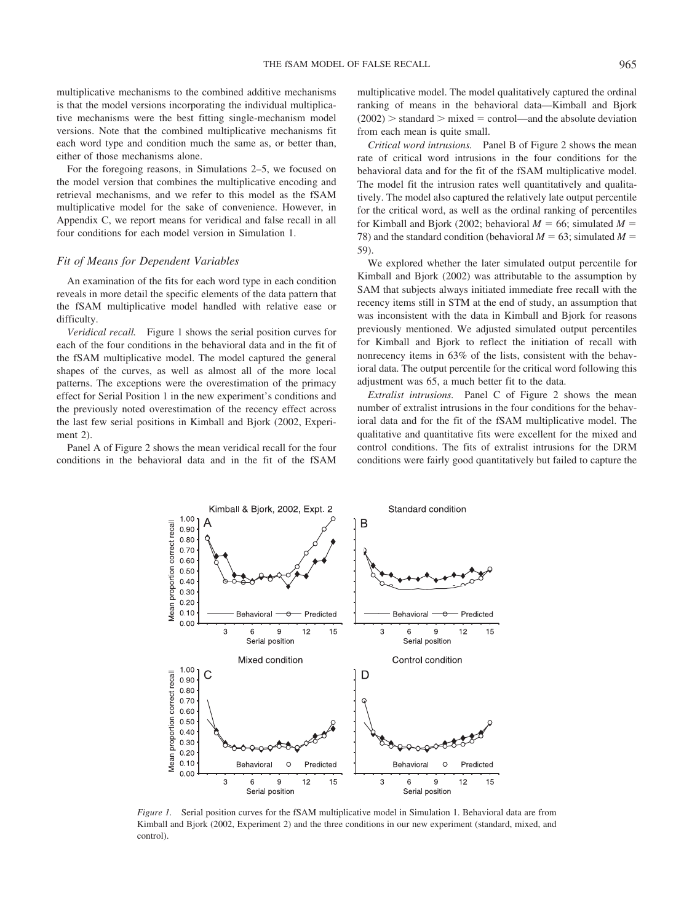multiplicative mechanisms to the combined additive mechanisms is that the model versions incorporating the individual multiplicative mechanisms were the best fitting single-mechanism model versions. Note that the combined multiplicative mechanisms fit each word type and condition much the same as, or better than, either of those mechanisms alone.

For the foregoing reasons, in Simulations 2–5, we focused on the model version that combines the multiplicative encoding and retrieval mechanisms, and we refer to this model as the fSAM multiplicative model for the sake of convenience. However, in Appendix C, we report means for veridical and false recall in all four conditions for each model version in Simulation 1.

### *Fit of Means for Dependent Variables*

An examination of the fits for each word type in each condition reveals in more detail the specific elements of the data pattern that the fSAM multiplicative model handled with relative ease or difficulty.

*Veridical recall.* Figure 1 shows the serial position curves for each of the four conditions in the behavioral data and in the fit of the fSAM multiplicative model. The model captured the general shapes of the curves, as well as almost all of the more local patterns. The exceptions were the overestimation of the primacy effect for Serial Position 1 in the new experiment's conditions and the previously noted overestimation of the recency effect across the last few serial positions in Kimball and Bjork (2002, Experiment 2).

Panel A of Figure 2 shows the mean veridical recall for the four conditions in the behavioral data and in the fit of the fSAM multiplicative model. The model qualitatively captured the ordinal ranking of means in the behavioral data—Kimball and Bjork  $(2002)$  > standard > mixed = control—and the absolute deviation from each mean is quite small.

*Critical word intrusions.* Panel B of Figure 2 shows the mean rate of critical word intrusions in the four conditions for the behavioral data and for the fit of the fSAM multiplicative model. The model fit the intrusion rates well quantitatively and qualitatively. The model also captured the relatively late output percentile for the critical word, as well as the ordinal ranking of percentiles for Kimball and Bjork (2002; behavioral  $M = 66$ ; simulated  $M =$ 78) and the standard condition (behavioral  $M = 63$ ; simulated  $M =$ 59).

We explored whether the later simulated output percentile for Kimball and Bjork (2002) was attributable to the assumption by SAM that subjects always initiated immediate free recall with the recency items still in STM at the end of study, an assumption that was inconsistent with the data in Kimball and Bjork for reasons previously mentioned. We adjusted simulated output percentiles for Kimball and Bjork to reflect the initiation of recall with nonrecency items in 63% of the lists, consistent with the behavioral data. The output percentile for the critical word following this adjustment was 65, a much better fit to the data.

*Extralist intrusions.* Panel C of Figure 2 shows the mean number of extralist intrusions in the four conditions for the behavioral data and for the fit of the fSAM multiplicative model. The qualitative and quantitative fits were excellent for the mixed and control conditions. The fits of extralist intrusions for the DRM conditions were fairly good quantitatively but failed to capture the



*Figure 1.* Serial position curves for the fSAM multiplicative model in Simulation 1. Behavioral data are from Kimball and Bjork (2002, Experiment 2) and the three conditions in our new experiment (standard, mixed, and control).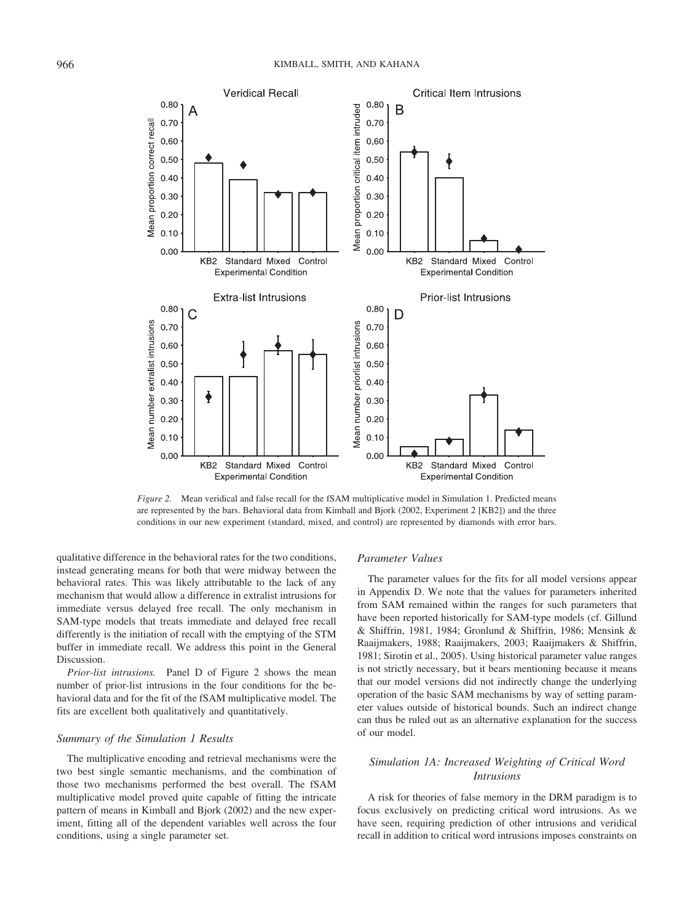

*Figure 2.* Mean veridical and false recall for the fSAM multiplicative model in Simulation 1. Predicted means are represented by the bars. Behavioral data from Kimball and Bjork (2002, Experiment 2 [KB2]) and the three conditions in our new experiment (standard, mixed, and control) are represented by diamonds with error bars.

qualitative difference in the behavioral rates for the two conditions, instead generating means for both that were midway between the behavioral rates. This was likely attributable to the lack of any mechanism that would allow a difference in extralist intrusions for immediate versus delayed free recall. The only mechanism in SAM-type models that treats immediate and delayed free recall differently is the initiation of recall with the emptying of the STM buffer in immediate recall. We address this point in the General Discussion.

*Prior-list intrusions.* Panel D of Figure 2 shows the mean number of prior-list intrusions in the four conditions for the behavioral data and for the fit of the fSAM multiplicative model. The fits are excellent both qualitatively and quantitatively.

### *Summary of the Simulation 1 Results*

The multiplicative encoding and retrieval mechanisms were the two best single semantic mechanisms, and the combination of those two mechanisms performed the best overall. The fSAM multiplicative model proved quite capable of fitting the intricate pattern of means in Kimball and Bjork (2002) and the new experiment, fitting all of the dependent variables well across the four conditions, using a single parameter set.

### *Parameter Values*

The parameter values for the fits for all model versions appear in Appendix D. We note that the values for parameters inherited from SAM remained within the ranges for such parameters that have been reported historically for SAM-type models (cf. Gillund & Shiffrin, 1981, 1984; Gronlund & Shiffrin, 1986; Mensink & Raaijmakers, 1988; Raaijmakers, 2003; Raaijmakers & Shiffrin, 1981; Sirotin et al., 2005). Using historical parameter value ranges is not strictly necessary, but it bears mentioning because it means that our model versions did not indirectly change the underlying operation of the basic SAM mechanisms by way of setting parameter values outside of historical bounds. Such an indirect change can thus be ruled out as an alternative explanation for the success of our model.

## *Simulation 1A: Increased Weighting of Critical Word Intrusions*

A risk for theories of false memory in the DRM paradigm is to focus exclusively on predicting critical word intrusions. As we have seen, requiring prediction of other intrusions and veridical recall in addition to critical word intrusions imposes constraints on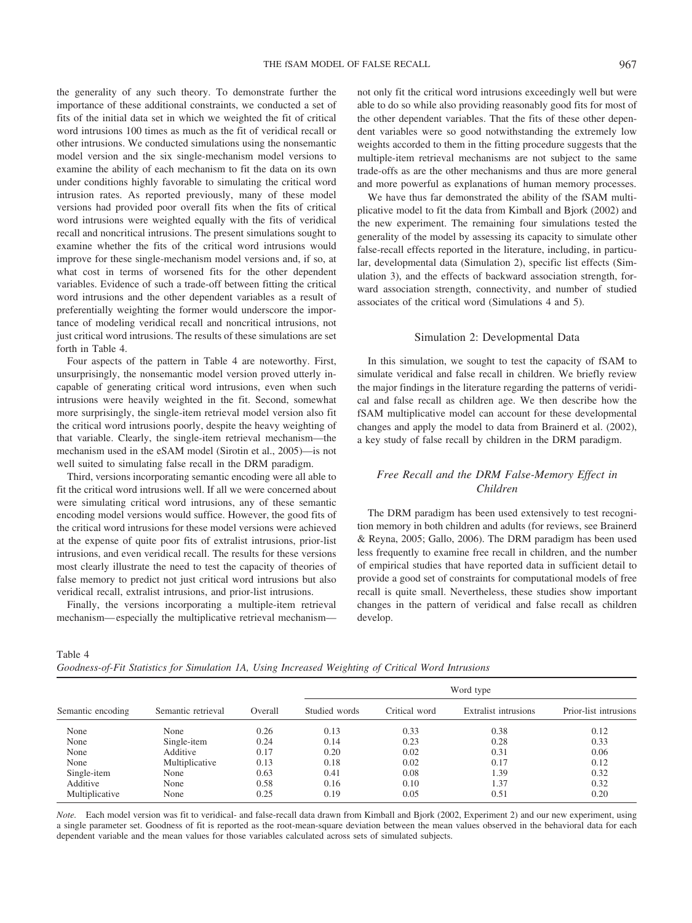the generality of any such theory. To demonstrate further the importance of these additional constraints, we conducted a set of fits of the initial data set in which we weighted the fit of critical word intrusions 100 times as much as the fit of veridical recall or other intrusions. We conducted simulations using the nonsemantic model version and the six single-mechanism model versions to examine the ability of each mechanism to fit the data on its own under conditions highly favorable to simulating the critical word intrusion rates. As reported previously, many of these model versions had provided poor overall fits when the fits of critical word intrusions were weighted equally with the fits of veridical recall and noncritical intrusions. The present simulations sought to examine whether the fits of the critical word intrusions would improve for these single-mechanism model versions and, if so, at what cost in terms of worsened fits for the other dependent variables. Evidence of such a trade-off between fitting the critical word intrusions and the other dependent variables as a result of preferentially weighting the former would underscore the importance of modeling veridical recall and noncritical intrusions, not just critical word intrusions. The results of these simulations are set forth in Table 4.

Four aspects of the pattern in Table 4 are noteworthy. First, unsurprisingly, the nonsemantic model version proved utterly incapable of generating critical word intrusions, even when such intrusions were heavily weighted in the fit. Second, somewhat more surprisingly, the single-item retrieval model version also fit the critical word intrusions poorly, despite the heavy weighting of that variable. Clearly, the single-item retrieval mechanism—the mechanism used in the eSAM model (Sirotin et al., 2005)—is not well suited to simulating false recall in the DRM paradigm.

Third, versions incorporating semantic encoding were all able to fit the critical word intrusions well. If all we were concerned about were simulating critical word intrusions, any of these semantic encoding model versions would suffice. However, the good fits of the critical word intrusions for these model versions were achieved at the expense of quite poor fits of extralist intrusions, prior-list intrusions, and even veridical recall. The results for these versions most clearly illustrate the need to test the capacity of theories of false memory to predict not just critical word intrusions but also veridical recall, extralist intrusions, and prior-list intrusions.

Finally, the versions incorporating a multiple-item retrieval mechanism— especially the multiplicative retrieval mechanismnot only fit the critical word intrusions exceedingly well but were able to do so while also providing reasonably good fits for most of the other dependent variables. That the fits of these other dependent variables were so good notwithstanding the extremely low weights accorded to them in the fitting procedure suggests that the multiple-item retrieval mechanisms are not subject to the same trade-offs as are the other mechanisms and thus are more general and more powerful as explanations of human memory processes.

We have thus far demonstrated the ability of the fSAM multiplicative model to fit the data from Kimball and Bjork (2002) and the new experiment. The remaining four simulations tested the generality of the model by assessing its capacity to simulate other false-recall effects reported in the literature, including, in particular, developmental data (Simulation 2), specific list effects (Simulation 3), and the effects of backward association strength, forward association strength, connectivity, and number of studied associates of the critical word (Simulations 4 and 5).

#### Simulation 2: Developmental Data

In this simulation, we sought to test the capacity of fSAM to simulate veridical and false recall in children. We briefly review the major findings in the literature regarding the patterns of veridical and false recall as children age. We then describe how the fSAM multiplicative model can account for these developmental changes and apply the model to data from Brainerd et al. (2002), a key study of false recall by children in the DRM paradigm.

## *Free Recall and the DRM False-Memory Effect in Children*

The DRM paradigm has been used extensively to test recognition memory in both children and adults (for reviews, see Brainerd & Reyna, 2005; Gallo, 2006). The DRM paradigm has been used less frequently to examine free recall in children, and the number of empirical studies that have reported data in sufficient detail to provide a good set of constraints for computational models of free recall is quite small. Nevertheless, these studies show important changes in the pattern of veridical and false recall as children develop.

Table 4

|                   |                    |         | Word type     |               |                      |                       |
|-------------------|--------------------|---------|---------------|---------------|----------------------|-----------------------|
| Semantic encoding | Semantic retrieval | Overall | Studied words | Critical word | Extralist intrusions | Prior-list intrusions |
| None              | None               | 0.26    | 0.13          | 0.33          | 0.38                 | 0.12                  |
| None              | Single-item        | 0.24    | 0.14          | 0.23          | 0.28                 | 0.33                  |
| None              | Additive           | 0.17    | 0.20          | 0.02          | 0.31                 | 0.06                  |
| None              | Multiplicative     | 0.13    | 0.18          | 0.02          | 0.17                 | 0.12                  |
| Single-item       | None               | 0.63    | 0.41          | 0.08          | 1.39                 | 0.32                  |
| Additive          | None               | 0.58    | 0.16          | 0.10          | 1.37                 | 0.32                  |
| Multiplicative    | None               | 0.25    | 0.19          | 0.05          | 0.51                 | 0.20                  |

*Note.* Each model version was fit to veridical- and false-recall data drawn from Kimball and Bjork (2002, Experiment 2) and our new experiment, using a single parameter set. Goodness of fit is reported as the root-mean-square deviation between the mean values observed in the behavioral data for each dependent variable and the mean values for those variables calculated across sets of simulated subjects.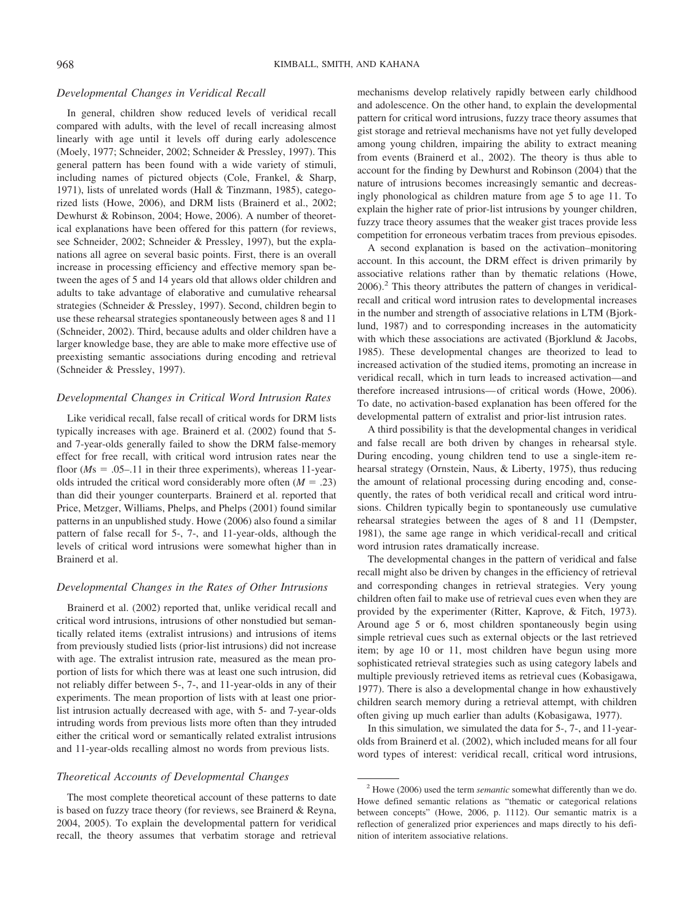#### *Developmental Changes in Veridical Recall*

In general, children show reduced levels of veridical recall compared with adults, with the level of recall increasing almost linearly with age until it levels off during early adolescence (Moely, 1977; Schneider, 2002; Schneider & Pressley, 1997). This general pattern has been found with a wide variety of stimuli, including names of pictured objects (Cole, Frankel, & Sharp, 1971), lists of unrelated words (Hall & Tinzmann, 1985), categorized lists (Howe, 2006), and DRM lists (Brainerd et al., 2002; Dewhurst & Robinson, 2004; Howe, 2006). A number of theoretical explanations have been offered for this pattern (for reviews, see Schneider, 2002; Schneider & Pressley, 1997), but the explanations all agree on several basic points. First, there is an overall increase in processing efficiency and effective memory span between the ages of 5 and 14 years old that allows older children and adults to take advantage of elaborative and cumulative rehearsal strategies (Schneider & Pressley, 1997). Second, children begin to use these rehearsal strategies spontaneously between ages 8 and 11 (Schneider, 2002). Third, because adults and older children have a larger knowledge base, they are able to make more effective use of preexisting semantic associations during encoding and retrieval (Schneider & Pressley, 1997).

## *Developmental Changes in Critical Word Intrusion Rates*

Like veridical recall, false recall of critical words for DRM lists typically increases with age. Brainerd et al. (2002) found that 5 and 7-year-olds generally failed to show the DRM false-memory effect for free recall, with critical word intrusion rates near the floor  $(Ms = .05-.11$  in their three experiments), whereas 11-yearolds intruded the critical word considerably more often  $(M = .23)$ than did their younger counterparts. Brainerd et al. reported that Price, Metzger, Williams, Phelps, and Phelps (2001) found similar patterns in an unpublished study. Howe (2006) also found a similar pattern of false recall for 5-, 7-, and 11-year-olds, although the levels of critical word intrusions were somewhat higher than in Brainerd et al.

#### *Developmental Changes in the Rates of Other Intrusions*

Brainerd et al. (2002) reported that, unlike veridical recall and critical word intrusions, intrusions of other nonstudied but semantically related items (extralist intrusions) and intrusions of items from previously studied lists (prior-list intrusions) did not increase with age. The extralist intrusion rate, measured as the mean proportion of lists for which there was at least one such intrusion, did not reliably differ between 5-, 7-, and 11-year-olds in any of their experiments. The mean proportion of lists with at least one priorlist intrusion actually decreased with age, with 5- and 7-year-olds intruding words from previous lists more often than they intruded either the critical word or semantically related extralist intrusions and 11-year-olds recalling almost no words from previous lists.

## *Theoretical Accounts of Developmental Changes*

The most complete theoretical account of these patterns to date is based on fuzzy trace theory (for reviews, see Brainerd & Reyna, 2004, 2005). To explain the developmental pattern for veridical recall, the theory assumes that verbatim storage and retrieval mechanisms develop relatively rapidly between early childhood and adolescence. On the other hand, to explain the developmental pattern for critical word intrusions, fuzzy trace theory assumes that gist storage and retrieval mechanisms have not yet fully developed among young children, impairing the ability to extract meaning from events (Brainerd et al., 2002). The theory is thus able to account for the finding by Dewhurst and Robinson (2004) that the nature of intrusions becomes increasingly semantic and decreasingly phonological as children mature from age 5 to age 11. To explain the higher rate of prior-list intrusions by younger children, fuzzy trace theory assumes that the weaker gist traces provide less competition for erroneous verbatim traces from previous episodes.

A second explanation is based on the activation–monitoring account. In this account, the DRM effect is driven primarily by associative relations rather than by thematic relations (Howe,  $2006$ ).<sup>2</sup> This theory attributes the pattern of changes in veridicalrecall and critical word intrusion rates to developmental increases in the number and strength of associative relations in LTM (Bjorklund, 1987) and to corresponding increases in the automaticity with which these associations are activated (Bjorklund & Jacobs, 1985). These developmental changes are theorized to lead to increased activation of the studied items, promoting an increase in veridical recall, which in turn leads to increased activation—and therefore increased intrusions— of critical words (Howe, 2006). To date, no activation-based explanation has been offered for the developmental pattern of extralist and prior-list intrusion rates.

A third possibility is that the developmental changes in veridical and false recall are both driven by changes in rehearsal style. During encoding, young children tend to use a single-item rehearsal strategy (Ornstein, Naus, & Liberty, 1975), thus reducing the amount of relational processing during encoding and, consequently, the rates of both veridical recall and critical word intrusions. Children typically begin to spontaneously use cumulative rehearsal strategies between the ages of 8 and 11 (Dempster, 1981), the same age range in which veridical-recall and critical word intrusion rates dramatically increase.

The developmental changes in the pattern of veridical and false recall might also be driven by changes in the efficiency of retrieval and corresponding changes in retrieval strategies. Very young children often fail to make use of retrieval cues even when they are provided by the experimenter (Ritter, Kaprove, & Fitch, 1973). Around age 5 or 6, most children spontaneously begin using simple retrieval cues such as external objects or the last retrieved item; by age 10 or 11, most children have begun using more sophisticated retrieval strategies such as using category labels and multiple previously retrieved items as retrieval cues (Kobasigawa, 1977). There is also a developmental change in how exhaustively children search memory during a retrieval attempt, with children often giving up much earlier than adults (Kobasigawa, 1977).

In this simulation, we simulated the data for 5-, 7-, and 11-yearolds from Brainerd et al. (2002), which included means for all four word types of interest: veridical recall, critical word intrusions,

<sup>2</sup> Howe (2006) used the term *semantic* somewhat differently than we do. Howe defined semantic relations as "thematic or categorical relations between concepts" (Howe, 2006, p. 1112). Our semantic matrix is a reflection of generalized prior experiences and maps directly to his definition of interitem associative relations.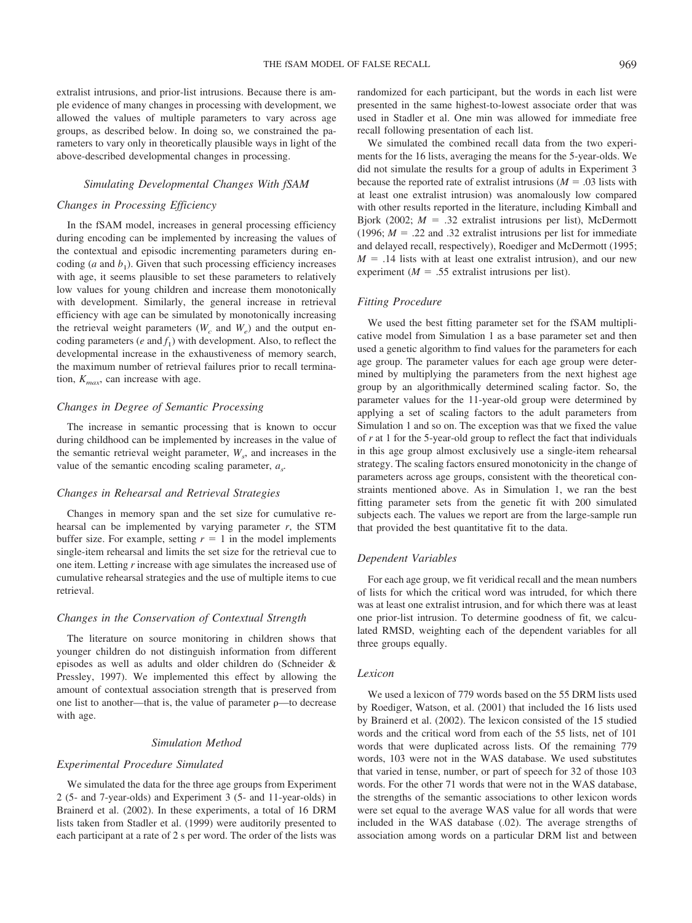extralist intrusions, and prior-list intrusions. Because there is ample evidence of many changes in processing with development, we allowed the values of multiple parameters to vary across age groups, as described below. In doing so, we constrained the parameters to vary only in theoretically plausible ways in light of the above-described developmental changes in processing.

#### *Simulating Developmental Changes With fSAM*

### *Changes in Processing Efficiency*

In the fSAM model, increases in general processing efficiency during encoding can be implemented by increasing the values of the contextual and episodic incrementing parameters during encoding  $(a \text{ and } b_1)$ . Given that such processing efficiency increases with age, it seems plausible to set these parameters to relatively low values for young children and increase them monotonically with development. Similarly, the general increase in retrieval efficiency with age can be simulated by monotonically increasing the retrieval weight parameters  $(W_c \text{ and } W_e)$  and the output encoding parameters ( $e$  and  $f_1$ ) with development. Also, to reflect the developmental increase in the exhaustiveness of memory search, the maximum number of retrieval failures prior to recall termination,  $K_{max}$ , can increase with age.

## *Changes in Degree of Semantic Processing*

The increase in semantic processing that is known to occur during childhood can be implemented by increases in the value of the semantic retrieval weight parameter,  $W_s$ , and increases in the value of the semantic encoding scaling parameter, *as.*

### *Changes in Rehearsal and Retrieval Strategies*

Changes in memory span and the set size for cumulative rehearsal can be implemented by varying parameter *r*, the STM buffer size. For example, setting  $r = 1$  in the model implements single-item rehearsal and limits the set size for the retrieval cue to one item. Letting *r* increase with age simulates the increased use of cumulative rehearsal strategies and the use of multiple items to cue retrieval.

## *Changes in the Conservation of Contextual Strength*

The literature on source monitoring in children shows that younger children do not distinguish information from different episodes as well as adults and older children do (Schneider & Pressley, 1997). We implemented this effect by allowing the amount of contextual association strength that is preserved from one list to another—that is, the value of parameter  $\rho$ —to decrease with age.

### *Simulation Method*

#### *Experimental Procedure Simulated*

We simulated the data for the three age groups from Experiment 2 (5- and 7-year-olds) and Experiment 3 (5- and 11-year-olds) in Brainerd et al. (2002). In these experiments, a total of 16 DRM lists taken from Stadler et al. (1999) were auditorily presented to each participant at a rate of 2 s per word. The order of the lists was randomized for each participant, but the words in each list were presented in the same highest-to-lowest associate order that was used in Stadler et al. One min was allowed for immediate free recall following presentation of each list.

We simulated the combined recall data from the two experiments for the 16 lists, averaging the means for the 5-year-olds. We did not simulate the results for a group of adults in Experiment 3 because the reported rate of extralist intrusions  $(M = .03)$  lists with at least one extralist intrusion) was anomalously low compared with other results reported in the literature, including Kimball and Bjork (2002;  $M = .32$  extralist intrusions per list), McDermott (1996;  $M = .22$  and .32 extralist intrusions per list for immediate and delayed recall, respectively), Roediger and McDermott (1995;  $M = .14$  lists with at least one extralist intrusion), and our new experiment ( $M = .55$  extralist intrusions per list).

## *Fitting Procedure*

We used the best fitting parameter set for the fSAM multiplicative model from Simulation 1 as a base parameter set and then used a genetic algorithm to find values for the parameters for each age group. The parameter values for each age group were determined by multiplying the parameters from the next highest age group by an algorithmically determined scaling factor. So, the parameter values for the 11-year-old group were determined by applying a set of scaling factors to the adult parameters from Simulation 1 and so on. The exception was that we fixed the value of *r* at 1 for the 5-year-old group to reflect the fact that individuals in this age group almost exclusively use a single-item rehearsal strategy. The scaling factors ensured monotonicity in the change of parameters across age groups, consistent with the theoretical constraints mentioned above. As in Simulation 1, we ran the best fitting parameter sets from the genetic fit with 200 simulated subjects each. The values we report are from the large-sample run that provided the best quantitative fit to the data.

## *Dependent Variables*

For each age group, we fit veridical recall and the mean numbers of lists for which the critical word was intruded, for which there was at least one extralist intrusion, and for which there was at least one prior-list intrusion. To determine goodness of fit, we calculated RMSD, weighting each of the dependent variables for all three groups equally.

## *Lexicon*

We used a lexicon of 779 words based on the 55 DRM lists used by Roediger, Watson, et al. (2001) that included the 16 lists used by Brainerd et al. (2002). The lexicon consisted of the 15 studied words and the critical word from each of the 55 lists, net of 101 words that were duplicated across lists. Of the remaining 779 words, 103 were not in the WAS database. We used substitutes that varied in tense, number, or part of speech for 32 of those 103 words. For the other 71 words that were not in the WAS database, the strengths of the semantic associations to other lexicon words were set equal to the average WAS value for all words that were included in the WAS database (.02). The average strengths of association among words on a particular DRM list and between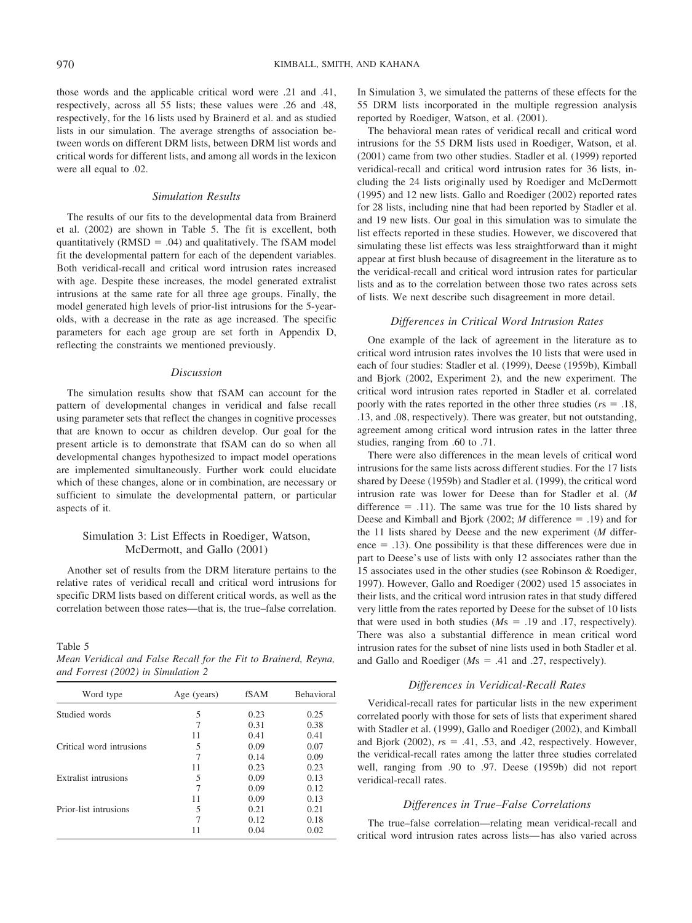those words and the applicable critical word were .21 and .41, respectively, across all 55 lists; these values were .26 and .48, respectively, for the 16 lists used by Brainerd et al. and as studied lists in our simulation. The average strengths of association between words on different DRM lists, between DRM list words and critical words for different lists, and among all words in the lexicon were all equal to .02.

#### *Simulation Results*

The results of our fits to the developmental data from Brainerd et al. (2002) are shown in Table 5. The fit is excellent, both quantitatively  $(RMSD = .04)$  and qualitatively. The fSAM model fit the developmental pattern for each of the dependent variables. Both veridical-recall and critical word intrusion rates increased with age. Despite these increases, the model generated extralist intrusions at the same rate for all three age groups. Finally, the model generated high levels of prior-list intrusions for the 5-yearolds, with a decrease in the rate as age increased. The specific parameters for each age group are set forth in Appendix D, reflecting the constraints we mentioned previously.

## *Discussion*

The simulation results show that fSAM can account for the pattern of developmental changes in veridical and false recall using parameter sets that reflect the changes in cognitive processes that are known to occur as children develop. Our goal for the present article is to demonstrate that fSAM can do so when all developmental changes hypothesized to impact model operations are implemented simultaneously. Further work could elucidate which of these changes, alone or in combination, are necessary or sufficient to simulate the developmental pattern, or particular aspects of it.

## Simulation 3: List Effects in Roediger, Watson, McDermott, and Gallo (2001)

Another set of results from the DRM literature pertains to the relative rates of veridical recall and critical word intrusions for specific DRM lists based on different critical words, as well as the correlation between those rates—that is, the true–false correlation.

Table 5

*Mean Veridical and False Recall for the Fit to Brainerd, Reyna, and Forrest (2002) in Simulation 2*

| Word type                   | Age (years) | fSAM | <b>Behavioral</b> |
|-----------------------------|-------------|------|-------------------|
| Studied words               | 5           | 0.23 | 0.25              |
|                             |             | 0.31 | 0.38              |
|                             | 11          | 0.41 | 0.41              |
| Critical word intrusions    | 5           | 0.09 | 0.07              |
|                             |             | 0.14 | 0.09              |
|                             | 11          | 0.23 | 0.23              |
| <b>Extralist intrusions</b> | 5           | 0.09 | 0.13              |
|                             | 7           | 0.09 | 0.12              |
|                             | 11          | 0.09 | 0.13              |
| Prior-list intrusions       | 5           | 0.21 | 0.21              |
|                             |             | 0.12 | 0.18              |
|                             |             | 0.04 | 0.02              |

In Simulation 3, we simulated the patterns of these effects for the 55 DRM lists incorporated in the multiple regression analysis reported by Roediger, Watson, et al. (2001).

The behavioral mean rates of veridical recall and critical word intrusions for the 55 DRM lists used in Roediger, Watson, et al. (2001) came from two other studies. Stadler et al. (1999) reported veridical-recall and critical word intrusion rates for 36 lists, including the 24 lists originally used by Roediger and McDermott (1995) and 12 new lists. Gallo and Roediger (2002) reported rates for 28 lists, including nine that had been reported by Stadler et al. and 19 new lists. Our goal in this simulation was to simulate the list effects reported in these studies. However, we discovered that simulating these list effects was less straightforward than it might appear at first blush because of disagreement in the literature as to the veridical-recall and critical word intrusion rates for particular lists and as to the correlation between those two rates across sets of lists. We next describe such disagreement in more detail.

## *Differences in Critical Word Intrusion Rates*

One example of the lack of agreement in the literature as to critical word intrusion rates involves the 10 lists that were used in each of four studies: Stadler et al. (1999), Deese (1959b), Kimball and Bjork (2002, Experiment 2), and the new experiment. The critical word intrusion rates reported in Stadler et al. correlated poorly with the rates reported in the other three studies ( $rs = .18$ , .13, and .08, respectively). There was greater, but not outstanding, agreement among critical word intrusion rates in the latter three studies, ranging from .60 to .71.

There were also differences in the mean levels of critical word intrusions for the same lists across different studies. For the 17 lists shared by Deese (1959b) and Stadler et al. (1999), the critical word intrusion rate was lower for Deese than for Stadler et al. (*M* difference  $=$  .11). The same was true for the 10 lists shared by Deese and Kimball and Bjork  $(2002; M)$  difference = .19) and for the 11 lists shared by Deese and the new experiment (*M* differ $e^{\frac{1}{2}}$  = .13). One possibility is that these differences were due in part to Deese's use of lists with only 12 associates rather than the 15 associates used in the other studies (see Robinson & Roediger, 1997). However, Gallo and Roediger (2002) used 15 associates in their lists, and the critical word intrusion rates in that study differed very little from the rates reported by Deese for the subset of 10 lists that were used in both studies  $(Ms = .19$  and .17, respectively). There was also a substantial difference in mean critical word intrusion rates for the subset of nine lists used in both Stadler et al. and Gallo and Roediger  $(Ms = .41$  and .27, respectively).

## *Differences in Veridical-Recall Rates*

Veridical-recall rates for particular lists in the new experiment correlated poorly with those for sets of lists that experiment shared with Stadler et al. (1999), Gallo and Roediger (2002), and Kimball and Bjork  $(2002)$ ,  $rs = .41, .53,$  and  $.42$ , respectively. However, the veridical-recall rates among the latter three studies correlated well, ranging from .90 to .97. Deese (1959b) did not report veridical-recall rates.

#### *Differences in True–False Correlations*

The true–false correlation—relating mean veridical-recall and critical word intrusion rates across lists— has also varied across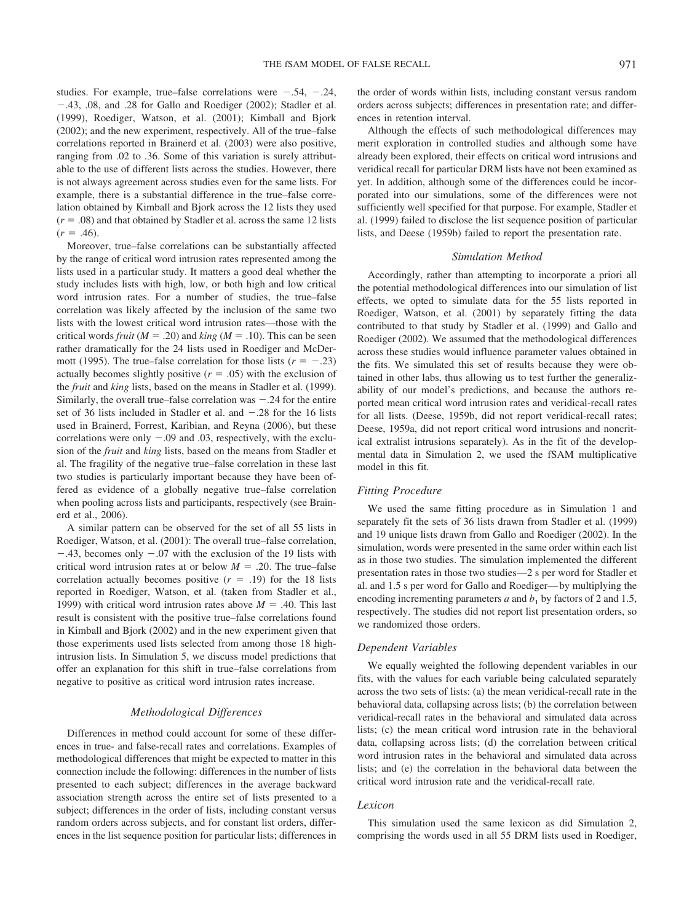studies. For example, true–false correlations were  $-.54, -.24,$ .43, .08, and .28 for Gallo and Roediger (2002); Stadler et al. (1999), Roediger, Watson, et al. (2001); Kimball and Bjork (2002); and the new experiment, respectively. All of the true–false correlations reported in Brainerd et al. (2003) were also positive, ranging from .02 to .36. Some of this variation is surely attributable to the use of different lists across the studies. However, there is not always agreement across studies even for the same lists. For example, there is a substantial difference in the true–false correlation obtained by Kimball and Bjork across the 12 lists they used  $(r = .08)$  and that obtained by Stadler et al. across the same 12 lists  $(r = .46)$ .

Moreover, true–false correlations can be substantially affected by the range of critical word intrusion rates represented among the lists used in a particular study. It matters a good deal whether the study includes lists with high, low, or both high and low critical word intrusion rates. For a number of studies, the true–false correlation was likely affected by the inclusion of the same two lists with the lowest critical word intrusion rates—those with the critical words *fruit* ( $M = .20$ ) and *king* ( $M = .10$ ). This can be seen rather dramatically for the 24 lists used in Roediger and McDermott (1995). The true–false correlation for those lists  $(r = -.23)$ actually becomes slightly positive  $(r = .05)$  with the exclusion of the *fruit* and *king* lists, based on the means in Stadler et al. (1999). Similarly, the overall true–false correlation was  $-.24$  for the entire set of 36 lists included in Stadler et al. and  $-.28$  for the 16 lists used in Brainerd, Forrest, Karibian, and Reyna (2006), but these correlations were only  $-.09$  and  $.03$ , respectively, with the exclusion of the *fruit* and *king* lists, based on the means from Stadler et al. The fragility of the negative true–false correlation in these last two studies is particularly important because they have been offered as evidence of a globally negative true–false correlation when pooling across lists and participants, respectively (see Brainerd et al., 2006).

A similar pattern can be observed for the set of all 55 lists in Roediger, Watson, et al. (2001): The overall true–false correlation,  $-.43$ , becomes only  $-.07$  with the exclusion of the 19 lists with critical word intrusion rates at or below  $M = .20$ . The true–false correlation actually becomes positive  $(r = .19)$  for the 18 lists reported in Roediger, Watson, et al. (taken from Stadler et al., 1999) with critical word intrusion rates above  $M = .40$ . This last result is consistent with the positive true–false correlations found in Kimball and Bjork (2002) and in the new experiment given that those experiments used lists selected from among those 18 highintrusion lists. In Simulation 5, we discuss model predictions that offer an explanation for this shift in true–false correlations from negative to positive as critical word intrusion rates increase.

## *Methodological Differences*

Differences in method could account for some of these differences in true- and false-recall rates and correlations. Examples of methodological differences that might be expected to matter in this connection include the following: differences in the number of lists presented to each subject; differences in the average backward association strength across the entire set of lists presented to a subject; differences in the order of lists, including constant versus random orders across subjects, and for constant list orders, differences in the list sequence position for particular lists; differences in the order of words within lists, including constant versus random orders across subjects; differences in presentation rate; and differences in retention interval.

Although the effects of such methodological differences may merit exploration in controlled studies and although some have already been explored, their effects on critical word intrusions and veridical recall for particular DRM lists have not been examined as yet. In addition, although some of the differences could be incorporated into our simulations, some of the differences were not sufficiently well specified for that purpose. For example, Stadler et al. (1999) failed to disclose the list sequence position of particular lists, and Deese (1959b) failed to report the presentation rate.

#### *Simulation Method*

Accordingly, rather than attempting to incorporate a priori all the potential methodological differences into our simulation of list effects, we opted to simulate data for the 55 lists reported in Roediger, Watson, et al. (2001) by separately fitting the data contributed to that study by Stadler et al. (1999) and Gallo and Roediger (2002). We assumed that the methodological differences across these studies would influence parameter values obtained in the fits. We simulated this set of results because they were obtained in other labs, thus allowing us to test further the generalizability of our model's predictions, and because the authors reported mean critical word intrusion rates and veridical-recall rates for all lists. (Deese, 1959b, did not report veridical-recall rates; Deese, 1959a, did not report critical word intrusions and noncritical extralist intrusions separately). As in the fit of the developmental data in Simulation 2, we used the fSAM multiplicative model in this fit.

#### *Fitting Procedure*

We used the same fitting procedure as in Simulation 1 and separately fit the sets of 36 lists drawn from Stadler et al. (1999) and 19 unique lists drawn from Gallo and Roediger (2002). In the simulation, words were presented in the same order within each list as in those two studies. The simulation implemented the different presentation rates in those two studies—2 s per word for Stadler et al. and 1.5 s per word for Gallo and Roediger— by multiplying the encoding incrementing parameters  $a$  and  $b_1$  by factors of 2 and 1.5, respectively. The studies did not report list presentation orders, so we randomized those orders.

### *Dependent Variables*

We equally weighted the following dependent variables in our fits, with the values for each variable being calculated separately across the two sets of lists: (a) the mean veridical-recall rate in the behavioral data, collapsing across lists; (b) the correlation between veridical-recall rates in the behavioral and simulated data across lists; (c) the mean critical word intrusion rate in the behavioral data, collapsing across lists; (d) the correlation between critical word intrusion rates in the behavioral and simulated data across lists; and (e) the correlation in the behavioral data between the critical word intrusion rate and the veridical-recall rate.

#### *Lexicon*

This simulation used the same lexicon as did Simulation 2, comprising the words used in all 55 DRM lists used in Roediger,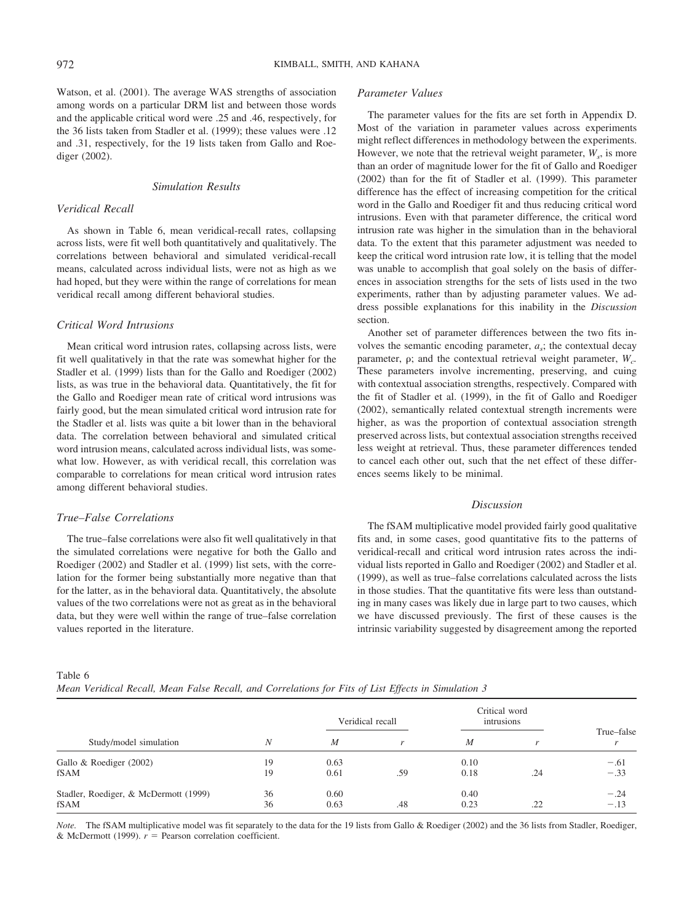Watson, et al. (2001). The average WAS strengths of association among words on a particular DRM list and between those words and the applicable critical word were .25 and .46, respectively, for the 36 lists taken from Stadler et al. (1999); these values were .12 and .31, respectively, for the 19 lists taken from Gallo and Roediger (2002).

## *Simulation Results*

### *Veridical Recall*

As shown in Table 6, mean veridical-recall rates, collapsing across lists, were fit well both quantitatively and qualitatively. The correlations between behavioral and simulated veridical-recall means, calculated across individual lists, were not as high as we had hoped, but they were within the range of correlations for mean veridical recall among different behavioral studies.

## *Critical Word Intrusions*

Mean critical word intrusion rates, collapsing across lists, were fit well qualitatively in that the rate was somewhat higher for the Stadler et al. (1999) lists than for the Gallo and Roediger (2002) lists, as was true in the behavioral data. Quantitatively, the fit for the Gallo and Roediger mean rate of critical word intrusions was fairly good, but the mean simulated critical word intrusion rate for the Stadler et al. lists was quite a bit lower than in the behavioral data. The correlation between behavioral and simulated critical word intrusion means, calculated across individual lists, was somewhat low. However, as with veridical recall, this correlation was comparable to correlations for mean critical word intrusion rates among different behavioral studies.

## *True–False Correlations*

The true–false correlations were also fit well qualitatively in that the simulated correlations were negative for both the Gallo and Roediger (2002) and Stadler et al. (1999) list sets, with the correlation for the former being substantially more negative than that for the latter, as in the behavioral data. Quantitatively, the absolute values of the two correlations were not as great as in the behavioral data, but they were well within the range of true–false correlation values reported in the literature.

## *Parameter Values*

The parameter values for the fits are set forth in Appendix D. Most of the variation in parameter values across experiments might reflect differences in methodology between the experiments. However, we note that the retrieval weight parameter,  $W<sub>s</sub>$ , is more than an order of magnitude lower for the fit of Gallo and Roediger (2002) than for the fit of Stadler et al. (1999). This parameter difference has the effect of increasing competition for the critical word in the Gallo and Roediger fit and thus reducing critical word intrusions. Even with that parameter difference, the critical word intrusion rate was higher in the simulation than in the behavioral data. To the extent that this parameter adjustment was needed to keep the critical word intrusion rate low, it is telling that the model was unable to accomplish that goal solely on the basis of differences in association strengths for the sets of lists used in the two experiments, rather than by adjusting parameter values. We address possible explanations for this inability in the *Discussion* section.

Another set of parameter differences between the two fits involves the semantic encoding parameter, *as*; the contextual decay parameter,  $\rho$ ; and the contextual retrieval weight parameter,  $W_c$ . These parameters involve incrementing, preserving, and cuing with contextual association strengths, respectively. Compared with the fit of Stadler et al. (1999), in the fit of Gallo and Roediger (2002), semantically related contextual strength increments were higher, as was the proportion of contextual association strength preserved across lists, but contextual association strengths received less weight at retrieval. Thus, these parameter differences tended to cancel each other out, such that the net effect of these differences seems likely to be minimal.

## *Discussion*

The fSAM multiplicative model provided fairly good qualitative fits and, in some cases, good quantitative fits to the patterns of veridical-recall and critical word intrusion rates across the individual lists reported in Gallo and Roediger (2002) and Stadler et al. (1999), as well as true–false correlations calculated across the lists in those studies. That the quantitative fits were less than outstanding in many cases was likely due in large part to two causes, which we have discussed previously. The first of these causes is the intrinsic variability suggested by disagreement among the reported

Table 6

*Mean Veridical Recall, Mean False Recall, and Correlations for Fits of List Effects in Simulation 3*

|                                       | Critical word<br>Veridical recall<br>intrusions |      |              |      |     |                            |  |
|---------------------------------------|-------------------------------------------------|------|--------------|------|-----|----------------------------|--|
| Study/model simulation                | N                                               | M    | $\mathbf{r}$ | M    |     | True-false<br>$\mathbf{r}$ |  |
| Gallo & Roediger (2002)               | 19                                              | 0.63 |              | 0.10 |     | $-.61$                     |  |
| fSAM                                  | 19                                              | 0.61 | .59          | 0.18 | .24 | $-.33$                     |  |
| Stadler, Roediger, & McDermott (1999) | 36                                              | 0.60 |              | 0.40 |     | $-.24$                     |  |
| fSAM                                  | 36                                              | 0.63 | .48          | 0.23 | .22 | $-.13$                     |  |

*Note.* The fSAM multiplicative model was fit separately to the data for the 19 lists from Gallo & Roediger (2002) and the 36 lists from Stadler, Roediger, & McDermott (1999).  $r =$  Pearson correlation coefficient.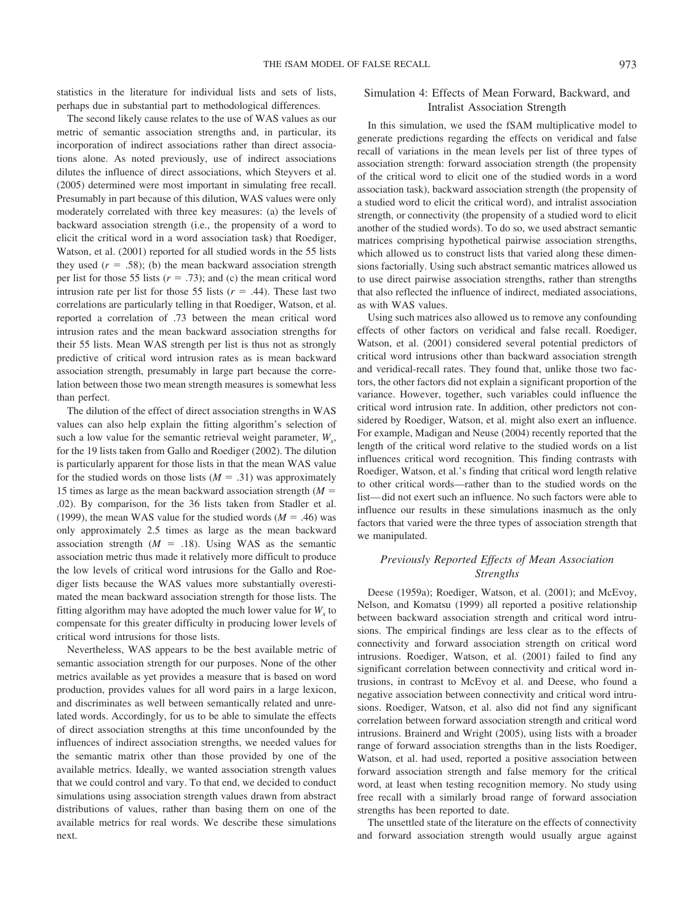statistics in the literature for individual lists and sets of lists, perhaps due in substantial part to methodological differences.

The second likely cause relates to the use of WAS values as our metric of semantic association strengths and, in particular, its incorporation of indirect associations rather than direct associations alone. As noted previously, use of indirect associations dilutes the influence of direct associations, which Steyvers et al. (2005) determined were most important in simulating free recall. Presumably in part because of this dilution, WAS values were only moderately correlated with three key measures: (a) the levels of backward association strength (i.e., the propensity of a word to elicit the critical word in a word association task) that Roediger, Watson, et al. (2001) reported for all studied words in the 55 lists they used  $(r = .58)$ ; (b) the mean backward association strength per list for those 55 lists  $(r = .73)$ ; and (c) the mean critical word intrusion rate per list for those 55 lists  $(r = .44)$ . These last two correlations are particularly telling in that Roediger, Watson, et al. reported a correlation of .73 between the mean critical word intrusion rates and the mean backward association strengths for their 55 lists. Mean WAS strength per list is thus not as strongly predictive of critical word intrusion rates as is mean backward association strength, presumably in large part because the correlation between those two mean strength measures is somewhat less than perfect.

The dilution of the effect of direct association strengths in WAS values can also help explain the fitting algorithm's selection of such a low value for the semantic retrieval weight parameter,  $W_{\rm s}$ , for the 19 lists taken from Gallo and Roediger (2002). The dilution is particularly apparent for those lists in that the mean WAS value for the studied words on those lists  $(M = .31)$  was approximately 15 times as large as the mean backward association strength  $(M =$ .02). By comparison, for the 36 lists taken from Stadler et al. (1999), the mean WAS value for the studied words  $(M = .46)$  was only approximately 2.5 times as large as the mean backward association strength  $(M = .18)$ . Using WAS as the semantic association metric thus made it relatively more difficult to produce the low levels of critical word intrusions for the Gallo and Roediger lists because the WAS values more substantially overestimated the mean backward association strength for those lists. The fitting algorithm may have adopted the much lower value for  $W<sub>s</sub>$  to compensate for this greater difficulty in producing lower levels of critical word intrusions for those lists.

Nevertheless, WAS appears to be the best available metric of semantic association strength for our purposes. None of the other metrics available as yet provides a measure that is based on word production, provides values for all word pairs in a large lexicon, and discriminates as well between semantically related and unrelated words. Accordingly, for us to be able to simulate the effects of direct association strengths at this time unconfounded by the influences of indirect association strengths, we needed values for the semantic matrix other than those provided by one of the available metrics. Ideally, we wanted association strength values that we could control and vary. To that end, we decided to conduct simulations using association strength values drawn from abstract distributions of values, rather than basing them on one of the available metrics for real words. We describe these simulations next.

## Simulation 4: Effects of Mean Forward, Backward, and Intralist Association Strength

In this simulation, we used the fSAM multiplicative model to generate predictions regarding the effects on veridical and false recall of variations in the mean levels per list of three types of association strength: forward association strength (the propensity of the critical word to elicit one of the studied words in a word association task), backward association strength (the propensity of a studied word to elicit the critical word), and intralist association strength, or connectivity (the propensity of a studied word to elicit another of the studied words). To do so, we used abstract semantic matrices comprising hypothetical pairwise association strengths, which allowed us to construct lists that varied along these dimensions factorially. Using such abstract semantic matrices allowed us to use direct pairwise association strengths, rather than strengths that also reflected the influence of indirect, mediated associations, as with WAS values.

Using such matrices also allowed us to remove any confounding effects of other factors on veridical and false recall. Roediger, Watson, et al. (2001) considered several potential predictors of critical word intrusions other than backward association strength and veridical-recall rates. They found that, unlike those two factors, the other factors did not explain a significant proportion of the variance. However, together, such variables could influence the critical word intrusion rate. In addition, other predictors not considered by Roediger, Watson, et al. might also exert an influence. For example, Madigan and Neuse (2004) recently reported that the length of the critical word relative to the studied words on a list influences critical word recognition. This finding contrasts with Roediger, Watson, et al.'s finding that critical word length relative to other critical words—rather than to the studied words on the list— did not exert such an influence. No such factors were able to influence our results in these simulations inasmuch as the only factors that varied were the three types of association strength that we manipulated.

## *Previously Reported Effects of Mean Association Strengths*

Deese (1959a); Roediger, Watson, et al. (2001); and McEvoy, Nelson, and Komatsu (1999) all reported a positive relationship between backward association strength and critical word intrusions. The empirical findings are less clear as to the effects of connectivity and forward association strength on critical word intrusions. Roediger, Watson, et al. (2001) failed to find any significant correlation between connectivity and critical word intrusions, in contrast to McEvoy et al. and Deese, who found a negative association between connectivity and critical word intrusions. Roediger, Watson, et al. also did not find any significant correlation between forward association strength and critical word intrusions. Brainerd and Wright (2005), using lists with a broader range of forward association strengths than in the lists Roediger, Watson, et al. had used, reported a positive association between forward association strength and false memory for the critical word, at least when testing recognition memory. No study using free recall with a similarly broad range of forward association strengths has been reported to date.

The unsettled state of the literature on the effects of connectivity and forward association strength would usually argue against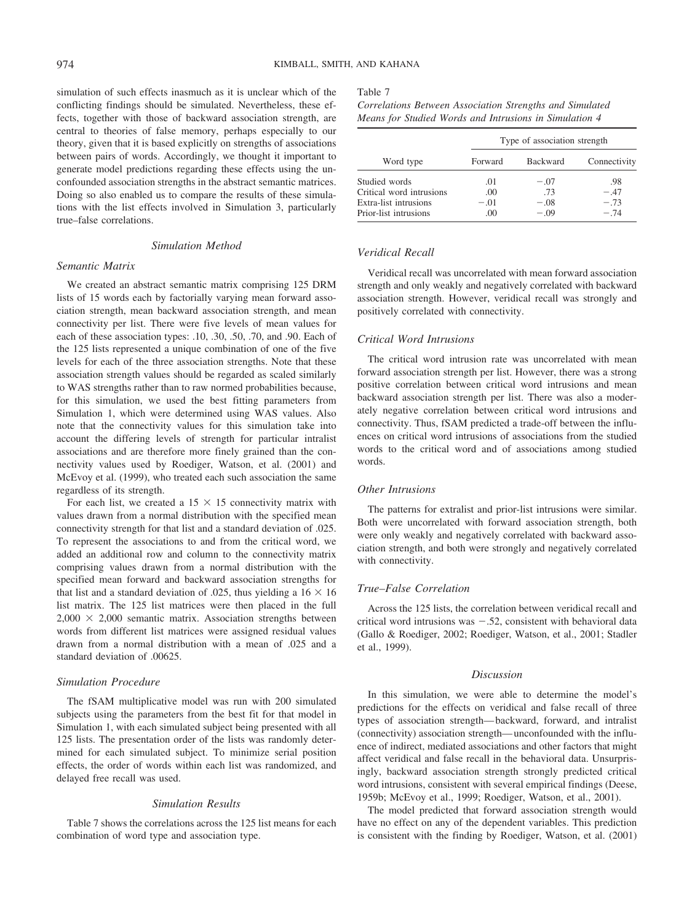simulation of such effects inasmuch as it is unclear which of the conflicting findings should be simulated. Nevertheless, these effects, together with those of backward association strength, are central to theories of false memory, perhaps especially to our theory, given that it is based explicitly on strengths of associations between pairs of words. Accordingly, we thought it important to generate model predictions regarding these effects using the unconfounded association strengths in the abstract semantic matrices. Doing so also enabled us to compare the results of these simulations with the list effects involved in Simulation 3, particularly true–false correlations.

#### *Simulation Method*

#### *Semantic Matrix*

We created an abstract semantic matrix comprising 125 DRM lists of 15 words each by factorially varying mean forward association strength, mean backward association strength, and mean connectivity per list. There were five levels of mean values for each of these association types: .10, .30, .50, .70, and .90. Each of the 125 lists represented a unique combination of one of the five levels for each of the three association strengths. Note that these association strength values should be regarded as scaled similarly to WAS strengths rather than to raw normed probabilities because, for this simulation, we used the best fitting parameters from Simulation 1, which were determined using WAS values. Also note that the connectivity values for this simulation take into account the differing levels of strength for particular intralist associations and are therefore more finely grained than the connectivity values used by Roediger, Watson, et al. (2001) and McEvoy et al. (1999), who treated each such association the same regardless of its strength.

For each list, we created a  $15 \times 15$  connectivity matrix with values drawn from a normal distribution with the specified mean connectivity strength for that list and a standard deviation of .025. To represent the associations to and from the critical word, we added an additional row and column to the connectivity matrix comprising values drawn from a normal distribution with the specified mean forward and backward association strengths for that list and a standard deviation of .025, thus yielding a  $16 \times 16$ list matrix. The 125 list matrices were then placed in the full  $2,000 \times 2,000$  semantic matrix. Association strengths between words from different list matrices were assigned residual values drawn from a normal distribution with a mean of .025 and a standard deviation of .00625.

#### *Simulation Procedure*

The fSAM multiplicative model was run with 200 simulated subjects using the parameters from the best fit for that model in Simulation 1, with each simulated subject being presented with all 125 lists. The presentation order of the lists was randomly determined for each simulated subject. To minimize serial position effects, the order of words within each list was randomized, and delayed free recall was used.

#### *Simulation Results*

Table 7 shows the correlations across the 125 list means for each combination of word type and association type.

#### Table 7

*Correlations Between Association Strengths and Simulated Means for Studied Words and Intrusions in Simulation 4*

|                          | Type of association strength |          |              |  |
|--------------------------|------------------------------|----------|--------------|--|
| Word type                | Forward                      | Backward | Connectivity |  |
| Studied words            | .01                          | $-.07$   | .98          |  |
| Critical word intrusions | .00                          | .73      | $-47$        |  |
| Extra-list intrusions    | $-.01$                       | $-.08$   | $-.73$       |  |
| Prior-list intrusions    | .00.                         | $-0.09$  | $-74$        |  |

## *Veridical Recall*

Veridical recall was uncorrelated with mean forward association strength and only weakly and negatively correlated with backward association strength. However, veridical recall was strongly and positively correlated with connectivity.

## *Critical Word Intrusions*

The critical word intrusion rate was uncorrelated with mean forward association strength per list. However, there was a strong positive correlation between critical word intrusions and mean backward association strength per list. There was also a moderately negative correlation between critical word intrusions and connectivity. Thus, fSAM predicted a trade-off between the influences on critical word intrusions of associations from the studied words to the critical word and of associations among studied words.

### *Other Intrusions*

The patterns for extralist and prior-list intrusions were similar. Both were uncorrelated with forward association strength, both were only weakly and negatively correlated with backward association strength, and both were strongly and negatively correlated with connectivity.

## *True–False Correlation*

Across the 125 lists, the correlation between veridical recall and critical word intrusions was  $-.52$ , consistent with behavioral data (Gallo & Roediger, 2002; Roediger, Watson, et al., 2001; Stadler et al., 1999).

## *Discussion*

In this simulation, we were able to determine the model's predictions for the effects on veridical and false recall of three types of association strength— backward, forward, and intralist (connectivity) association strength— unconfounded with the influence of indirect, mediated associations and other factors that might affect veridical and false recall in the behavioral data. Unsurprisingly, backward association strength strongly predicted critical word intrusions, consistent with several empirical findings (Deese, 1959b; McEvoy et al., 1999; Roediger, Watson, et al., 2001).

The model predicted that forward association strength would have no effect on any of the dependent variables. This prediction is consistent with the finding by Roediger, Watson, et al. (2001)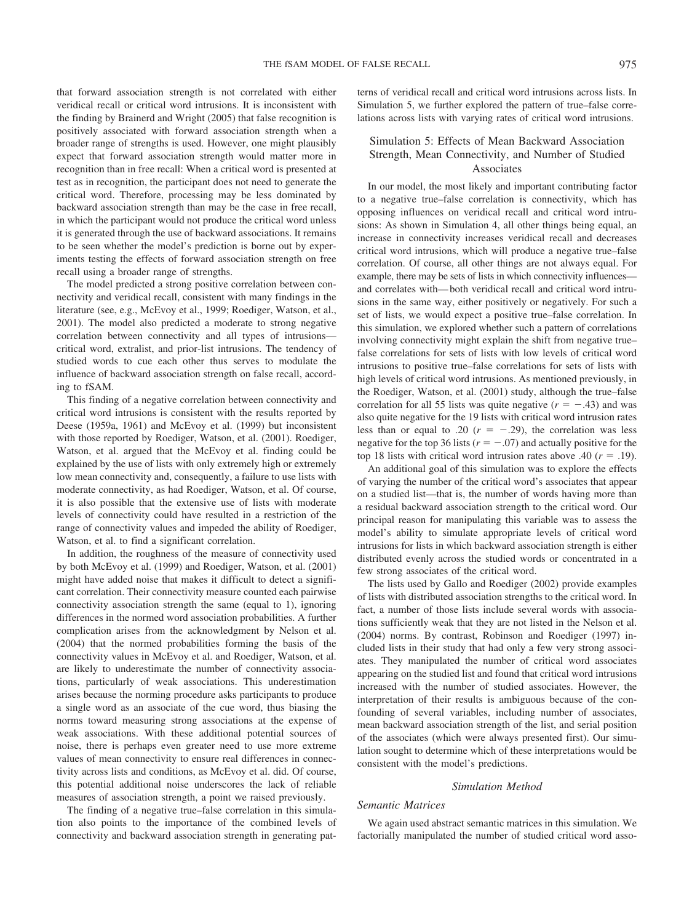that forward association strength is not correlated with either veridical recall or critical word intrusions. It is inconsistent with the finding by Brainerd and Wright (2005) that false recognition is positively associated with forward association strength when a broader range of strengths is used. However, one might plausibly expect that forward association strength would matter more in recognition than in free recall: When a critical word is presented at test as in recognition, the participant does not need to generate the critical word. Therefore, processing may be less dominated by backward association strength than may be the case in free recall, in which the participant would not produce the critical word unless it is generated through the use of backward associations. It remains to be seen whether the model's prediction is borne out by experiments testing the effects of forward association strength on free recall using a broader range of strengths.

The model predicted a strong positive correlation between connectivity and veridical recall, consistent with many findings in the literature (see, e.g., McEvoy et al., 1999; Roediger, Watson, et al., 2001). The model also predicted a moderate to strong negative correlation between connectivity and all types of intrusions critical word, extralist, and prior-list intrusions. The tendency of studied words to cue each other thus serves to modulate the influence of backward association strength on false recall, according to fSAM.

This finding of a negative correlation between connectivity and critical word intrusions is consistent with the results reported by Deese (1959a, 1961) and McEvoy et al. (1999) but inconsistent with those reported by Roediger, Watson, et al. (2001). Roediger, Watson, et al. argued that the McEvoy et al. finding could be explained by the use of lists with only extremely high or extremely low mean connectivity and, consequently, a failure to use lists with moderate connectivity, as had Roediger, Watson, et al. Of course, it is also possible that the extensive use of lists with moderate levels of connectivity could have resulted in a restriction of the range of connectivity values and impeded the ability of Roediger, Watson, et al. to find a significant correlation.

In addition, the roughness of the measure of connectivity used by both McEvoy et al. (1999) and Roediger, Watson, et al. (2001) might have added noise that makes it difficult to detect a significant correlation. Their connectivity measure counted each pairwise connectivity association strength the same (equal to 1), ignoring differences in the normed word association probabilities. A further complication arises from the acknowledgment by Nelson et al. (2004) that the normed probabilities forming the basis of the connectivity values in McEvoy et al. and Roediger, Watson, et al. are likely to underestimate the number of connectivity associations, particularly of weak associations. This underestimation arises because the norming procedure asks participants to produce a single word as an associate of the cue word, thus biasing the norms toward measuring strong associations at the expense of weak associations. With these additional potential sources of noise, there is perhaps even greater need to use more extreme values of mean connectivity to ensure real differences in connectivity across lists and conditions, as McEvoy et al. did. Of course, this potential additional noise underscores the lack of reliable measures of association strength, a point we raised previously.

The finding of a negative true–false correlation in this simulation also points to the importance of the combined levels of connectivity and backward association strength in generating patterns of veridical recall and critical word intrusions across lists. In Simulation 5, we further explored the pattern of true–false correlations across lists with varying rates of critical word intrusions.

## Simulation 5: Effects of Mean Backward Association Strength, Mean Connectivity, and Number of Studied Associates

In our model, the most likely and important contributing factor to a negative true–false correlation is connectivity, which has opposing influences on veridical recall and critical word intrusions: As shown in Simulation 4, all other things being equal, an increase in connectivity increases veridical recall and decreases critical word intrusions, which will produce a negative true–false correlation. Of course, all other things are not always equal. For example, there may be sets of lists in which connectivity influences and correlates with— both veridical recall and critical word intrusions in the same way, either positively or negatively. For such a set of lists, we would expect a positive true–false correlation. In this simulation, we explored whether such a pattern of correlations involving connectivity might explain the shift from negative true– false correlations for sets of lists with low levels of critical word intrusions to positive true–false correlations for sets of lists with high levels of critical word intrusions. As mentioned previously, in the Roediger, Watson, et al. (2001) study, although the true–false correlation for all 55 lists was quite negative  $(r = -.43)$  and was also quite negative for the 19 lists with critical word intrusion rates less than or equal to .20  $(r = -.29)$ , the correlation was less negative for the top 36 lists ( $r = -.07$ ) and actually positive for the top 18 lists with critical word intrusion rates above .40  $(r = .19)$ .

An additional goal of this simulation was to explore the effects of varying the number of the critical word's associates that appear on a studied list—that is, the number of words having more than a residual backward association strength to the critical word. Our principal reason for manipulating this variable was to assess the model's ability to simulate appropriate levels of critical word intrusions for lists in which backward association strength is either distributed evenly across the studied words or concentrated in a few strong associates of the critical word.

The lists used by Gallo and Roediger (2002) provide examples of lists with distributed association strengths to the critical word. In fact, a number of those lists include several words with associations sufficiently weak that they are not listed in the Nelson et al. (2004) norms. By contrast, Robinson and Roediger (1997) included lists in their study that had only a few very strong associates. They manipulated the number of critical word associates appearing on the studied list and found that critical word intrusions increased with the number of studied associates. However, the interpretation of their results is ambiguous because of the confounding of several variables, including number of associates, mean backward association strength of the list, and serial position of the associates (which were always presented first). Our simulation sought to determine which of these interpretations would be consistent with the model's predictions.

#### *Simulation Method*

#### *Semantic Matrices*

We again used abstract semantic matrices in this simulation. We factorially manipulated the number of studied critical word asso-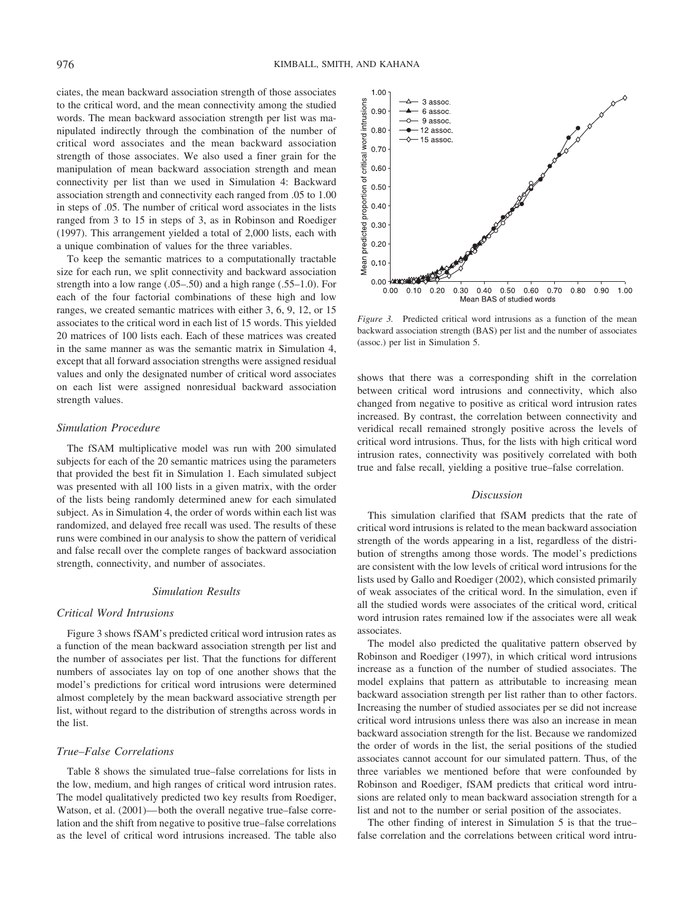ciates, the mean backward association strength of those associates to the critical word, and the mean connectivity among the studied words. The mean backward association strength per list was manipulated indirectly through the combination of the number of critical word associates and the mean backward association strength of those associates. We also used a finer grain for the manipulation of mean backward association strength and mean connectivity per list than we used in Simulation 4: Backward association strength and connectivity each ranged from .05 to 1.00 in steps of .05. The number of critical word associates in the lists ranged from 3 to 15 in steps of 3, as in Robinson and Roediger (1997). This arrangement yielded a total of 2,000 lists, each with a unique combination of values for the three variables.

To keep the semantic matrices to a computationally tractable size for each run, we split connectivity and backward association strength into a low range (.05–.50) and a high range (.55–1.0). For each of the four factorial combinations of these high and low ranges, we created semantic matrices with either 3, 6, 9, 12, or 15 associates to the critical word in each list of 15 words. This yielded 20 matrices of 100 lists each. Each of these matrices was created in the same manner as was the semantic matrix in Simulation 4, except that all forward association strengths were assigned residual values and only the designated number of critical word associates on each list were assigned nonresidual backward association strength values.

### *Simulation Procedure*

The fSAM multiplicative model was run with 200 simulated subjects for each of the 20 semantic matrices using the parameters that provided the best fit in Simulation 1. Each simulated subject was presented with all 100 lists in a given matrix, with the order of the lists being randomly determined anew for each simulated subject. As in Simulation 4, the order of words within each list was randomized, and delayed free recall was used. The results of these runs were combined in our analysis to show the pattern of veridical and false recall over the complete ranges of backward association strength, connectivity, and number of associates.

## *Simulation Results*

### *Critical Word Intrusions*

Figure 3 shows fSAM's predicted critical word intrusion rates as a function of the mean backward association strength per list and the number of associates per list. That the functions for different numbers of associates lay on top of one another shows that the model's predictions for critical word intrusions were determined almost completely by the mean backward associative strength per list, without regard to the distribution of strengths across words in the list.

## *True–False Correlations*

Table 8 shows the simulated true–false correlations for lists in the low, medium, and high ranges of critical word intrusion rates. The model qualitatively predicted two key results from Roediger, Watson, et al. (2001)— both the overall negative true–false correlation and the shift from negative to positive true–false correlations as the level of critical word intrusions increased. The table also



*Figure 3.* Predicted critical word intrusions as a function of the mean backward association strength (BAS) per list and the number of associates (assoc.) per list in Simulation 5.

shows that there was a corresponding shift in the correlation between critical word intrusions and connectivity, which also changed from negative to positive as critical word intrusion rates increased. By contrast, the correlation between connectivity and veridical recall remained strongly positive across the levels of critical word intrusions. Thus, for the lists with high critical word intrusion rates, connectivity was positively correlated with both true and false recall, yielding a positive true–false correlation.

## *Discussion*

This simulation clarified that fSAM predicts that the rate of critical word intrusions is related to the mean backward association strength of the words appearing in a list, regardless of the distribution of strengths among those words. The model's predictions are consistent with the low levels of critical word intrusions for the lists used by Gallo and Roediger (2002), which consisted primarily of weak associates of the critical word. In the simulation, even if all the studied words were associates of the critical word, critical word intrusion rates remained low if the associates were all weak associates.

The model also predicted the qualitative pattern observed by Robinson and Roediger (1997), in which critical word intrusions increase as a function of the number of studied associates. The model explains that pattern as attributable to increasing mean backward association strength per list rather than to other factors. Increasing the number of studied associates per se did not increase critical word intrusions unless there was also an increase in mean backward association strength for the list. Because we randomized the order of words in the list, the serial positions of the studied associates cannot account for our simulated pattern. Thus, of the three variables we mentioned before that were confounded by Robinson and Roediger, fSAM predicts that critical word intrusions are related only to mean backward association strength for a list and not to the number or serial position of the associates.

The other finding of interest in Simulation 5 is that the true– false correlation and the correlations between critical word intru-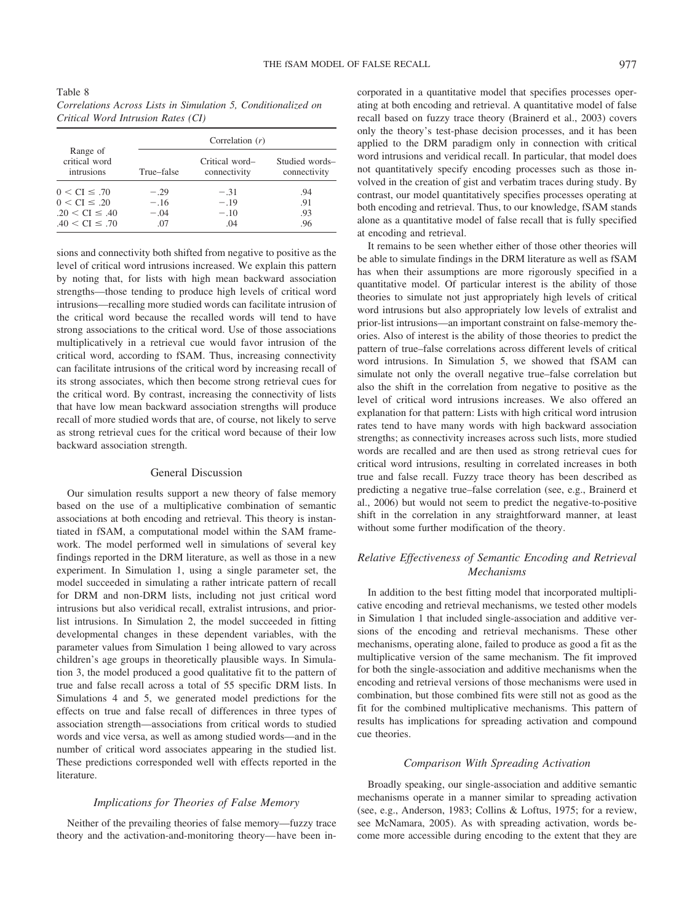| Table 8                                                       |  |
|---------------------------------------------------------------|--|
| Correlations Across Lists in Simulation 5, Conditionalized on |  |
| Critical Word Intrusion Rates (CI)                            |  |

|                                         |            | Correlation $(r)$              |                                |
|-----------------------------------------|------------|--------------------------------|--------------------------------|
| Range of<br>critical word<br>intrusions | True–false | Critical word-<br>connectivity | Studied words-<br>connectivity |
| $0 < CI \leq .70$                       | $-.29$     | $-.31$                         | .94                            |
| $0 < CI \leq .20$                       | $-.16$     | $-.19$                         | .91                            |
| $.20 < CI \le .40$                      | $-.04$     | $-.10$                         | .93                            |
| $.40 < CI \leq .70$                     | .07        | .04                            | .96                            |

sions and connectivity both shifted from negative to positive as the level of critical word intrusions increased. We explain this pattern by noting that, for lists with high mean backward association strengths—those tending to produce high levels of critical word intrusions—recalling more studied words can facilitate intrusion of the critical word because the recalled words will tend to have strong associations to the critical word. Use of those associations multiplicatively in a retrieval cue would favor intrusion of the critical word, according to fSAM. Thus, increasing connectivity can facilitate intrusions of the critical word by increasing recall of its strong associates, which then become strong retrieval cues for the critical word. By contrast, increasing the connectivity of lists that have low mean backward association strengths will produce recall of more studied words that are, of course, not likely to serve as strong retrieval cues for the critical word because of their low backward association strength.

#### General Discussion

Our simulation results support a new theory of false memory based on the use of a multiplicative combination of semantic associations at both encoding and retrieval. This theory is instantiated in fSAM, a computational model within the SAM framework. The model performed well in simulations of several key findings reported in the DRM literature, as well as those in a new experiment. In Simulation 1, using a single parameter set, the model succeeded in simulating a rather intricate pattern of recall for DRM and non-DRM lists, including not just critical word intrusions but also veridical recall, extralist intrusions, and priorlist intrusions. In Simulation 2, the model succeeded in fitting developmental changes in these dependent variables, with the parameter values from Simulation 1 being allowed to vary across children's age groups in theoretically plausible ways. In Simulation 3, the model produced a good qualitative fit to the pattern of true and false recall across a total of 55 specific DRM lists. In Simulations 4 and 5, we generated model predictions for the effects on true and false recall of differences in three types of association strength—associations from critical words to studied words and vice versa, as well as among studied words—and in the number of critical word associates appearing in the studied list. These predictions corresponded well with effects reported in the literature.

#### *Implications for Theories of False Memory*

Neither of the prevailing theories of false memory—fuzzy trace theory and the activation-and-monitoring theory— have been incorporated in a quantitative model that specifies processes operating at both encoding and retrieval. A quantitative model of false recall based on fuzzy trace theory (Brainerd et al., 2003) covers only the theory's test-phase decision processes, and it has been applied to the DRM paradigm only in connection with critical word intrusions and veridical recall. In particular, that model does not quantitatively specify encoding processes such as those involved in the creation of gist and verbatim traces during study. By contrast, our model quantitatively specifies processes operating at both encoding and retrieval. Thus, to our knowledge, fSAM stands alone as a quantitative model of false recall that is fully specified at encoding and retrieval.

It remains to be seen whether either of those other theories will be able to simulate findings in the DRM literature as well as fSAM has when their assumptions are more rigorously specified in a quantitative model. Of particular interest is the ability of those theories to simulate not just appropriately high levels of critical word intrusions but also appropriately low levels of extralist and prior-list intrusions—an important constraint on false-memory theories. Also of interest is the ability of those theories to predict the pattern of true–false correlations across different levels of critical word intrusions. In Simulation 5, we showed that fSAM can simulate not only the overall negative true–false correlation but also the shift in the correlation from negative to positive as the level of critical word intrusions increases. We also offered an explanation for that pattern: Lists with high critical word intrusion rates tend to have many words with high backward association strengths; as connectivity increases across such lists, more studied words are recalled and are then used as strong retrieval cues for critical word intrusions, resulting in correlated increases in both true and false recall. Fuzzy trace theory has been described as predicting a negative true–false correlation (see, e.g., Brainerd et al., 2006) but would not seem to predict the negative-to-positive shift in the correlation in any straightforward manner, at least without some further modification of the theory.

## *Relative Effectiveness of Semantic Encoding and Retrieval Mechanisms*

In addition to the best fitting model that incorporated multiplicative encoding and retrieval mechanisms, we tested other models in Simulation 1 that included single-association and additive versions of the encoding and retrieval mechanisms. These other mechanisms, operating alone, failed to produce as good a fit as the multiplicative version of the same mechanism. The fit improved for both the single-association and additive mechanisms when the encoding and retrieval versions of those mechanisms were used in combination, but those combined fits were still not as good as the fit for the combined multiplicative mechanisms. This pattern of results has implications for spreading activation and compound cue theories.

## *Comparison With Spreading Activation*

Broadly speaking, our single-association and additive semantic mechanisms operate in a manner similar to spreading activation (see, e.g., Anderson, 1983; Collins & Loftus, 1975; for a review, see McNamara, 2005). As with spreading activation, words become more accessible during encoding to the extent that they are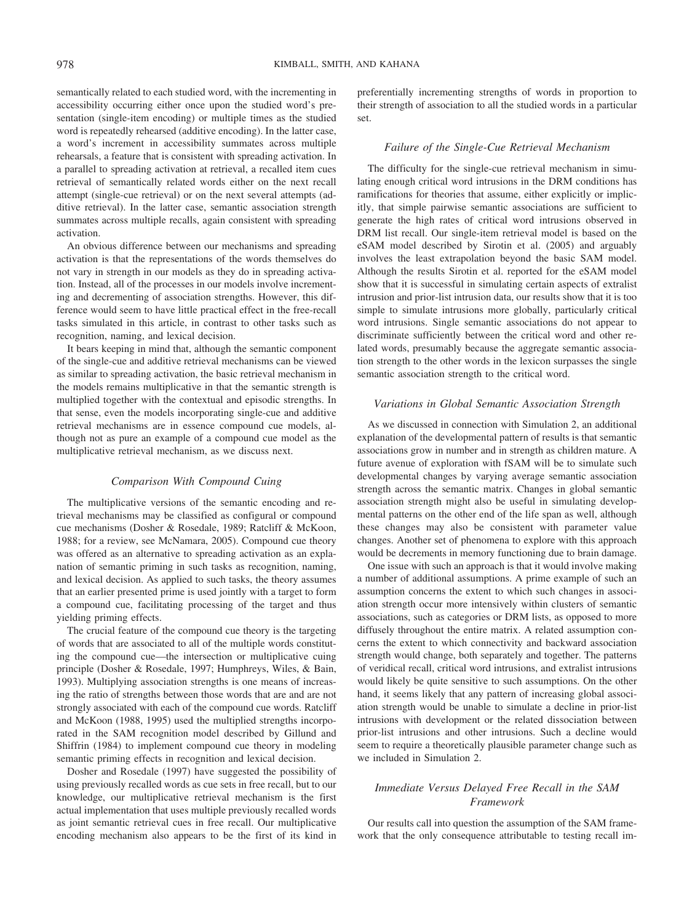semantically related to each studied word, with the incrementing in accessibility occurring either once upon the studied word's presentation (single-item encoding) or multiple times as the studied word is repeatedly rehearsed (additive encoding). In the latter case, a word's increment in accessibility summates across multiple rehearsals, a feature that is consistent with spreading activation. In a parallel to spreading activation at retrieval, a recalled item cues retrieval of semantically related words either on the next recall attempt (single-cue retrieval) or on the next several attempts (additive retrieval). In the latter case, semantic association strength summates across multiple recalls, again consistent with spreading activation.

An obvious difference between our mechanisms and spreading activation is that the representations of the words themselves do not vary in strength in our models as they do in spreading activation. Instead, all of the processes in our models involve incrementing and decrementing of association strengths. However, this difference would seem to have little practical effect in the free-recall tasks simulated in this article, in contrast to other tasks such as recognition, naming, and lexical decision.

It bears keeping in mind that, although the semantic component of the single-cue and additive retrieval mechanisms can be viewed as similar to spreading activation, the basic retrieval mechanism in the models remains multiplicative in that the semantic strength is multiplied together with the contextual and episodic strengths. In that sense, even the models incorporating single-cue and additive retrieval mechanisms are in essence compound cue models, although not as pure an example of a compound cue model as the multiplicative retrieval mechanism, as we discuss next.

## *Comparison With Compound Cuing*

The multiplicative versions of the semantic encoding and retrieval mechanisms may be classified as configural or compound cue mechanisms (Dosher & Rosedale, 1989; Ratcliff & McKoon, 1988; for a review, see McNamara, 2005). Compound cue theory was offered as an alternative to spreading activation as an explanation of semantic priming in such tasks as recognition, naming, and lexical decision. As applied to such tasks, the theory assumes that an earlier presented prime is used jointly with a target to form a compound cue, facilitating processing of the target and thus yielding priming effects.

The crucial feature of the compound cue theory is the targeting of words that are associated to all of the multiple words constituting the compound cue—the intersection or multiplicative cuing principle (Dosher & Rosedale, 1997; Humphreys, Wiles, & Bain, 1993). Multiplying association strengths is one means of increasing the ratio of strengths between those words that are and are not strongly associated with each of the compound cue words. Ratcliff and McKoon (1988, 1995) used the multiplied strengths incorporated in the SAM recognition model described by Gillund and Shiffrin (1984) to implement compound cue theory in modeling semantic priming effects in recognition and lexical decision.

Dosher and Rosedale (1997) have suggested the possibility of using previously recalled words as cue sets in free recall, but to our knowledge, our multiplicative retrieval mechanism is the first actual implementation that uses multiple previously recalled words as joint semantic retrieval cues in free recall. Our multiplicative encoding mechanism also appears to be the first of its kind in preferentially incrementing strengths of words in proportion to their strength of association to all the studied words in a particular set.

## *Failure of the Single-Cue Retrieval Mechanism*

The difficulty for the single-cue retrieval mechanism in simulating enough critical word intrusions in the DRM conditions has ramifications for theories that assume, either explicitly or implicitly, that simple pairwise semantic associations are sufficient to generate the high rates of critical word intrusions observed in DRM list recall. Our single-item retrieval model is based on the eSAM model described by Sirotin et al. (2005) and arguably involves the least extrapolation beyond the basic SAM model. Although the results Sirotin et al. reported for the eSAM model show that it is successful in simulating certain aspects of extralist intrusion and prior-list intrusion data, our results show that it is too simple to simulate intrusions more globally, particularly critical word intrusions. Single semantic associations do not appear to discriminate sufficiently between the critical word and other related words, presumably because the aggregate semantic association strength to the other words in the lexicon surpasses the single semantic association strength to the critical word.

## *Variations in Global Semantic Association Strength*

As we discussed in connection with Simulation 2, an additional explanation of the developmental pattern of results is that semantic associations grow in number and in strength as children mature. A future avenue of exploration with fSAM will be to simulate such developmental changes by varying average semantic association strength across the semantic matrix. Changes in global semantic association strength might also be useful in simulating developmental patterns on the other end of the life span as well, although these changes may also be consistent with parameter value changes. Another set of phenomena to explore with this approach would be decrements in memory functioning due to brain damage.

One issue with such an approach is that it would involve making a number of additional assumptions. A prime example of such an assumption concerns the extent to which such changes in association strength occur more intensively within clusters of semantic associations, such as categories or DRM lists, as opposed to more diffusely throughout the entire matrix. A related assumption concerns the extent to which connectivity and backward association strength would change, both separately and together. The patterns of veridical recall, critical word intrusions, and extralist intrusions would likely be quite sensitive to such assumptions. On the other hand, it seems likely that any pattern of increasing global association strength would be unable to simulate a decline in prior-list intrusions with development or the related dissociation between prior-list intrusions and other intrusions. Such a decline would seem to require a theoretically plausible parameter change such as we included in Simulation 2.

## *Immediate Versus Delayed Free Recall in the SAM Framework*

Our results call into question the assumption of the SAM framework that the only consequence attributable to testing recall im-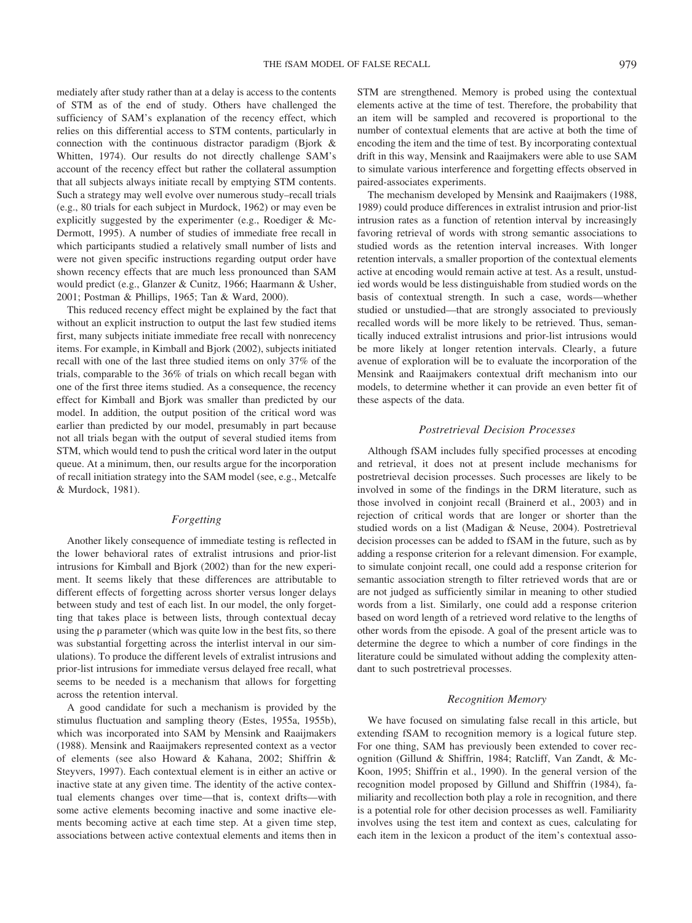mediately after study rather than at a delay is access to the contents of STM as of the end of study. Others have challenged the sufficiency of SAM's explanation of the recency effect, which relies on this differential access to STM contents, particularly in connection with the continuous distractor paradigm (Bjork & Whitten, 1974). Our results do not directly challenge SAM's account of the recency effect but rather the collateral assumption that all subjects always initiate recall by emptying STM contents. Such a strategy may well evolve over numerous study–recall trials (e.g., 80 trials for each subject in Murdock, 1962) or may even be explicitly suggested by the experimenter (e.g., Roediger & Mc-Dermott, 1995). A number of studies of immediate free recall in which participants studied a relatively small number of lists and were not given specific instructions regarding output order have shown recency effects that are much less pronounced than SAM would predict (e.g., Glanzer & Cunitz, 1966; Haarmann & Usher, 2001; Postman & Phillips, 1965; Tan & Ward, 2000).

This reduced recency effect might be explained by the fact that without an explicit instruction to output the last few studied items first, many subjects initiate immediate free recall with nonrecency items. For example, in Kimball and Bjork (2002), subjects initiated recall with one of the last three studied items on only 37% of the trials, comparable to the 36% of trials on which recall began with one of the first three items studied. As a consequence, the recency effect for Kimball and Bjork was smaller than predicted by our model. In addition, the output position of the critical word was earlier than predicted by our model, presumably in part because not all trials began with the output of several studied items from STM, which would tend to push the critical word later in the output queue. At a minimum, then, our results argue for the incorporation of recall initiation strategy into the SAM model (see, e.g., Metcalfe & Murdock, 1981).

## *Forgetting*

Another likely consequence of immediate testing is reflected in the lower behavioral rates of extralist intrusions and prior-list intrusions for Kimball and Bjork (2002) than for the new experiment. It seems likely that these differences are attributable to different effects of forgetting across shorter versus longer delays between study and test of each list. In our model, the only forgetting that takes place is between lists, through contextual decay using the  $\rho$  parameter (which was quite low in the best fits, so there was substantial forgetting across the interlist interval in our simulations). To produce the different levels of extralist intrusions and prior-list intrusions for immediate versus delayed free recall, what seems to be needed is a mechanism that allows for forgetting across the retention interval.

A good candidate for such a mechanism is provided by the stimulus fluctuation and sampling theory (Estes, 1955a, 1955b), which was incorporated into SAM by Mensink and Raaijmakers (1988). Mensink and Raaijmakers represented context as a vector of elements (see also Howard & Kahana, 2002; Shiffrin & Steyvers, 1997). Each contextual element is in either an active or inactive state at any given time. The identity of the active contextual elements changes over time—that is, context drifts—with some active elements becoming inactive and some inactive elements becoming active at each time step. At a given time step, associations between active contextual elements and items then in STM are strengthened. Memory is probed using the contextual elements active at the time of test. Therefore, the probability that an item will be sampled and recovered is proportional to the number of contextual elements that are active at both the time of encoding the item and the time of test. By incorporating contextual drift in this way, Mensink and Raaijmakers were able to use SAM to simulate various interference and forgetting effects observed in paired-associates experiments.

The mechanism developed by Mensink and Raaijmakers (1988, 1989) could produce differences in extralist intrusion and prior-list intrusion rates as a function of retention interval by increasingly favoring retrieval of words with strong semantic associations to studied words as the retention interval increases. With longer retention intervals, a smaller proportion of the contextual elements active at encoding would remain active at test. As a result, unstudied words would be less distinguishable from studied words on the basis of contextual strength. In such a case, words—whether studied or unstudied—that are strongly associated to previously recalled words will be more likely to be retrieved. Thus, semantically induced extralist intrusions and prior-list intrusions would be more likely at longer retention intervals. Clearly, a future avenue of exploration will be to evaluate the incorporation of the Mensink and Raaijmakers contextual drift mechanism into our models, to determine whether it can provide an even better fit of these aspects of the data.

## *Postretrieval Decision Processes*

Although fSAM includes fully specified processes at encoding and retrieval, it does not at present include mechanisms for postretrieval decision processes. Such processes are likely to be involved in some of the findings in the DRM literature, such as those involved in conjoint recall (Brainerd et al., 2003) and in rejection of critical words that are longer or shorter than the studied words on a list (Madigan & Neuse, 2004). Postretrieval decision processes can be added to fSAM in the future, such as by adding a response criterion for a relevant dimension. For example, to simulate conjoint recall, one could add a response criterion for semantic association strength to filter retrieved words that are or are not judged as sufficiently similar in meaning to other studied words from a list. Similarly, one could add a response criterion based on word length of a retrieved word relative to the lengths of other words from the episode. A goal of the present article was to determine the degree to which a number of core findings in the literature could be simulated without adding the complexity attendant to such postretrieval processes.

### *Recognition Memory*

We have focused on simulating false recall in this article, but extending fSAM to recognition memory is a logical future step. For one thing, SAM has previously been extended to cover recognition (Gillund & Shiffrin, 1984; Ratcliff, Van Zandt, & Mc-Koon, 1995; Shiffrin et al., 1990). In the general version of the recognition model proposed by Gillund and Shiffrin (1984), familiarity and recollection both play a role in recognition, and there is a potential role for other decision processes as well. Familiarity involves using the test item and context as cues, calculating for each item in the lexicon a product of the item's contextual asso-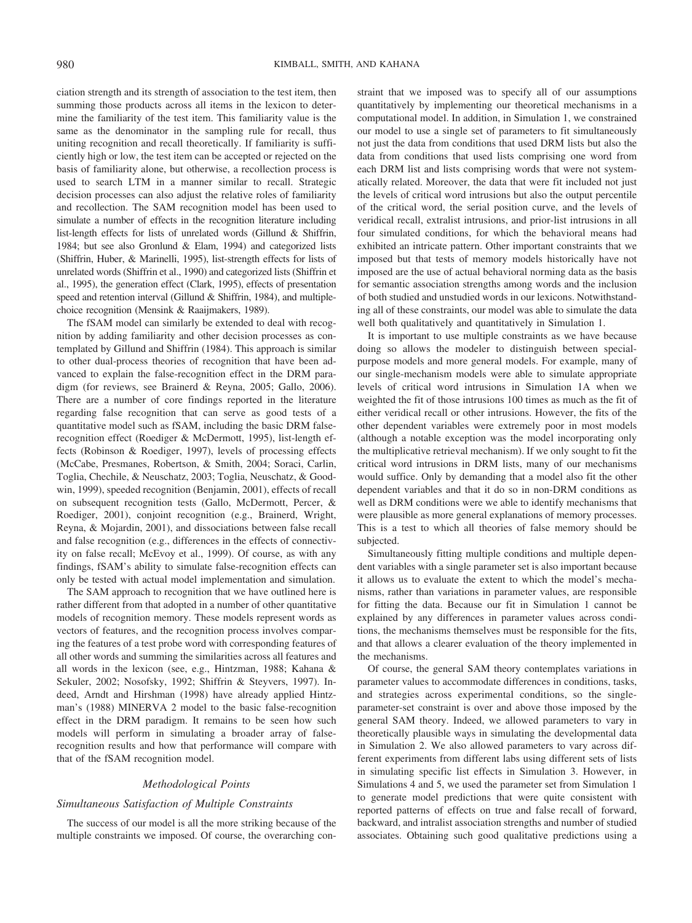ciation strength and its strength of association to the test item, then summing those products across all items in the lexicon to determine the familiarity of the test item. This familiarity value is the same as the denominator in the sampling rule for recall, thus uniting recognition and recall theoretically. If familiarity is sufficiently high or low, the test item can be accepted or rejected on the basis of familiarity alone, but otherwise, a recollection process is used to search LTM in a manner similar to recall. Strategic decision processes can also adjust the relative roles of familiarity and recollection. The SAM recognition model has been used to simulate a number of effects in the recognition literature including list-length effects for lists of unrelated words (Gillund & Shiffrin, 1984; but see also Gronlund & Elam, 1994) and categorized lists (Shiffrin, Huber, & Marinelli, 1995), list-strength effects for lists of unrelated words (Shiffrin et al., 1990) and categorized lists (Shiffrin et al., 1995), the generation effect (Clark, 1995), effects of presentation speed and retention interval (Gillund & Shiffrin, 1984), and multiplechoice recognition (Mensink & Raaijmakers, 1989).

The fSAM model can similarly be extended to deal with recognition by adding familiarity and other decision processes as contemplated by Gillund and Shiffrin (1984). This approach is similar to other dual-process theories of recognition that have been advanced to explain the false-recognition effect in the DRM paradigm (for reviews, see Brainerd & Reyna, 2005; Gallo, 2006). There are a number of core findings reported in the literature regarding false recognition that can serve as good tests of a quantitative model such as fSAM, including the basic DRM falserecognition effect (Roediger & McDermott, 1995), list-length effects (Robinson & Roediger, 1997), levels of processing effects (McCabe, Presmanes, Robertson, & Smith, 2004; Soraci, Carlin, Toglia, Chechile, & Neuschatz, 2003; Toglia, Neuschatz, & Goodwin, 1999), speeded recognition (Benjamin, 2001), effects of recall on subsequent recognition tests (Gallo, McDermott, Percer, & Roediger, 2001), conjoint recognition (e.g., Brainerd, Wright, Reyna, & Mojardin, 2001), and dissociations between false recall and false recognition (e.g., differences in the effects of connectivity on false recall; McEvoy et al., 1999). Of course, as with any findings, fSAM's ability to simulate false-recognition effects can only be tested with actual model implementation and simulation.

The SAM approach to recognition that we have outlined here is rather different from that adopted in a number of other quantitative models of recognition memory. These models represent words as vectors of features, and the recognition process involves comparing the features of a test probe word with corresponding features of all other words and summing the similarities across all features and all words in the lexicon (see, e.g., Hintzman, 1988; Kahana & Sekuler, 2002; Nosofsky, 1992; Shiffrin & Steyvers, 1997). Indeed, Arndt and Hirshman (1998) have already applied Hintzman's (1988) MINERVA 2 model to the basic false-recognition effect in the DRM paradigm. It remains to be seen how such models will perform in simulating a broader array of falserecognition results and how that performance will compare with that of the fSAM recognition model.

#### *Methodological Points*

### *Simultaneous Satisfaction of Multiple Constraints*

The success of our model is all the more striking because of the multiple constraints we imposed. Of course, the overarching constraint that we imposed was to specify all of our assumptions quantitatively by implementing our theoretical mechanisms in a computational model. In addition, in Simulation 1, we constrained our model to use a single set of parameters to fit simultaneously not just the data from conditions that used DRM lists but also the data from conditions that used lists comprising one word from each DRM list and lists comprising words that were not systematically related. Moreover, the data that were fit included not just the levels of critical word intrusions but also the output percentile of the critical word, the serial position curve, and the levels of veridical recall, extralist intrusions, and prior-list intrusions in all four simulated conditions, for which the behavioral means had exhibited an intricate pattern. Other important constraints that we imposed but that tests of memory models historically have not imposed are the use of actual behavioral norming data as the basis for semantic association strengths among words and the inclusion of both studied and unstudied words in our lexicons. Notwithstanding all of these constraints, our model was able to simulate the data well both qualitatively and quantitatively in Simulation 1.

It is important to use multiple constraints as we have because doing so allows the modeler to distinguish between specialpurpose models and more general models. For example, many of our single-mechanism models were able to simulate appropriate levels of critical word intrusions in Simulation 1A when we weighted the fit of those intrusions 100 times as much as the fit of either veridical recall or other intrusions. However, the fits of the other dependent variables were extremely poor in most models (although a notable exception was the model incorporating only the multiplicative retrieval mechanism). If we only sought to fit the critical word intrusions in DRM lists, many of our mechanisms would suffice. Only by demanding that a model also fit the other dependent variables and that it do so in non-DRM conditions as well as DRM conditions were we able to identify mechanisms that were plausible as more general explanations of memory processes. This is a test to which all theories of false memory should be subjected.

Simultaneously fitting multiple conditions and multiple dependent variables with a single parameter set is also important because it allows us to evaluate the extent to which the model's mechanisms, rather than variations in parameter values, are responsible for fitting the data. Because our fit in Simulation 1 cannot be explained by any differences in parameter values across conditions, the mechanisms themselves must be responsible for the fits, and that allows a clearer evaluation of the theory implemented in the mechanisms.

Of course, the general SAM theory contemplates variations in parameter values to accommodate differences in conditions, tasks, and strategies across experimental conditions, so the singleparameter-set constraint is over and above those imposed by the general SAM theory. Indeed, we allowed parameters to vary in theoretically plausible ways in simulating the developmental data in Simulation 2. We also allowed parameters to vary across different experiments from different labs using different sets of lists in simulating specific list effects in Simulation 3. However, in Simulations 4 and 5, we used the parameter set from Simulation 1 to generate model predictions that were quite consistent with reported patterns of effects on true and false recall of forward, backward, and intralist association strengths and number of studied associates. Obtaining such good qualitative predictions using a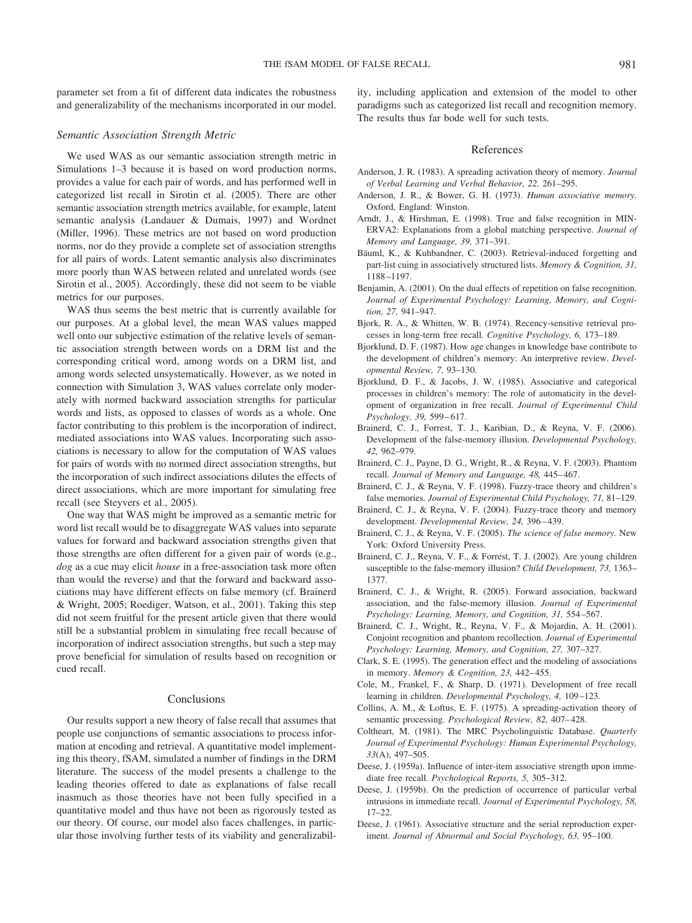parameter set from a fit of different data indicates the robustness and generalizability of the mechanisms incorporated in our model.

### *Semantic Association Strength Metric*

We used WAS as our semantic association strength metric in Simulations 1–3 because it is based on word production norms, provides a value for each pair of words, and has performed well in categorized list recall in Sirotin et al. (2005). There are other semantic association strength metrics available, for example, latent semantic analysis (Landauer & Dumais, 1997) and Wordnet (Miller, 1996). These metrics are not based on word production norms, nor do they provide a complete set of association strengths for all pairs of words. Latent semantic analysis also discriminates more poorly than WAS between related and unrelated words (see Sirotin et al., 2005). Accordingly, these did not seem to be viable metrics for our purposes.

WAS thus seems the best metric that is currently available for our purposes. At a global level, the mean WAS values mapped well onto our subjective estimation of the relative levels of semantic association strength between words on a DRM list and the corresponding critical word, among words on a DRM list, and among words selected unsystematically. However, as we noted in connection with Simulation 3, WAS values correlate only moderately with normed backward association strengths for particular words and lists, as opposed to classes of words as a whole. One factor contributing to this problem is the incorporation of indirect, mediated associations into WAS values. Incorporating such associations is necessary to allow for the computation of WAS values for pairs of words with no normed direct association strengths, but the incorporation of such indirect associations dilutes the effects of direct associations, which are more important for simulating free recall (see Steyvers et al., 2005).

One way that WAS might be improved as a semantic metric for word list recall would be to disaggregate WAS values into separate values for forward and backward association strengths given that those strengths are often different for a given pair of words (e.g., *dog* as a cue may elicit *house* in a free-association task more often than would the reverse) and that the forward and backward associations may have different effects on false memory (cf. Brainerd & Wright, 2005; Roediger, Watson, et al., 2001). Taking this step did not seem fruitful for the present article given that there would still be a substantial problem in simulating free recall because of incorporation of indirect association strengths, but such a step may prove beneficial for simulation of results based on recognition or cued recall.

## Conclusions

Our results support a new theory of false recall that assumes that people use conjunctions of semantic associations to process information at encoding and retrieval. A quantitative model implementing this theory, fSAM, simulated a number of findings in the DRM literature. The success of the model presents a challenge to the leading theories offered to date as explanations of false recall inasmuch as those theories have not been fully specified in a quantitative model and thus have not been as rigorously tested as our theory. Of course, our model also faces challenges, in particular those involving further tests of its viability and generalizability, including application and extension of the model to other paradigms such as categorized list recall and recognition memory. The results thus far bode well for such tests.

#### References

- Anderson, J. R. (1983). A spreading activation theory of memory. *Journal of Verbal Learning and Verbal Behavior, 22,* 261–295.
- Anderson, J. R., & Bower, G. H. (1973). *Human associative memory.* Oxford, England: Winston.
- Arndt, J., & Hirshman, E. (1998). True and false recognition in MIN-ERVA2: Explanations from a global matching perspective. *Journal of Memory and Language, 39,* 371–391.
- Bäuml, K., & Kuhbandner, C. (2003). Retrieval-induced forgetting and part-list cuing in associatively structured lists. *Memory & Cognition, 31,* 1188 –1197.
- Benjamin, A. (2001). On the dual effects of repetition on false recognition. *Journal of Experimental Psychology: Learning, Memory, and Cognition, 27,* 941–947.
- Bjork, R. A., & Whitten, W. B. (1974). Recency-sensitive retrieval processes in long-term free recall. *Cognitive Psychology, 6,* 173–189.
- Bjorklund, D. F. (1987). How age changes in knowledge base contribute to the development of children's memory: An interpretive review. *Developmental Review, 7,* 93–130.
- Bjorklund, D. F., & Jacobs, J. W. (1985). Associative and categorical processes in children's memory: The role of automaticity in the development of organization in free recall. *Journal of Experimental Child Psychology, 39,* 599 – 617.
- Brainerd, C. J., Forrest, T. J., Karibian, D., & Reyna, V. F. (2006). Development of the false-memory illusion. *Developmental Psychology, 42,* 962–979.
- Brainerd, C. J., Payne, D. G., Wright, R., & Reyna, V. F. (2003). Phantom recall. *Journal of Memory and Language, 48,* 445– 467.
- Brainerd, C. J., & Reyna, V. F. (1998). Fuzzy-trace theory and children's false memories. *Journal of Experimental Child Psychology, 71,* 81–129.
- Brainerd, C. J., & Reyna, V. F. (2004). Fuzzy-trace theory and memory development. *Developmental Review, 24,* 396 – 439.
- Brainerd, C. J., & Reyna, V. F. (2005). *The science of false memory.* New York: Oxford University Press.
- Brainerd, C. J., Reyna, V. F., & Forrest, T. J. (2002). Are young children susceptible to the false-memory illusion? *Child Development, 73,* 1363– 1377.
- Brainerd, C. J., & Wright, R. (2005). Forward association, backward association, and the false-memory illusion. *Journal of Experimental Psychology: Learning, Memory, and Cognition, 31,* 554 –567.
- Brainerd, C. J., Wright, R., Reyna, V. F., & Mojardin, A. H. (2001). Conjoint recognition and phantom recollection. *Journal of Experimental Psychology: Learning, Memory, and Cognition, 27,* 307–327.
- Clark, S. E. (1995). The generation effect and the modeling of associations in memory. *Memory & Cognition, 23,* 442– 455.
- Cole, M., Frankel, F., & Sharp, D. (1971). Development of free recall learning in children. *Developmental Psychology, 4,* 109 –123.
- Collins, A. M., & Loftus, E. F. (1975). A spreading-activation theory of semantic processing. *Psychological Review, 82, 407-428*.
- Coltheart, M. (1981). The MRC Psycholinguistic Database. *Quarterly Journal of Experimental Psychology: Human Experimental Psychology, 33*(A), 497–505.
- Deese, J. (1959a). Influence of inter-item associative strength upon immediate free recall. *Psychological Reports, 5,* 305–312.
- Deese, J. (1959b). On the prediction of occurrence of particular verbal intrusions in immediate recall. *Journal of Experimental Psychology, 58,*  $17-22$
- Deese, J. (1961). Associative structure and the serial reproduction experiment. *Journal of Abnormal and Social Psychology, 63,* 95–100.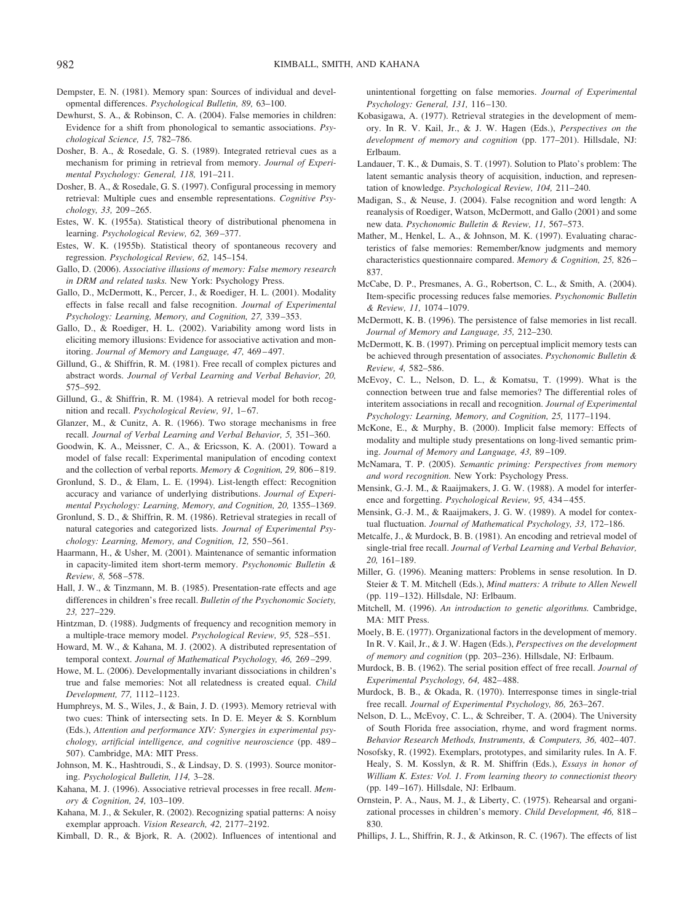- Dempster, E. N. (1981). Memory span: Sources of individual and developmental differences. *Psychological Bulletin, 89,* 63–100.
- Dewhurst, S. A., & Robinson, C. A. (2004). False memories in children: Evidence for a shift from phonological to semantic associations. *Psychological Science, 15,* 782–786.
- Dosher, B. A., & Rosedale, G. S. (1989). Integrated retrieval cues as a mechanism for priming in retrieval from memory. *Journal of Experimental Psychology: General, 118,* 191–211.
- Dosher, B. A., & Rosedale, G. S. (1997). Configural processing in memory retrieval: Multiple cues and ensemble representations. *Cognitive Psychology, 33,* 209 –265.
- Estes, W. K. (1955a). Statistical theory of distributional phenomena in learning. *Psychological Review, 62,* 369 –377.
- Estes, W. K. (1955b). Statistical theory of spontaneous recovery and regression. *Psychological Review, 62,* 145–154.
- Gallo, D. (2006). *Associative illusions of memory: False memory research in DRM and related tasks.* New York: Psychology Press.
- Gallo, D., McDermott, K., Percer, J., & Roediger, H. L. (2001). Modality effects in false recall and false recognition. *Journal of Experimental Psychology: Learning, Memory, and Cognition, 27,* 339 –353.
- Gallo, D., & Roediger, H. L. (2002). Variability among word lists in eliciting memory illusions: Evidence for associative activation and monitoring. *Journal of Memory and Language, 47,* 469 – 497.
- Gillund, G., & Shiffrin, R. M. (1981). Free recall of complex pictures and abstract words. *Journal of Verbal Learning and Verbal Behavior, 20,* 575–592.
- Gillund, G., & Shiffrin, R. M. (1984). A retrieval model for both recognition and recall. *Psychological Review*, 91, 1-67.
- Glanzer, M., & Cunitz, A. R. (1966). Two storage mechanisms in free recall. *Journal of Verbal Learning and Verbal Behavior, 5,* 351–360.
- Goodwin, K. A., Meissner, C. A., & Ericsson, K. A. (2001). Toward a model of false recall: Experimental manipulation of encoding context and the collection of verbal reports. *Memory & Cognition, 29,* 806 – 819.
- Gronlund, S. D., & Elam, L. E. (1994). List-length effect: Recognition accuracy and variance of underlying distributions. *Journal of Experimental Psychology: Learning, Memory, and Cognition, 20,* 1355–1369.
- Gronlund, S. D., & Shiffrin, R. M. (1986). Retrieval strategies in recall of natural categories and categorized lists. *Journal of Experimental Psychology: Learning, Memory, and Cognition, 12,* 550 –561.
- Haarmann, H., & Usher, M. (2001). Maintenance of semantic information in capacity-limited item short-term memory. *Psychonomic Bulletin & Review, 8,* 568 –578.
- Hall, J. W., & Tinzmann, M. B. (1985). Presentation-rate effects and age differences in children's free recall. *Bulletin of the Psychonomic Society, 23,* 227–229.
- Hintzman, D. (1988). Judgments of frequency and recognition memory in a multiple-trace memory model. *Psychological Review, 95,* 528 –551.
- Howard, M. W., & Kahana, M. J. (2002). A distributed representation of temporal context. *Journal of Mathematical Psychology, 46,* 269 –299.
- Howe, M. L. (2006). Developmentally invariant dissociations in children's true and false memories: Not all relatedness is created equal. *Child Development, 77,* 1112–1123.
- Humphreys, M. S., Wiles, J., & Bain, J. D. (1993). Memory retrieval with two cues: Think of intersecting sets. In D. E. Meyer & S. Kornblum (Eds.), *Attention and performance XIV: Synergies in experimental psychology, artificial intelligence, and cognitive neuroscience* (pp. 489 – 507). Cambridge, MA: MIT Press.
- Johnson, M. K., Hashtroudi, S., & Lindsay, D. S. (1993). Source monitoring. *Psychological Bulletin, 114,* 3–28.
- Kahana, M. J. (1996). Associative retrieval processes in free recall. *Memory & Cognition, 24,* 103–109.
- Kahana, M. J., & Sekuler, R. (2002). Recognizing spatial patterns: A noisy exemplar approach. *Vision Research, 42,* 2177–2192.
- Kimball, D. R., & Bjork, R. A. (2002). Influences of intentional and

unintentional forgetting on false memories. *Journal of Experimental Psychology: General, 131,* 116 –130.

- Kobasigawa, A. (1977). Retrieval strategies in the development of memory. In R. V. Kail, Jr., & J. W. Hagen (Eds.), *Perspectives on the development of memory and cognition* (pp. 177–201). Hillsdale, NJ: Erlbaum.
- Landauer, T. K., & Dumais, S. T. (1997). Solution to Plato's problem: The latent semantic analysis theory of acquisition, induction, and representation of knowledge. *Psychological Review, 104,* 211–240.
- Madigan, S., & Neuse, J. (2004). False recognition and word length: A reanalysis of Roediger, Watson, McDermott, and Gallo (2001) and some new data. *Psychonomic Bulletin & Review, 11,* 567–573.
- Mather, M., Henkel, L. A., & Johnson, M. K. (1997). Evaluating characteristics of false memories: Remember/know judgments and memory characteristics questionnaire compared. *Memory & Cognition, 25,* 826 – 837.
- McCabe, D. P., Presmanes, A. G., Robertson, C. L., & Smith, A. (2004). Item-specific processing reduces false memories. *Psychonomic Bulletin & Review, 11,* 1074 –1079.
- McDermott, K. B. (1996). The persistence of false memories in list recall. *Journal of Memory and Language, 35,* 212–230.
- McDermott, K. B. (1997). Priming on perceptual implicit memory tests can be achieved through presentation of associates. *Psychonomic Bulletin & Review, 4,* 582–586.
- McEvoy, C. L., Nelson, D. L., & Komatsu, T. (1999). What is the connection between true and false memories? The differential roles of interitem associations in recall and recognition. *Journal of Experimental Psychology: Learning, Memory, and Cognition, 25,* 1177–1194.
- McKone, E., & Murphy, B. (2000). Implicit false memory: Effects of modality and multiple study presentations on long-lived semantic priming. *Journal of Memory and Language, 43,* 89 –109.
- McNamara, T. P. (2005). *Semantic priming: Perspectives from memory and word recognition.* New York: Psychology Press.
- Mensink, G.-J. M., & Raaijmakers, J. G. W. (1988). A model for interference and forgetting. *Psychological Review, 95,* 434 – 455.
- Mensink, G.-J. M., & Raaijmakers, J. G. W. (1989). A model for contextual fluctuation. *Journal of Mathematical Psychology, 33,* 172–186.
- Metcalfe, J., & Murdock, B. B. (1981). An encoding and retrieval model of single-trial free recall. *Journal of Verbal Learning and Verbal Behavior, 20,* 161–189.
- Miller, G. (1996). Meaning matters: Problems in sense resolution. In D. Steier & T. M. Mitchell (Eds.), *Mind matters: A tribute to Allen Newell* (pp. 119 –132). Hillsdale, NJ: Erlbaum.
- Mitchell, M. (1996). *An introduction to genetic algorithms.* Cambridge, MA: MIT Press.
- Moely, B. E. (1977). Organizational factors in the development of memory. In R. V. Kail, Jr., & J. W. Hagen (Eds.), *Perspectives on the development of memory and cognition* (pp. 203–236). Hillsdale, NJ: Erlbaum.
- Murdock, B. B. (1962). The serial position effect of free recall. *Journal of Experimental Psychology, 64,* 482– 488.
- Murdock, B. B., & Okada, R. (1970). Interresponse times in single-trial free recall. *Journal of Experimental Psychology, 86,* 263–267.
- Nelson, D. L., McEvoy, C. L., & Schreiber, T. A. (2004). The University of South Florida free association, rhyme, and word fragment norms. *Behavior Research Methods, Instruments, & Computers, 36,* 402– 407.
- Nosofsky, R. (1992). Exemplars, prototypes, and similarity rules. In A. F. Healy, S. M. Kosslyn, & R. M. Shiffrin (Eds.), *Essays in honor of William K. Estes: Vol. 1. From learning theory to connectionist theory* (pp. 149 –167). Hillsdale, NJ: Erlbaum.
- Ornstein, P. A., Naus, M. J., & Liberty, C. (1975). Rehearsal and organizational processes in children's memory. *Child Development, 46,* 818 – 830.
- Phillips, J. L., Shiffrin, R. J., & Atkinson, R. C. (1967). The effects of list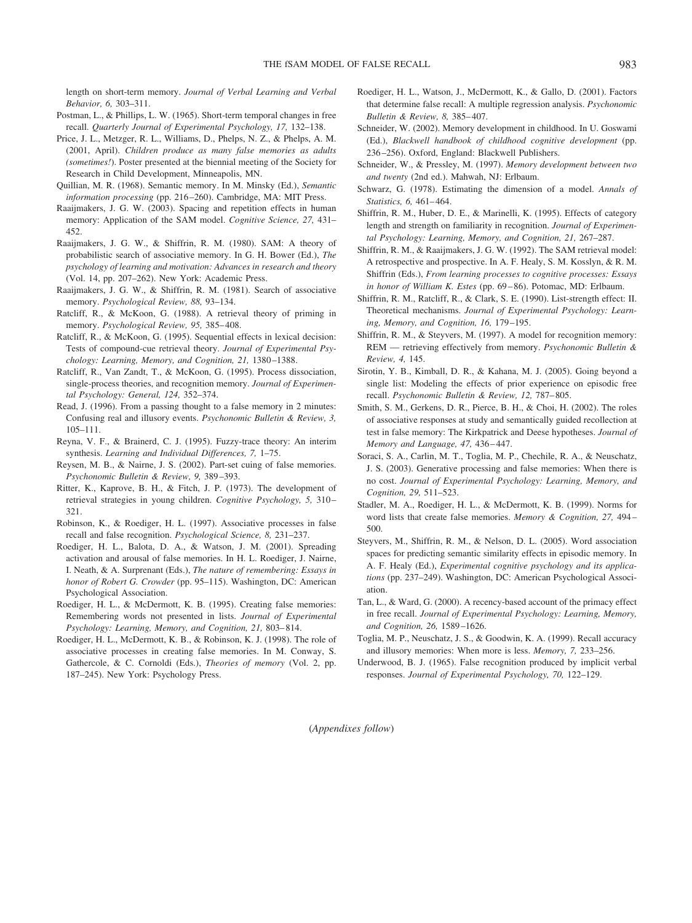length on short-term memory. *Journal of Verbal Learning and Verbal Behavior, 6,* 303–311.

- Postman, L., & Phillips, L. W. (1965). Short-term temporal changes in free recall. *Quarterly Journal of Experimental Psychology, 17,* 132–138.
- Price, J. L., Metzger, R. L., Williams, D., Phelps, N. Z., & Phelps, A. M. (2001, April). *Children produce as many false memories as adults (sometimes!*). Poster presented at the biennial meeting of the Society for Research in Child Development, Minneapolis, MN.
- Quillian, M. R. (1968). Semantic memory. In M. Minsky (Ed.), *Semantic information processing* (pp. 216 –260). Cambridge, MA: MIT Press.
- Raaijmakers, J. G. W. (2003). Spacing and repetition effects in human memory: Application of the SAM model. *Cognitive Science, 27,* 431– 452.
- Raaijmakers, J. G. W., & Shiffrin, R. M. (1980). SAM: A theory of probabilistic search of associative memory. In G. H. Bower (Ed.), *The psychology of learning and motivation: Advances in research and theory* (Vol. 14, pp. 207–262). New York: Academic Press.
- Raaijmakers, J. G. W., & Shiffrin, R. M. (1981). Search of associative memory. *Psychological Review, 88,* 93–134.
- Ratcliff, R., & McKoon, G. (1988). A retrieval theory of priming in memory. *Psychological Review, 95,* 385– 408.
- Ratcliff, R., & McKoon, G. (1995). Sequential effects in lexical decision: Tests of compound-cue retrieval theory. *Journal of Experimental Psychology: Learning, Memory, and Cognition, 21,* 1380 –1388.
- Ratcliff, R., Van Zandt, T., & McKoon, G. (1995). Process dissociation, single-process theories, and recognition memory. *Journal of Experimental Psychology: General, 124,* 352–374.
- Read, J. (1996). From a passing thought to a false memory in 2 minutes: Confusing real and illusory events. *Psychonomic Bulletin & Review, 3,* 105–111.
- Reyna, V. F., & Brainerd, C. J. (1995). Fuzzy-trace theory: An interim synthesis. *Learning and Individual Differences, 7,* 1–75.
- Reysen, M. B., & Nairne, J. S. (2002). Part-set cuing of false memories. *Psychonomic Bulletin & Review, 9,* 389 –393.
- Ritter, K., Kaprove, B. H., & Fitch, J. P. (1973). The development of retrieval strategies in young children. *Cognitive Psychology, 5,* 310 – 321.
- Robinson, K., & Roediger, H. L. (1997). Associative processes in false recall and false recognition. *Psychological Science, 8,* 231–237.
- Roediger, H. L., Balota, D. A., & Watson, J. M. (2001). Spreading activation and arousal of false memories. In H. L. Roediger, J. Nairne, I. Neath, & A. Surprenant (Eds.), *The nature of remembering: Essays in honor of Robert G. Crowder* (pp. 95–115). Washington, DC: American Psychological Association.
- Roediger, H. L., & McDermott, K. B. (1995). Creating false memories: Remembering words not presented in lists. *Journal of Experimental Psychology: Learning, Memory, and Cognition, 21,* 803– 814.
- Roediger, H. L., McDermott, K. B., & Robinson, K. J. (1998). The role of associative processes in creating false memories. In M. Conway, S. Gathercole, & C. Cornoldi (Eds.), *Theories of memory* (Vol. 2, pp. 187–245). New York: Psychology Press.
- Roediger, H. L., Watson, J., McDermott, K., & Gallo, D. (2001). Factors that determine false recall: A multiple regression analysis. *Psychonomic Bulletin & Review, 8,* 385– 407.
- Schneider, W. (2002). Memory development in childhood. In U. Goswami (Ed.), *Blackwell handbook of childhood cognitive development* (pp. 236 –256). Oxford, England: Blackwell Publishers.
- Schneider, W., & Pressley, M. (1997). *Memory development between two and twenty* (2nd ed.). Mahwah, NJ: Erlbaum.
- Schwarz, G. (1978). Estimating the dimension of a model. *Annals of Statistics, 6,* 461– 464.
- Shiffrin, R. M., Huber, D. E., & Marinelli, K. (1995). Effects of category length and strength on familiarity in recognition. *Journal of Experimental Psychology: Learning, Memory, and Cognition, 21,* 267–287.
- Shiffrin, R. M., & Raaijmakers, J. G. W. (1992). The SAM retrieval model: A retrospective and prospective. In A. F. Healy, S. M. Kosslyn, & R. M. Shiffrin (Eds.), *From learning processes to cognitive processes: Essays in honor of William K. Estes* (pp. 69 – 86). Potomac, MD: Erlbaum.
- Shiffrin, R. M., Ratcliff, R., & Clark, S. E. (1990). List-strength effect: II. Theoretical mechanisms. *Journal of Experimental Psychology: Learning, Memory, and Cognition, 16,* 179 –195.
- Shiffrin, R. M., & Steyvers, M. (1997). A model for recognition memory: REM — retrieving effectively from memory. *Psychonomic Bulletin & Review, 4,* 145.
- Sirotin, Y. B., Kimball, D. R., & Kahana, M. J. (2005). Going beyond a single list: Modeling the effects of prior experience on episodic free recall. *Psychonomic Bulletin & Review, 12,* 787– 805.
- Smith, S. M., Gerkens, D. R., Pierce, B. H., & Choi, H. (2002). The roles of associative responses at study and semantically guided recollection at test in false memory: The Kirkpatrick and Deese hypotheses. *Journal of Memory and Language, 47,* 436 – 447.
- Soraci, S. A., Carlin, M. T., Toglia, M. P., Chechile, R. A., & Neuschatz, J. S. (2003). Generative processing and false memories: When there is no cost. *Journal of Experimental Psychology: Learning, Memory, and Cognition, 29,* 511–523.
- Stadler, M. A., Roediger, H. L., & McDermott, K. B. (1999). Norms for word lists that create false memories. *Memory & Cognition, 27,* 494 – 500.
- Steyvers, M., Shiffrin, R. M., & Nelson, D. L. (2005). Word association spaces for predicting semantic similarity effects in episodic memory. In A. F. Healy (Ed.), *Experimental cognitive psychology and its applications* (pp. 237–249). Washington, DC: American Psychological Association.
- Tan, L., & Ward, G. (2000). A recency-based account of the primacy effect in free recall. *Journal of Experimental Psychology: Learning, Memory, and Cognition, 26,* 1589 –1626.
- Toglia, M. P., Neuschatz, J. S., & Goodwin, K. A. (1999). Recall accuracy and illusory memories: When more is less. *Memory, 7,* 233–256.
- Underwood, B. J. (1965). False recognition produced by implicit verbal responses. *Journal of Experimental Psychology, 70,* 122–129.

(*Appendixes follow*)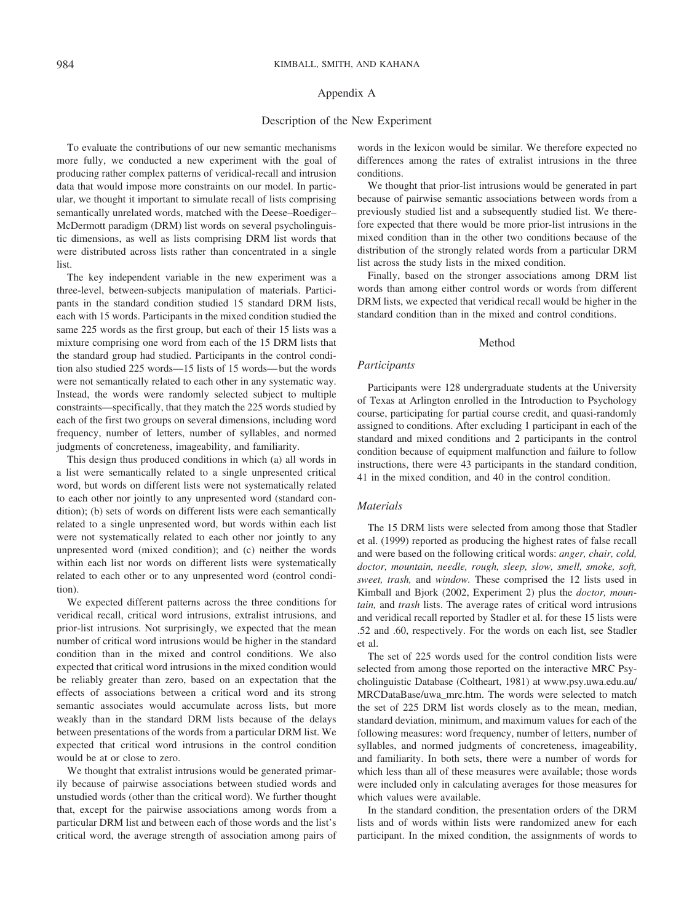#### Appendix A

### Description of the New Experiment

To evaluate the contributions of our new semantic mechanisms more fully, we conducted a new experiment with the goal of producing rather complex patterns of veridical-recall and intrusion data that would impose more constraints on our model. In particular, we thought it important to simulate recall of lists comprising semantically unrelated words, matched with the Deese–Roediger– McDermott paradigm (DRM) list words on several psycholinguistic dimensions, as well as lists comprising DRM list words that were distributed across lists rather than concentrated in a single list.

The key independent variable in the new experiment was a three-level, between-subjects manipulation of materials. Participants in the standard condition studied 15 standard DRM lists, each with 15 words. Participants in the mixed condition studied the same 225 words as the first group, but each of their 15 lists was a mixture comprising one word from each of the 15 DRM lists that the standard group had studied. Participants in the control condition also studied 225 words—15 lists of 15 words— but the words were not semantically related to each other in any systematic way. Instead, the words were randomly selected subject to multiple constraints—specifically, that they match the 225 words studied by each of the first two groups on several dimensions, including word frequency, number of letters, number of syllables, and normed judgments of concreteness, imageability, and familiarity.

This design thus produced conditions in which (a) all words in a list were semantically related to a single unpresented critical word, but words on different lists were not systematically related to each other nor jointly to any unpresented word (standard condition); (b) sets of words on different lists were each semantically related to a single unpresented word, but words within each list were not systematically related to each other nor jointly to any unpresented word (mixed condition); and (c) neither the words within each list nor words on different lists were systematically related to each other or to any unpresented word (control condition).

We expected different patterns across the three conditions for veridical recall, critical word intrusions, extralist intrusions, and prior-list intrusions. Not surprisingly, we expected that the mean number of critical word intrusions would be higher in the standard condition than in the mixed and control conditions. We also expected that critical word intrusions in the mixed condition would be reliably greater than zero, based on an expectation that the effects of associations between a critical word and its strong semantic associates would accumulate across lists, but more weakly than in the standard DRM lists because of the delays between presentations of the words from a particular DRM list. We expected that critical word intrusions in the control condition would be at or close to zero.

We thought that extralist intrusions would be generated primarily because of pairwise associations between studied words and unstudied words (other than the critical word). We further thought that, except for the pairwise associations among words from a particular DRM list and between each of those words and the list's critical word, the average strength of association among pairs of words in the lexicon would be similar. We therefore expected no differences among the rates of extralist intrusions in the three conditions.

We thought that prior-list intrusions would be generated in part because of pairwise semantic associations between words from a previously studied list and a subsequently studied list. We therefore expected that there would be more prior-list intrusions in the mixed condition than in the other two conditions because of the distribution of the strongly related words from a particular DRM list across the study lists in the mixed condition.

Finally, based on the stronger associations among DRM list words than among either control words or words from different DRM lists, we expected that veridical recall would be higher in the standard condition than in the mixed and control conditions.

#### Method

#### *Participants*

Participants were 128 undergraduate students at the University of Texas at Arlington enrolled in the Introduction to Psychology course, participating for partial course credit, and quasi-randomly assigned to conditions. After excluding 1 participant in each of the standard and mixed conditions and 2 participants in the control condition because of equipment malfunction and failure to follow instructions, there were 43 participants in the standard condition, 41 in the mixed condition, and 40 in the control condition.

## *Materials*

The 15 DRM lists were selected from among those that Stadler et al. (1999) reported as producing the highest rates of false recall and were based on the following critical words: *anger, chair, cold, doctor, mountain, needle, rough, sleep, slow, smell, smoke, soft, sweet, trash,* and *window.* These comprised the 12 lists used in Kimball and Bjork (2002, Experiment 2) plus the *doctor, mountain,* and *trash* lists. The average rates of critical word intrusions and veridical recall reported by Stadler et al. for these 15 lists were .52 and .60, respectively. For the words on each list, see Stadler et al.

The set of 225 words used for the control condition lists were selected from among those reported on the interactive MRC Psycholinguistic Database (Coltheart, 1981) at www.psy.uwa.edu.au/ MRCDataBase/uwa\_mrc.htm. The words were selected to match the set of 225 DRM list words closely as to the mean, median, standard deviation, minimum, and maximum values for each of the following measures: word frequency, number of letters, number of syllables, and normed judgments of concreteness, imageability, and familiarity. In both sets, there were a number of words for which less than all of these measures were available; those words were included only in calculating averages for those measures for which values were available.

In the standard condition, the presentation orders of the DRM lists and of words within lists were randomized anew for each participant. In the mixed condition, the assignments of words to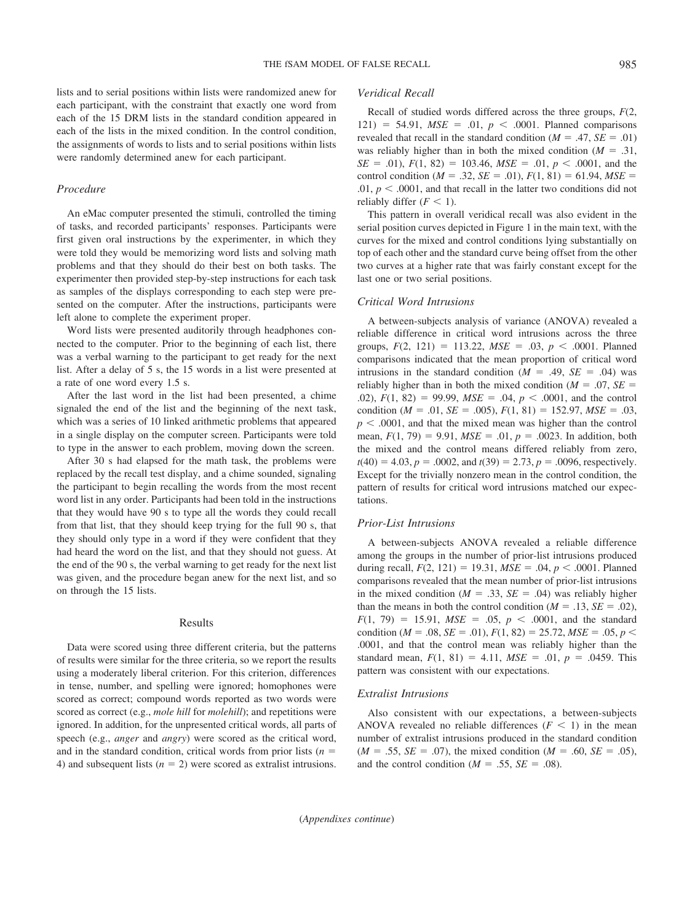lists and to serial positions within lists were randomized anew for each participant, with the constraint that exactly one word from each of the 15 DRM lists in the standard condition appeared in each of the lists in the mixed condition. In the control condition, the assignments of words to lists and to serial positions within lists were randomly determined anew for each participant.

#### *Procedure*

An eMac computer presented the stimuli, controlled the timing of tasks, and recorded participants' responses. Participants were first given oral instructions by the experimenter, in which they were told they would be memorizing word lists and solving math problems and that they should do their best on both tasks. The experimenter then provided step-by-step instructions for each task as samples of the displays corresponding to each step were presented on the computer. After the instructions, participants were left alone to complete the experiment proper.

Word lists were presented auditorily through headphones connected to the computer. Prior to the beginning of each list, there was a verbal warning to the participant to get ready for the next list. After a delay of 5 s, the 15 words in a list were presented at a rate of one word every 1.5 s.

After the last word in the list had been presented, a chime signaled the end of the list and the beginning of the next task, which was a series of 10 linked arithmetic problems that appeared in a single display on the computer screen. Participants were told to type in the answer to each problem, moving down the screen.

After 30 s had elapsed for the math task, the problems were replaced by the recall test display, and a chime sounded, signaling the participant to begin recalling the words from the most recent word list in any order. Participants had been told in the instructions that they would have 90 s to type all the words they could recall from that list, that they should keep trying for the full 90 s, that they should only type in a word if they were confident that they had heard the word on the list, and that they should not guess. At the end of the 90 s, the verbal warning to get ready for the next list was given, and the procedure began anew for the next list, and so on through the 15 lists.

#### Results

Data were scored using three different criteria, but the patterns of results were similar for the three criteria, so we report the results using a moderately liberal criterion. For this criterion, differences in tense, number, and spelling were ignored; homophones were scored as correct; compound words reported as two words were scored as correct (e.g., *mole hill* for *molehill*); and repetitions were ignored. In addition, for the unpresented critical words, all parts of speech (e.g., *anger* and *angry*) were scored as the critical word, and in the standard condition, critical words from prior lists ( $n =$ 4) and subsequent lists  $(n = 2)$  were scored as extralist intrusions.

### *Veridical Recall*

Recall of studied words differed across the three groups, *F*(2, 121) = 54.91,  $MSE = .01$ ,  $p < .0001$ . Planned comparisons revealed that recall in the standard condition  $(M = .47, SE = .01)$ was reliably higher than in both the mixed condition  $(M = .31, )$  $SE = .01$ ,  $F(1, 82) = 103.46$ ,  $MSE = .01$ ,  $p < .0001$ , and the control condition ( $M = .32$ ,  $SE = .01$ ),  $F(1, 81) = 61.94$ ,  $MSE =$ .01,  $p < .0001$ , and that recall in the latter two conditions did not reliably differ  $(F < 1)$ .

This pattern in overall veridical recall was also evident in the serial position curves depicted in Figure 1 in the main text, with the curves for the mixed and control conditions lying substantially on top of each other and the standard curve being offset from the other two curves at a higher rate that was fairly constant except for the last one or two serial positions.

### *Critical Word Intrusions*

A between-subjects analysis of variance (ANOVA) revealed a reliable difference in critical word intrusions across the three groups,  $F(2, 121) = 113.22$ ,  $MSE = .03$ ,  $p < .0001$ . Planned comparisons indicated that the mean proportion of critical word intrusions in the standard condition  $(M = .49, SE = .04)$  was reliably higher than in both the mixed condition ( $M = .07$ ,  $SE =$ .02),  $F(1, 82) = 99.99$ ,  $MSE = .04$ ,  $p < .0001$ , and the control condition ( $M = .01$ ,  $SE = .005$ ),  $F(1, 81) = 152.97$ ,  $MSE = .03$ ,  $p < .0001$ , and that the mixed mean was higher than the control mean,  $F(1, 79) = 9.91$ ,  $MSE = .01$ ,  $p = .0023$ . In addition, both the mixed and the control means differed reliably from zero,  $t(40) = 4.03, p = .0002,$  and  $t(39) = 2.73, p = .0096$ , respectively. Except for the trivially nonzero mean in the control condition, the pattern of results for critical word intrusions matched our expectations.

#### *Prior-List Intrusions*

A between-subjects ANOVA revealed a reliable difference among the groups in the number of prior-list intrusions produced during recall,  $F(2, 121) = 19.31$ ,  $MSE = .04$ ,  $p < .0001$ . Planned comparisons revealed that the mean number of prior-list intrusions in the mixed condition ( $M = .33$ ,  $SE = .04$ ) was reliably higher than the means in both the control condition  $(M = .13, SE = .02)$ ,  $F(1, 79) = 15.91$ ,  $MSE = .05$ ,  $p < .0001$ , and the standard condition ( $M = .08$ ,  $SE = .01$ ),  $F(1, 82) = 25.72$ ,  $MSE = .05$ ,  $p <$ .0001, and that the control mean was reliably higher than the standard mean,  $F(1, 81) = 4.11$ ,  $MSE = .01$ ,  $p = .0459$ . This pattern was consistent with our expectations.

#### *Extralist Intrusions*

Also consistent with our expectations, a between-subjects ANOVA revealed no reliable differences  $(F \leq 1)$  in the mean number of extralist intrusions produced in the standard condition  $(M = .55, SE = .07)$ , the mixed condition  $(M = .60, SE = .05)$ , and the control condition ( $M = .55$ ,  $SE = .08$ ).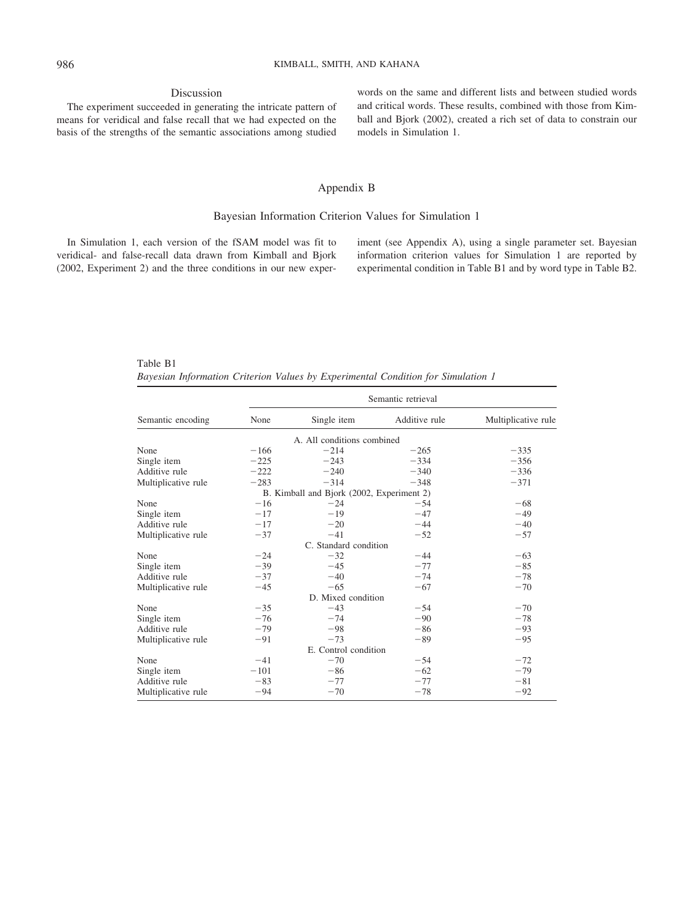### Discussion

The experiment succeeded in generating the intricate pattern of means for veridical and false recall that we had expected on the basis of the strengths of the semantic associations among studied words on the same and different lists and between studied words and critical words. These results, combined with those from Kimball and Bjork (2002), created a rich set of data to constrain our models in Simulation 1.

## Appendix B

## Bayesian Information Criterion Values for Simulation 1

In Simulation 1, each version of the fSAM model was fit to veridical- and false-recall data drawn from Kimball and Bjork (2002, Experiment 2) and the three conditions in our new exper-

iment (see Appendix A), using a single parameter set. Bayesian information criterion values for Simulation 1 are reported by experimental condition in Table B1 and by word type in Table B2.

Table B1 *Bayesian Information Criterion Values by Experimental Condition for Simulation 1*

|                     |        |                                           | Semantic retrieval |                     |
|---------------------|--------|-------------------------------------------|--------------------|---------------------|
| Semantic encoding   | None   | Single item                               | Additive rule      | Multiplicative rule |
|                     |        | A. All conditions combined                |                    |                     |
| None                | $-166$ | $-214$                                    | $-265$             | $-335$              |
| Single item         | $-225$ | $-243$                                    | $-334$             | $-356$              |
| Additive rule       | $-222$ | $-240$                                    | $-340$             | $-336$              |
| Multiplicative rule | $-283$ | $-314$                                    | $-348$             | $-371$              |
|                     |        | B. Kimball and Bjork (2002, Experiment 2) |                    |                     |
| None                | $-16$  | $-24$                                     | $-54$              | $-68$               |
| Single item         | $-17$  | $-19$                                     | $-47$              | $-49$               |
| Additive rule       | $-17$  | $-20$                                     | $-44$              | $-40$               |
| Multiplicative rule | $-37$  | $-41$                                     | $-52$              | $-57$               |
|                     |        | C. Standard condition                     |                    |                     |
| None                | $-24$  | $-32$                                     | $-44$              | $-63$               |
| Single item         | $-39$  | $-45$                                     | $-77$              | $-85$               |
| Additive rule       | $-37$  | $-40$                                     | $-74$              | $-78$               |
| Multiplicative rule | $-45$  | $-65$                                     | $-67$              | $-70$               |
|                     |        | D. Mixed condition                        |                    |                     |
| None                | $-35$  | $-43$                                     | $-54$              | $-70$               |
| Single item         | $-76$  | $-74$                                     | $-90$              | $-78$               |
| Additive rule       | $-79$  | $-98$                                     | $-86$              | $-93$               |
| Multiplicative rule | $-91$  | $-73$                                     | $-89$              | $-95$               |
|                     |        | E. Control condition                      |                    |                     |
| None                | $-41$  | $-70$                                     | $-54$              | $-72$               |
| Single item         | $-101$ | $-86$                                     | $-62$              | $-79$               |
| Additive rule       | $-83$  | $-77$                                     | $-77$              | $-81$               |
| Multiplicative rule | $-94$  | $-70$                                     | $-78$              | $-92$               |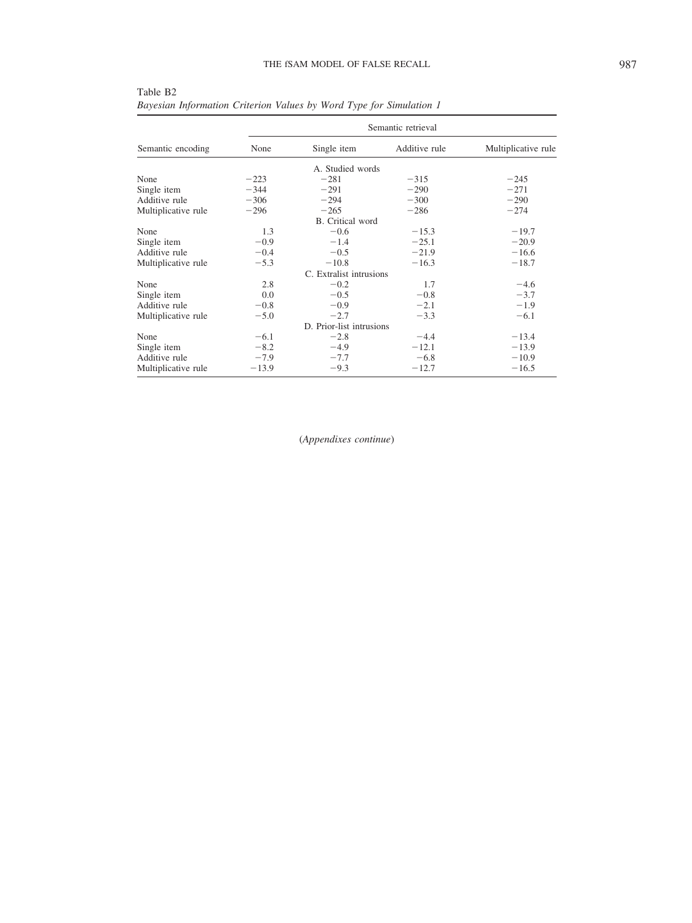|                     |         | Semantic retrieval       |               |                     |  |  |  |  |  |  |  |  |
|---------------------|---------|--------------------------|---------------|---------------------|--|--|--|--|--|--|--|--|
| Semantic encoding   | None    | Single item              | Additive rule | Multiplicative rule |  |  |  |  |  |  |  |  |
|                     |         | A. Studied words         |               |                     |  |  |  |  |  |  |  |  |
| None                | $-223$  | $-281$                   | $-315$        | $-245$              |  |  |  |  |  |  |  |  |
| Single item         | $-344$  | $-291$                   | $-290$        | $-271$              |  |  |  |  |  |  |  |  |
| Additive rule       | $-306$  | $-294$                   | $-300$        | $-290$              |  |  |  |  |  |  |  |  |
| Multiplicative rule | $-296$  | $-265$                   | $-286$        | $-274$              |  |  |  |  |  |  |  |  |
|                     |         | B. Critical word         |               |                     |  |  |  |  |  |  |  |  |
| None                | 1.3     | $-0.6$                   | $-15.3$       | $-19.7$             |  |  |  |  |  |  |  |  |
| Single item         | $-0.9$  | $-1.4$                   | $-25.1$       | $-20.9$             |  |  |  |  |  |  |  |  |
| Additive rule       | $-0.4$  | $-0.5$                   | $-21.9$       | $-16.6$             |  |  |  |  |  |  |  |  |
| Multiplicative rule | $-5.3$  | $-10.8$                  | $-16.3$       | $-18.7$             |  |  |  |  |  |  |  |  |
|                     |         | C. Extralist intrusions  |               |                     |  |  |  |  |  |  |  |  |
| None                | 2.8     | $-0.2$                   | 1.7           | $-4.6$              |  |  |  |  |  |  |  |  |
| Single item         | 0.0     | $-0.5$                   | $-0.8$        | $-3.7$              |  |  |  |  |  |  |  |  |
| Additive rule       | $-0.8$  | $-0.9$                   | $-2.1$        | $-1.9$              |  |  |  |  |  |  |  |  |
| Multiplicative rule | $-5.0$  | $-2.7$                   | $-3.3$        | $-6.1$              |  |  |  |  |  |  |  |  |
|                     |         | D. Prior-list intrusions |               |                     |  |  |  |  |  |  |  |  |
| None                | $-6.1$  | $-2.8$                   | $-4.4$        | $-13.4$             |  |  |  |  |  |  |  |  |
| Single item         | $-8.2$  | $-4.9$                   | $-12.1$       | $-13.9$             |  |  |  |  |  |  |  |  |
| Additive rule       | $-7.9$  | $-7.7$                   | $-6.8$        | $-10.9$             |  |  |  |  |  |  |  |  |
| Multiplicative rule | $-13.9$ | $-9.3$                   | $-12.7$       | $-16.5$             |  |  |  |  |  |  |  |  |

Table B2 *Bayesian Information Criterion Values by Word Type for Simulation 1*

(*Appendixes continue*)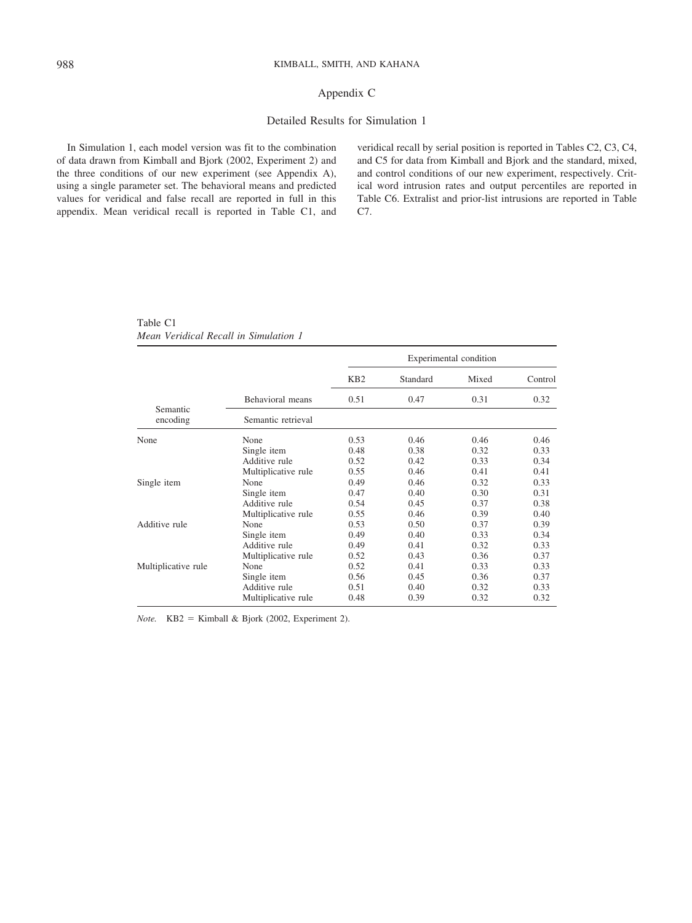## Appendix C

## Detailed Results for Simulation 1

In Simulation 1, each model version was fit to the combination of data drawn from Kimball and Bjork (2002, Experiment 2) and the three conditions of our new experiment (see Appendix A), using a single parameter set. The behavioral means and predicted values for veridical and false recall are reported in full in this appendix. Mean veridical recall is reported in Table C1, and veridical recall by serial position is reported in Tables C2, C3, C4, and C5 for data from Kimball and Bjork and the standard, mixed, and control conditions of our new experiment, respectively. Critical word intrusion rates and output percentiles are reported in Table C6. Extralist and prior-list intrusions are reported in Table C7.

Table C1 *Mean Veridical Recall in Simulation 1*

|                      |                     |                 |          | Experimental condition |         |
|----------------------|---------------------|-----------------|----------|------------------------|---------|
|                      |                     | KB <sub>2</sub> | Standard | Mixed                  | Control |
|                      | Behavioral means    | 0.51            | 0.47     | 0.31                   | 0.32    |
| Semantic<br>encoding | Semantic retrieval  |                 |          |                        |         |
| None                 | None                | 0.53            | 0.46     | 0.46                   | 0.46    |
|                      | Single item         | 0.48            | 0.38     | 0.32                   | 0.33    |
|                      | Additive rule       | 0.52            | 0.42     | 0.33                   | 0.34    |
|                      | Multiplicative rule | 0.55            | 0.46     | 0.41                   | 0.41    |
| Single item          | None                | 0.49            | 0.46     | 0.32                   | 0.33    |
|                      | Single item         | 0.47            | 0.40     | 0.30                   | 0.31    |
|                      | Additive rule       | 0.54            | 0.45     | 0.37                   | 0.38    |
|                      | Multiplicative rule | 0.55            | 0.46     | 0.39                   | 0.40    |
| Additive rule        | None                | 0.53            | 0.50     | 0.37                   | 0.39    |
|                      | Single item         | 0.49            | 0.40     | 0.33                   | 0.34    |
|                      | Additive rule       | 0.49            | 0.41     | 0.32                   | 0.33    |
|                      | Multiplicative rule | 0.52            | 0.43     | 0.36                   | 0.37    |
| Multiplicative rule  | None                | 0.52            | 0.41     | 0.33                   | 0.33    |
|                      | Single item         | 0.56            | 0.45     | 0.36                   | 0.37    |
|                      | Additive rule       | 0.51            | 0.40     | 0.32                   | 0.33    |
|                      | Multiplicative rule | 0.48            | 0.39     | 0.32                   | 0.32    |

 $Note.$  KB2 = Kimball & Bjork (2002, Experiment 2).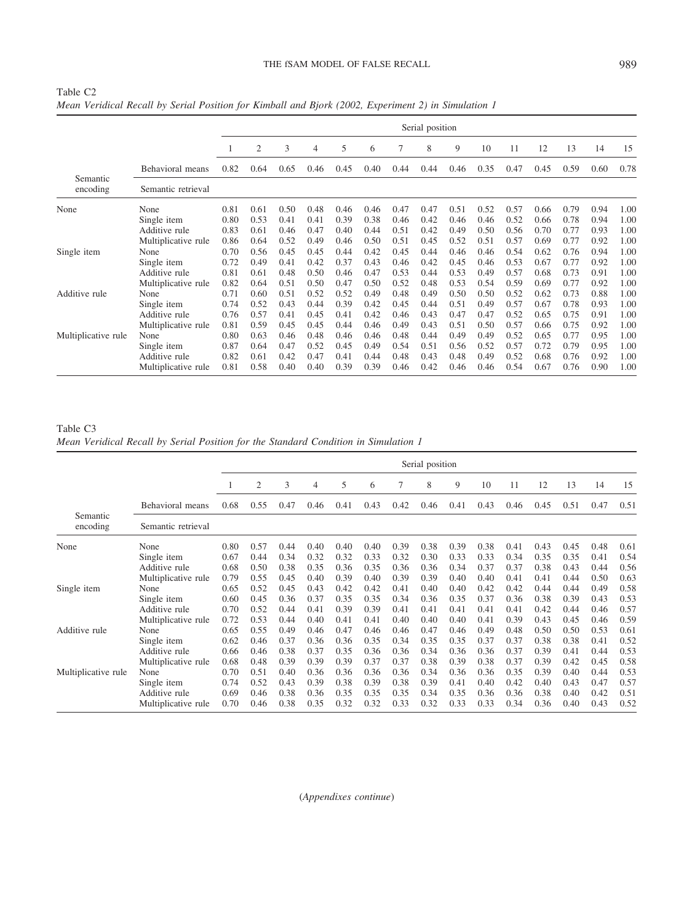## THE fSAM MODEL OF FALSE RECALL 989

|                      |                     |      |      |      |      |      |      |      | Serial position |      |      |      |      |      |      |      |
|----------------------|---------------------|------|------|------|------|------|------|------|-----------------|------|------|------|------|------|------|------|
|                      |                     |      | 2    | 3    | 4    | 5    | 6    | 7    | 8               | 9    | 10   | 11   | 12   | 13   | 14   | 15   |
|                      | Behavioral means    | 0.82 | 0.64 | 0.65 | 0.46 | 0.45 | 0.40 | 0.44 | 0.44            | 0.46 | 0.35 | 0.47 | 0.45 | 0.59 | 0.60 | 0.78 |
| Semantic<br>encoding | Semantic retrieval  |      |      |      |      |      |      |      |                 |      |      |      |      |      |      |      |
| None                 | None                | 0.81 | 0.61 | 0.50 | 0.48 | 0.46 | 0.46 | 0.47 | 0.47            | 0.51 | 0.52 | 0.57 | 0.66 | 0.79 | 0.94 | 1.00 |
|                      | Single item         | 0.80 | 0.53 | 0.41 | 0.41 | 0.39 | 0.38 | 0.46 | 0.42            | 0.46 | 0.46 | 0.52 | 0.66 | 0.78 | 0.94 | 1.00 |
|                      | Additive rule       | 0.83 | 0.61 | 0.46 | 0.47 | 0.40 | 0.44 | 0.51 | 0.42            | 0.49 | 0.50 | 0.56 | 0.70 | 0.77 | 0.93 | 1.00 |
|                      | Multiplicative rule | 0.86 | 0.64 | 0.52 | 0.49 | 0.46 | 0.50 | 0.51 | 0.45            | 0.52 | 0.51 | 0.57 | 0.69 | 0.77 | 0.92 | 1.00 |
| Single item          | None                | 0.70 | 0.56 | 0.45 | 0.45 | 0.44 | 0.42 | 0.45 | 0.44            | 0.46 | 0.46 | 0.54 | 0.62 | 0.76 | 0.94 | 1.00 |
|                      | Single item         | 0.72 | 0.49 | 0.41 | 0.42 | 0.37 | 0.43 | 0.46 | 0.42            | 0.45 | 0.46 | 0.53 | 0.67 | 0.77 | 0.92 | 1.00 |
|                      | Additive rule       | 0.81 | 0.61 | 0.48 | 0.50 | 0.46 | 0.47 | 0.53 | 0.44            | 0.53 | 0.49 | 0.57 | 0.68 | 0.73 | 0.91 | 1.00 |
|                      | Multiplicative rule | 0.82 | 0.64 | 0.51 | 0.50 | 0.47 | 0.50 | 0.52 | 0.48            | 0.53 | 0.54 | 0.59 | 0.69 | 0.77 | 0.92 | 1.00 |
| Additive rule        | None                | 0.71 | 0.60 | 0.51 | 0.52 | 0.52 | 0.49 | 0.48 | 0.49            | 0.50 | 0.50 | 0.52 | 0.62 | 0.73 | 0.88 | 1.00 |
|                      | Single item         | 0.74 | 0.52 | 0.43 | 0.44 | 0.39 | 0.42 | 0.45 | 0.44            | 0.51 | 0.49 | 0.57 | 0.67 | 0.78 | 0.93 | 1.00 |
|                      | Additive rule       | 0.76 | 0.57 | 0.41 | 0.45 | 0.41 | 0.42 | 0.46 | 0.43            | 0.47 | 0.47 | 0.52 | 0.65 | 0.75 | 0.91 | 1.00 |
|                      | Multiplicative rule | 0.81 | 0.59 | 0.45 | 0.45 | 0.44 | 0.46 | 0.49 | 0.43            | 0.51 | 0.50 | 0.57 | 0.66 | 0.75 | 0.92 | 1.00 |
| Multiplicative rule  | None                | 0.80 | 0.63 | 0.46 | 0.48 | 0.46 | 0.46 | 0.48 | 0.44            | 0.49 | 0.49 | 0.52 | 0.65 | 0.77 | 0.95 | 1.00 |
|                      | Single item         | 0.87 | 0.64 | 0.47 | 0.52 | 0.45 | 0.49 | 0.54 | 0.51            | 0.56 | 0.52 | 0.57 | 0.72 | 0.79 | 0.95 | 1.00 |

Additive rule 0.82 0.61 0.42 0.47 0.41 0.44 0.48 0.43 0.48 0.49 0.52 0.68 0.76 0.92 1.00 Multiplicative rule 0.81 0.58 0.40 0.40 0.39 0.39 0.46 0.42 0.46 0.46 0.54 0.67 0.76 0.90 1.00

Table

Table C3 *Mean Veridical Recall by Serial Position for the Standard Condition in Simulation 1*

|                      |                     | Serial position |      |      |      |      |      |      |      |      |      |      |      |      |      |      |
|----------------------|---------------------|-----------------|------|------|------|------|------|------|------|------|------|------|------|------|------|------|
|                      |                     |                 | 2    | 3    | 4    | 5    | 6    | 7    | 8    | 9    | 10   | 11   | 12   | 13   | 14   | 15   |
|                      | Behavioral means    | 0.68            | 0.55 | 0.47 | 0.46 | 0.41 | 0.43 | 0.42 | 0.46 | 0.41 | 0.43 | 0.46 | 0.45 | 0.51 | 0.47 | 0.51 |
| Semantic<br>encoding | Semantic retrieval  |                 |      |      |      |      |      |      |      |      |      |      |      |      |      |      |
| None                 | None                | 0.80            | 0.57 | 0.44 | 0.40 | 0.40 | 0.40 | 0.39 | 0.38 | 0.39 | 0.38 | 0.41 | 0.43 | 0.45 | 0.48 | 0.61 |
|                      | Single item         | 0.67            | 0.44 | 0.34 | 0.32 | 0.32 | 0.33 | 0.32 | 0.30 | 0.33 | 0.33 | 0.34 | 0.35 | 0.35 | 0.41 | 0.54 |
|                      | Additive rule       | 0.68            | 0.50 | 0.38 | 0.35 | 0.36 | 0.35 | 0.36 | 0.36 | 0.34 | 0.37 | 0.37 | 0.38 | 0.43 | 0.44 | 0.56 |
|                      | Multiplicative rule | 0.79            | 0.55 | 0.45 | 0.40 | 0.39 | 0.40 | 0.39 | 0.39 | 0.40 | 0.40 | 0.41 | 0.41 | 0.44 | 0.50 | 0.63 |
| Single item          | None                | 0.65            | 0.52 | 0.45 | 0.43 | 0.42 | 0.42 | 0.41 | 0.40 | 0.40 | 0.42 | 0.42 | 0.44 | 0.44 | 0.49 | 0.58 |
|                      | Single item         | 0.60            | 0.45 | 0.36 | 0.37 | 0.35 | 0.35 | 0.34 | 0.36 | 0.35 | 0.37 | 0.36 | 0.38 | 0.39 | 0.43 | 0.53 |
|                      | Additive rule       | 0.70            | 0.52 | 0.44 | 0.41 | 0.39 | 0.39 | 0.41 | 0.41 | 0.41 | 0.41 | 0.41 | 0.42 | 0.44 | 0.46 | 0.57 |
|                      | Multiplicative rule | 0.72            | 0.53 | 0.44 | 0.40 | 0.41 | 0.41 | 0.40 | 0.40 | 0.40 | 0.41 | 0.39 | 0.43 | 0.45 | 0.46 | 0.59 |
| Additive rule        | None                | 0.65            | 0.55 | 0.49 | 0.46 | 0.47 | 0.46 | 0.46 | 0.47 | 0.46 | 0.49 | 0.48 | 0.50 | 0.50 | 0.53 | 0.61 |
|                      | Single item         | 0.62            | 0.46 | 0.37 | 0.36 | 0.36 | 0.35 | 0.34 | 0.35 | 0.35 | 0.37 | 0.37 | 0.38 | 0.38 | 0.41 | 0.52 |
|                      | Additive rule       | 0.66            | 0.46 | 0.38 | 0.37 | 0.35 | 0.36 | 0.36 | 0.34 | 0.36 | 0.36 | 0.37 | 0.39 | 0.41 | 0.44 | 0.53 |
|                      | Multiplicative rule | 0.68            | 0.48 | 0.39 | 0.39 | 0.39 | 0.37 | 0.37 | 0.38 | 0.39 | 0.38 | 0.37 | 0.39 | 0.42 | 0.45 | 0.58 |
| Multiplicative rule  | None                | 0.70            | 0.51 | 0.40 | 0.36 | 0.36 | 0.36 | 0.36 | 0.34 | 0.36 | 0.36 | 0.35 | 0.39 | 0.40 | 0.44 | 0.53 |
|                      | Single item         | 0.74            | 0.52 | 0.43 | 0.39 | 0.38 | 0.39 | 0.38 | 0.39 | 0.41 | 0.40 | 0.42 | 0.40 | 0.43 | 0.47 | 0.57 |
|                      | Additive rule       | 0.69            | 0.46 | 0.38 | 0.36 | 0.35 | 0.35 | 0.35 | 0.34 | 0.35 | 0.36 | 0.36 | 0.38 | 0.40 | 0.42 | 0.51 |
|                      | Multiplicative rule | 0.70            | 0.46 | 0.38 | 0.35 | 0.32 | 0.32 | 0.33 | 0.32 | 0.33 | 0.33 | 0.34 | 0.36 | 0.40 | 0.43 | 0.52 |

(*Appendixes continue*)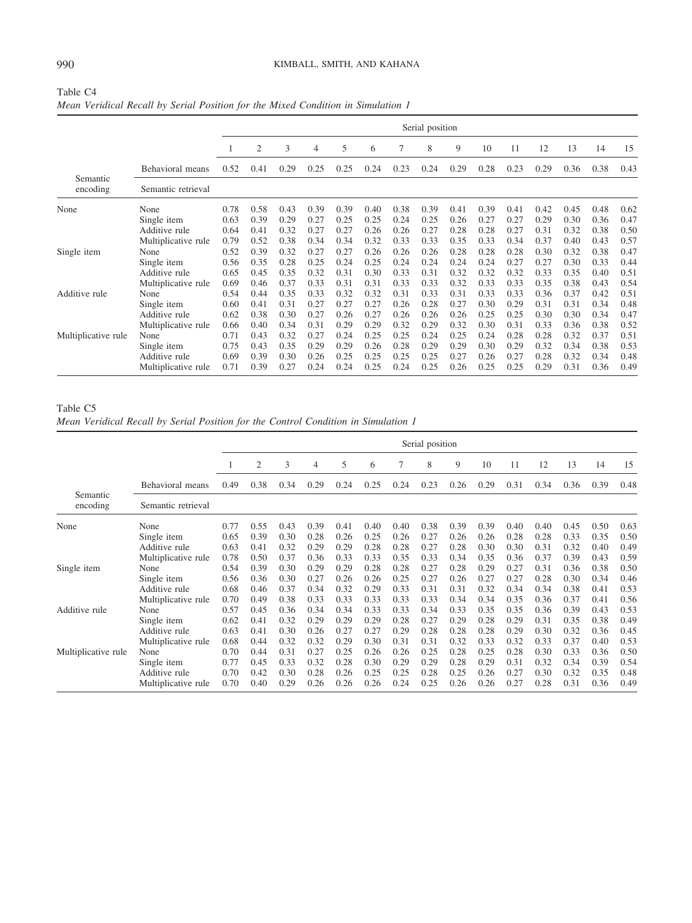|                      |                     | Serial position |      |      |      |      |      |      |      |      |      |      |      |      |      |      |
|----------------------|---------------------|-----------------|------|------|------|------|------|------|------|------|------|------|------|------|------|------|
|                      |                     |                 | 2    | 3    | 4    | 5    | 6    | 7    | 8    | 9    | 10   | 11   | 12   | 13   | 14   | 15   |
|                      | Behavioral means    | 0.52            | 0.41 | 0.29 | 0.25 | 0.25 | 0.24 | 0.23 | 0.24 | 0.29 | 0.28 | 0.23 | 0.29 | 0.36 | 0.38 | 0.43 |
| Semantic<br>encoding | Semantic retrieval  |                 |      |      |      |      |      |      |      |      |      |      |      |      |      |      |
| None                 | None                | 0.78            | 0.58 | 0.43 | 0.39 | 0.39 | 0.40 | 0.38 | 0.39 | 0.41 | 0.39 | 0.41 | 0.42 | 0.45 | 0.48 | 0.62 |
|                      | Single item         | 0.63            | 0.39 | 0.29 | 0.27 | 0.25 | 0.25 | 0.24 | 0.25 | 0.26 | 0.27 | 0.27 | 0.29 | 0.30 | 0.36 | 0.47 |
|                      | Additive rule       | 0.64            | 0.41 | 0.32 | 0.27 | 0.27 | 0.26 | 0.26 | 0.27 | 0.28 | 0.28 | 0.27 | 0.31 | 0.32 | 0.38 | 0.50 |
|                      | Multiplicative rule | 0.79            | 0.52 | 0.38 | 0.34 | 0.34 | 0.32 | 0.33 | 0.33 | 0.35 | 0.33 | 0.34 | 0.37 | 0.40 | 0.43 | 0.57 |
| Single item          | None                | 0.52            | 0.39 | 0.32 | 0.27 | 0.27 | 0.26 | 0.26 | 0.26 | 0.28 | 0.28 | 0.28 | 0.30 | 0.32 | 0.38 | 0.47 |
|                      | Single item         | 0.56            | 0.35 | 0.28 | 0.25 | 0.24 | 0.25 | 0.24 | 0.24 | 0.24 | 0.24 | 0.27 | 0.27 | 0.30 | 0.33 | 0.44 |
|                      | Additive rule       | 0.65            | 0.45 | 0.35 | 0.32 | 0.31 | 0.30 | 0.33 | 0.31 | 0.32 | 0.32 | 0.32 | 0.33 | 0.35 | 0.40 | 0.51 |
|                      | Multiplicative rule | 0.69            | 0.46 | 0.37 | 0.33 | 0.31 | 0.31 | 0.33 | 0.33 | 0.32 | 0.33 | 0.33 | 0.35 | 0.38 | 0.43 | 0.54 |
| Additive rule        | None                | 0.54            | 0.44 | 0.35 | 0.33 | 0.32 | 0.32 | 0.31 | 0.33 | 0.31 | 0.33 | 0.33 | 0.36 | 0.37 | 0.42 | 0.51 |
|                      | Single item         | 0.60            | 0.41 | 0.31 | 0.27 | 0.27 | 0.27 | 0.26 | 0.28 | 0.27 | 0.30 | 0.29 | 0.31 | 0.31 | 0.34 | 0.48 |
|                      | Additive rule       | 0.62            | 0.38 | 0.30 | 0.27 | 0.26 | 0.27 | 0.26 | 0.26 | 0.26 | 0.25 | 0.25 | 0.30 | 0.30 | 0.34 | 0.47 |
|                      | Multiplicative rule | 0.66            | 0.40 | 0.34 | 0.31 | 0.29 | 0.29 | 0.32 | 0.29 | 0.32 | 0.30 | 0.31 | 0.33 | 0.36 | 0.38 | 0.52 |
| Multiplicative rule  | None                | 0.71            | 0.43 | 0.32 | 0.27 | 0.24 | 0.25 | 0.25 | 0.24 | 0.25 | 0.24 | 0.28 | 0.28 | 0.32 | 0.37 | 0.51 |
|                      | Single item         | 0.75            | 0.43 | 0.35 | 0.29 | 0.29 | 0.26 | 0.28 | 0.29 | 0.29 | 0.30 | 0.29 | 0.32 | 0.34 | 0.38 | 0.53 |
|                      | Additive rule       | 0.69            | 0.39 | 0.30 | 0.26 | 0.25 | 0.25 | 0.25 | 0.25 | 0.27 | 0.26 | 0.27 | 0.28 | 0.32 | 0.34 | 0.48 |
|                      | Multiplicative rule | 0.71            | 0.39 | 0.27 | 0.24 | 0.24 | 0.25 | 0.24 | 0.25 | 0.26 | 0.25 | 0.25 | 0.29 | 0.31 | 0.36 | 0.49 |

## Table C4 *Mean Veridical Recall by Serial Position for the Mixed Condition in Simulation 1*

Table C5

*Mean Veridical Recall by Serial Position for the Control Condition in Simulation 1*

|                      |                     |      |      |      |      |      |      |      | Serial position |      |      |      |      |      |      |      |
|----------------------|---------------------|------|------|------|------|------|------|------|-----------------|------|------|------|------|------|------|------|
|                      |                     |      | 2    | 3    | 4    | 5    | 6    | 7    | 8               | 9    | 10   | 11   | 12   | 13   | 14   | 15   |
|                      | Behavioral means    | 0.49 | 0.38 | 0.34 | 0.29 | 0.24 | 0.25 | 0.24 | 0.23            | 0.26 | 0.29 | 0.31 | 0.34 | 0.36 | 0.39 | 0.48 |
| Semantic<br>encoding | Semantic retrieval  |      |      |      |      |      |      |      |                 |      |      |      |      |      |      |      |
| None                 | None                | 0.77 | 0.55 | 0.43 | 0.39 | 0.41 | 0.40 | 0.40 | 0.38            | 0.39 | 0.39 | 0.40 | 0.40 | 0.45 | 0.50 | 0.63 |
|                      | Single item         | 0.65 | 0.39 | 0.30 | 0.28 | 0.26 | 0.25 | 0.26 | 0.27            | 0.26 | 0.26 | 0.28 | 0.28 | 0.33 | 0.35 | 0.50 |
|                      | Additive rule       | 0.63 | 0.41 | 0.32 | 0.29 | 0.29 | 0.28 | 0.28 | 0.27            | 0.28 | 0.30 | 0.30 | 0.31 | 0.32 | 0.40 | 0.49 |
|                      | Multiplicative rule | 0.78 | 0.50 | 0.37 | 0.36 | 0.33 | 0.33 | 0.35 | 0.33            | 0.34 | 0.35 | 0.36 | 0.37 | 0.39 | 0.43 | 0.59 |
| Single item          | None                | 0.54 | 0.39 | 0.30 | 0.29 | 0.29 | 0.28 | 0.28 | 0.27            | 0.28 | 0.29 | 0.27 | 0.31 | 0.36 | 0.38 | 0.50 |
|                      | Single item         | 0.56 | 0.36 | 0.30 | 0.27 | 0.26 | 0.26 | 0.25 | 0.27            | 0.26 | 0.27 | 0.27 | 0.28 | 0.30 | 0.34 | 0.46 |
|                      | Additive rule       | 0.68 | 0.46 | 0.37 | 0.34 | 0.32 | 0.29 | 0.33 | 0.31            | 0.31 | 0.32 | 0.34 | 0.34 | 0.38 | 0.41 | 0.53 |
|                      | Multiplicative rule | 0.70 | 0.49 | 0.38 | 0.33 | 0.33 | 0.33 | 0.33 | 0.33            | 0.34 | 0.34 | 0.35 | 0.36 | 0.37 | 0.41 | 0.56 |
| Additive rule        | None                | 0.57 | 0.45 | 0.36 | 0.34 | 0.34 | 0.33 | 0.33 | 0.34            | 0.33 | 0.35 | 0.35 | 0.36 | 0.39 | 0.43 | 0.53 |
|                      | Single item         | 0.62 | 0.41 | 0.32 | 0.29 | 0.29 | 0.29 | 0.28 | 0.27            | 0.29 | 0.28 | 0.29 | 0.31 | 0.35 | 0.38 | 0.49 |
|                      | Additive rule       | 0.63 | 0.41 | 0.30 | 0.26 | 0.27 | 0.27 | 0.29 | 0.28            | 0.28 | 0.28 | 0.29 | 0.30 | 0.32 | 0.36 | 0.45 |
|                      | Multiplicative rule | 0.68 | 0.44 | 0.32 | 0.32 | 0.29 | 0.30 | 0.31 | 0.31            | 0.32 | 0.33 | 0.32 | 0.33 | 0.37 | 0.40 | 0.53 |
| Multiplicative rule  | None                | 0.70 | 0.44 | 0.31 | 0.27 | 0.25 | 0.26 | 0.26 | 0.25            | 0.28 | 0.25 | 0.28 | 0.30 | 0.33 | 0.36 | 0.50 |
|                      | Single item         | 0.77 | 0.45 | 0.33 | 0.32 | 0.28 | 0.30 | 0.29 | 0.29            | 0.28 | 0.29 | 0.31 | 0.32 | 0.34 | 0.39 | 0.54 |
|                      | Additive rule       | 0.70 | 0.42 | 0.30 | 0.28 | 0.26 | 0.25 | 0.25 | 0.28            | 0.25 | 0.26 | 0.27 | 0.30 | 0.32 | 0.35 | 0.48 |
|                      | Multiplicative rule | 0.70 | 0.40 | 0.29 | 0.26 | 0.26 | 0.26 | 0.24 | 0.25            | 0.26 | 0.26 | 0.27 | 0.28 | 0.31 | 0.36 | 0.49 |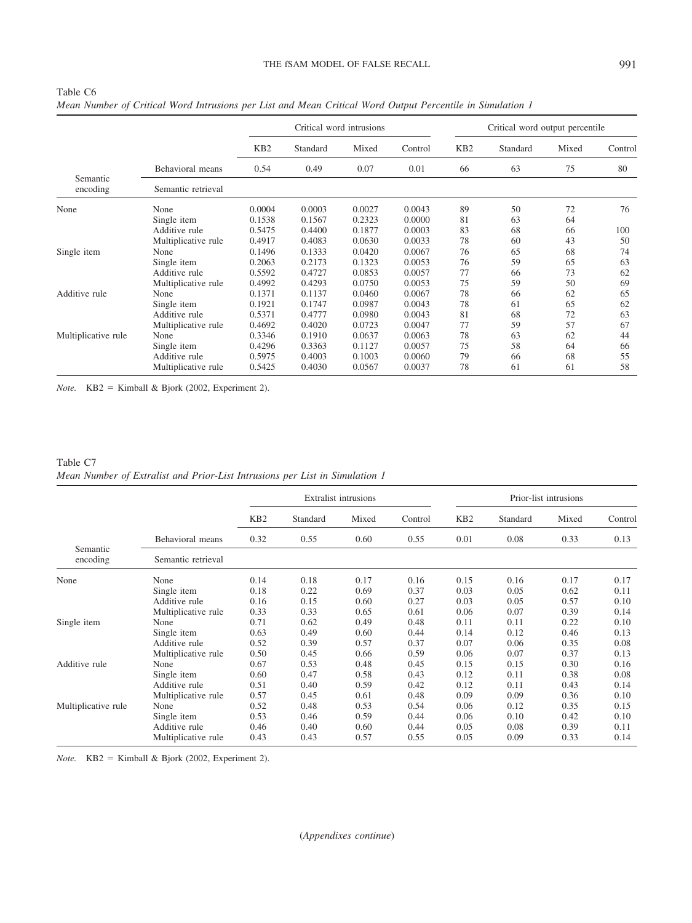## THE fSAM MODEL OF FALSE RECALL 991

|                      |                     |                 |          | Critical word intrusions |         |                 | Critical word output percentile |       |         |
|----------------------|---------------------|-----------------|----------|--------------------------|---------|-----------------|---------------------------------|-------|---------|
|                      |                     | KB <sub>2</sub> | Standard | Mixed                    | Control | KB <sub>2</sub> | Standard                        | Mixed | Control |
|                      | Behavioral means    | 0.54            | 0.49     | 0.07                     | 0.01    | 66              | 63                              | 75    | 80      |
| Semantic<br>encoding | Semantic retrieval  |                 |          |                          |         |                 |                                 |       |         |
| None                 | None                | 0.0004          | 0.0003   | 0.0027                   | 0.0043  | 89              | 50                              | 72    | 76      |
|                      | Single item         | 0.1538          | 0.1567   | 0.2323                   | 0.0000  | 81              | 63                              | 64    |         |
|                      | Additive rule       | 0.5475          | 0.4400   | 0.1877                   | 0.0003  | 83              | 68                              | 66    | 100     |
|                      | Multiplicative rule | 0.4917          | 0.4083   | 0.0630                   | 0.0033  | 78              | 60                              | 43    | 50      |
| Single item          | None                | 0.1496          | 0.1333   | 0.0420                   | 0.0067  | 76              | 65                              | 68    | 74      |
|                      | Single item         | 0.2063          | 0.2173   | 0.1323                   | 0.0053  | 76              | 59                              | 65    | 63      |
|                      | Additive rule       | 0.5592          | 0.4727   | 0.0853                   | 0.0057  | 77              | 66                              | 73    | 62      |
|                      | Multiplicative rule | 0.4992          | 0.4293   | 0.0750                   | 0.0053  | 75              | 59                              | 50    | 69      |
| Additive rule        | None                | 0.1371          | 0.1137   | 0.0460                   | 0.0067  | 78              | 66                              | 62    | 65      |
|                      | Single item         | 0.1921          | 0.1747   | 0.0987                   | 0.0043  | 78              | 61                              | 65    | 62      |
|                      | Additive rule       | 0.5371          | 0.4777   | 0.0980                   | 0.0043  | 81              | 68                              | 72    | 63      |
|                      | Multiplicative rule | 0.4692          | 0.4020   | 0.0723                   | 0.0047  | 77              | 59                              | 57    | 67      |
| Multiplicative rule  | None                | 0.3346          | 0.1910   | 0.0637                   | 0.0063  | 78              | 63                              | 62    | 44      |
|                      | Single item         | 0.4296          | 0.3363   | 0.1127                   | 0.0057  | 75              | 58                              | 64    | 66      |
|                      | Additive rule       | 0.5975          | 0.4003   | 0.1003                   | 0.0060  | 79              | 66                              | 68    | 55      |
|                      | Multiplicative rule | 0.5425          | 0.4030   | 0.0567                   | 0.0037  | 78              | 61                              | 61    | 58      |

Table C6 *Mean Number of Critical Word Intrusions per List and Mean Critical Word Output Percentile in Simulation 1*

 $Note.$  KB2 = Kimball & Bjork (2002, Experiment 2).

## Table C7 *Mean Number of Extralist and Prior-List Intrusions per List in Simulation 1*

|                      |                     |                 |          | <b>Extralist intrusions</b> |         |                 |          | Prior-list intrusions |         |
|----------------------|---------------------|-----------------|----------|-----------------------------|---------|-----------------|----------|-----------------------|---------|
|                      |                     | KB <sub>2</sub> | Standard | Mixed                       | Control | KB <sub>2</sub> | Standard | Mixed                 | Control |
|                      | Behavioral means    | 0.32            | 0.55     | 0.60                        | 0.55    | 0.01            | 0.08     | 0.33                  | 0.13    |
| Semantic<br>encoding | Semantic retrieval  |                 |          |                             |         |                 |          |                       |         |
| None                 | None                | 0.14            | 0.18     | 0.17                        | 0.16    | 0.15            | 0.16     | 0.17                  | 0.17    |
|                      | Single item         | 0.18            | 0.22     | 0.69                        | 0.37    | 0.03            | 0.05     | 0.62                  | 0.11    |
|                      | Additive rule       | 0.16            | 0.15     | 0.60                        | 0.27    | 0.03            | 0.05     | 0.57                  | 0.10    |
|                      | Multiplicative rule | 0.33            | 0.33     | 0.65                        | 0.61    | 0.06            | 0.07     | 0.39                  | 0.14    |
| Single item          | None                | 0.71            | 0.62     | 0.49                        | 0.48    | 0.11            | 0.11     | 0.22                  | 0.10    |
|                      | Single item         | 0.63            | 0.49     | 0.60                        | 0.44    | 0.14            | 0.12     | 0.46                  | 0.13    |
|                      | Additive rule       | 0.52            | 0.39     | 0.57                        | 0.37    | 0.07            | 0.06     | 0.35                  | 0.08    |
|                      | Multiplicative rule | 0.50            | 0.45     | 0.66                        | 0.59    | 0.06            | 0.07     | 0.37                  | 0.13    |
| Additive rule        | None                | 0.67            | 0.53     | 0.48                        | 0.45    | 0.15            | 0.15     | 0.30                  | 0.16    |
|                      | Single item         | 0.60            | 0.47     | 0.58                        | 0.43    | 0.12            | 0.11     | 0.38                  | 0.08    |
|                      | Additive rule       | 0.51            | 0.40     | 0.59                        | 0.42    | 0.12            | 0.11     | 0.43                  | 0.14    |
|                      | Multiplicative rule | 0.57            | 0.45     | 0.61                        | 0.48    | 0.09            | 0.09     | 0.36                  | 0.10    |
| Multiplicative rule  | None                | 0.52            | 0.48     | 0.53                        | 0.54    | 0.06            | 0.12     | 0.35                  | 0.15    |
|                      | Single item         | 0.53            | 0.46     | 0.59                        | 0.44    | 0.06            | 0.10     | 0.42                  | 0.10    |
|                      | Additive rule       | 0.46            | 0.40     | 0.60                        | 0.44    | 0.05            | 0.08     | 0.39                  | 0.11    |
|                      | Multiplicative rule | 0.43            | 0.43     | 0.57                        | 0.55    | 0.05            | 0.09     | 0.33                  | 0.14    |

 $Note.$  KB2 = Kimball & Bjork (2002, Experiment 2).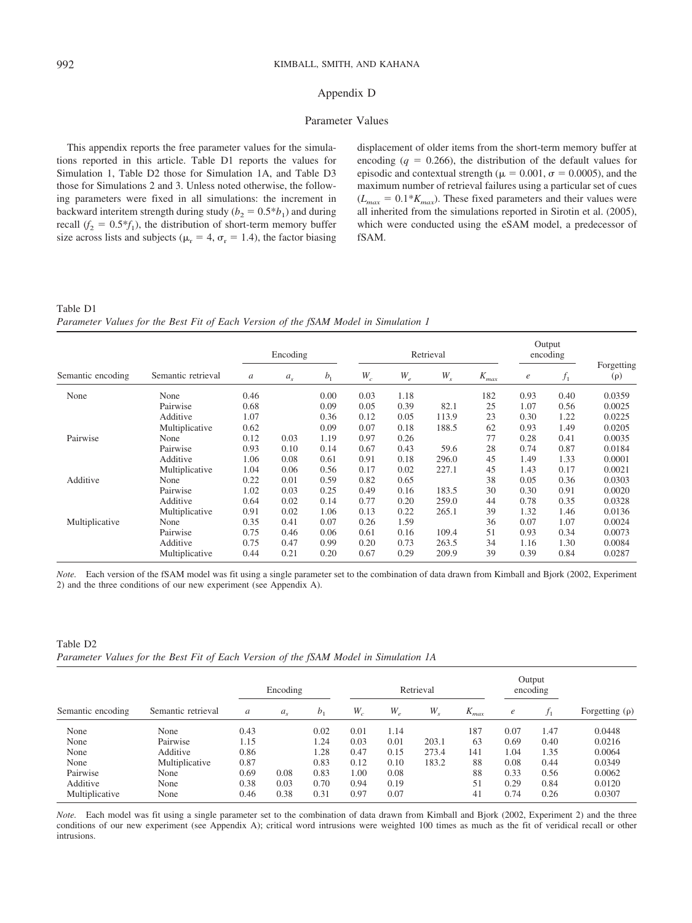## Appendix D

## Parameter Values

This appendix reports the free parameter values for the simulations reported in this article. Table D1 reports the values for Simulation 1, Table D2 those for Simulation 1A, and Table D3 those for Simulations 2 and 3. Unless noted otherwise, the following parameters were fixed in all simulations: the increment in backward interitem strength during study ( $b_2 = 0.5 * b_1$ ) and during recall  $(f_2 = 0.5*f_1)$ , the distribution of short-term memory buffer size across lists and subjects ( $\mu_r = 4$ ,  $\sigma_r = 1.4$ ), the factor biasing

displacement of older items from the short-term memory buffer at encoding  $(q = 0.266)$ , the distribution of the default values for episodic and contextual strength ( $\mu = 0.001$ ,  $\sigma = 0.0005$ ), and the maximum number of retrieval failures using a particular set of cues  $(L_{max} = 0.1 * K_{max})$ . These fixed parameters and their values were all inherited from the simulations reported in Sirotin et al. (2005), which were conducted using the eSAM model, a predecessor of fSAM.

Table D1

*Parameter Values for the Best Fit of Each Version of the fSAM Model in Simulation 1*

|                   |                    | Encoding |                |                |                      |       | Retrieval                  |           | Output<br>encoding |       |                        |
|-------------------|--------------------|----------|----------------|----------------|----------------------|-------|----------------------------|-----------|--------------------|-------|------------------------|
| Semantic encoding | Semantic retrieval | a        | a <sub>s</sub> | b <sub>1</sub> | $W_{\boldsymbol{c}}$ | $W_e$ | $W_{\scriptscriptstyle S}$ | $K_{max}$ | $\epsilon$         | $f_1$ | Forgetting<br>$(\rho)$ |
| None              | None               | 0.46     |                | 0.00           | 0.03                 | 1.18  |                            | 182       | 0.93               | 0.40  | 0.0359                 |
|                   | Pairwise           | 0.68     |                | 0.09           | 0.05                 | 0.39  | 82.1                       | 25        | 1.07               | 0.56  | 0.0025                 |
|                   | Additive           | 1.07     |                | 0.36           | 0.12                 | 0.05  | 113.9                      | 23        | 0.30               | 1.22  | 0.0225                 |
| Pairwise          | Multiplicative     | 0.62     |                | 0.09           | 0.07                 | 0.18  | 188.5                      | 62        | 0.93               | 1.49  | 0.0205                 |
|                   | None               | 0.12     | 0.03           | 1.19           | 0.97                 | 0.26  |                            | 77        | 0.28               | 0.41  | 0.0035                 |
|                   | Pairwise           | 0.93     | 0.10           | 0.14           | 0.67                 | 0.43  | 59.6                       | 28        | 0.74               | 0.87  | 0.0184                 |
|                   | Additive           | 1.06     | 0.08           | 0.61           | 0.91                 | 0.18  | 296.0                      | 45        | 1.49               | 1.33  | 0.0001                 |
|                   | Multiplicative     | 1.04     | 0.06           | 0.56           | 0.17                 | 0.02  | 227.1                      | 45        | 1.43               | 0.17  | 0.0021                 |
| Additive          | None               | 0.22     | 0.01           | 0.59           | 0.82                 | 0.65  |                            | 38        | 0.05               | 0.36  | 0.0303                 |
|                   | Pairwise           | 1.02     | 0.03           | 0.25           | 0.49                 | 0.16  | 183.5                      | 30        | 0.30               | 0.91  | 0.0020                 |
|                   | Additive           | 0.64     | 0.02           | 0.14           | 0.77                 | 0.20  | 259.0                      | 44        | 0.78               | 0.35  | 0.0328                 |
|                   | Multiplicative     | 0.91     | 0.02           | 1.06           | 0.13                 | 0.22  | 265.1                      | 39        | 1.32               | 1.46  | 0.0136                 |
| Multiplicative    | None               | 0.35     | 0.41           | 0.07           | 0.26                 | 1.59  |                            | 36        | 0.07               | 1.07  | 0.0024                 |
|                   | Pairwise           | 0.75     | 0.46           | 0.06           | 0.61                 | 0.16  | 109.4                      | 51        | 0.93               | 0.34  | 0.0073                 |
|                   | Additive           | 0.75     | 0.47           | 0.99           | 0.20                 | 0.73  | 263.5                      | 34        | 1.16               | 1.30  | 0.0084                 |
|                   | Multiplicative     | 0.44     | 0.21           | 0.20           | 0.67                 | 0.29  | 209.9                      | 39        | 0.39               | 0.84  | 0.0287                 |

*Note.* Each version of the fSAM model was fit using a single parameter set to the combination of data drawn from Kimball and Bjork (2002, Experiment 2) and the three conditions of our new experiment (see Appendix A).

Table D2 *Parameter Values for the Best Fit of Each Version of the fSAM Model in Simulation 1A*

|                   |                    |      | Encoding |                |       |       | Retrieval |           | Output<br>encoding |       |                     |
|-------------------|--------------------|------|----------|----------------|-------|-------|-----------|-----------|--------------------|-------|---------------------|
| Semantic encoding | Semantic retrieval | a    | $a_{s}$  | b <sub>1</sub> | $W_c$ | $W_e$ | $W_{s}$   | $K_{max}$ | $\epsilon$         | $f_1$ | Forgetting $(\rho)$ |
| None              | None               | 0.43 |          | 0.02           | 0.01  | 1.14  |           | 187       | 0.07               | 1.47  | 0.0448              |
| None              | Pairwise           | 1.15 |          | 1.24           | 0.03  | 0.01  | 203.1     | 63        | 0.69               | 0.40  | 0.0216              |
| None              | Additive           | 0.86 |          | 1.28           | 0.47  | 0.15  | 273.4     | 141       | 1.04               | 1.35  | 0.0064              |
| None              | Multiplicative     | 0.87 |          | 0.83           | 0.12  | 0.10  | 183.2     | 88        | 0.08               | 0.44  | 0.0349              |
| Pairwise          | None               | 0.69 | 0.08     | 0.83           | 1.00  | 0.08  |           | 88        | 0.33               | 0.56  | 0.0062              |
| Additive          | None               | 0.38 | 0.03     | 0.70           | 0.94  | 0.19  |           | 51        | 0.29               | 0.84  | 0.0120              |
| Multiplicative    | None               | 0.46 | 0.38     | 0.31           | 0.97  | 0.07  |           | 41        | 0.74               | 0.26  | 0.0307              |

*Note.* Each model was fit using a single parameter set to the combination of data drawn from Kimball and Bjork (2002, Experiment 2) and the three conditions of our new experiment (see Appendix A); critical word intrusions were weighted 100 times as much as the fit of veridical recall or other intrusions.